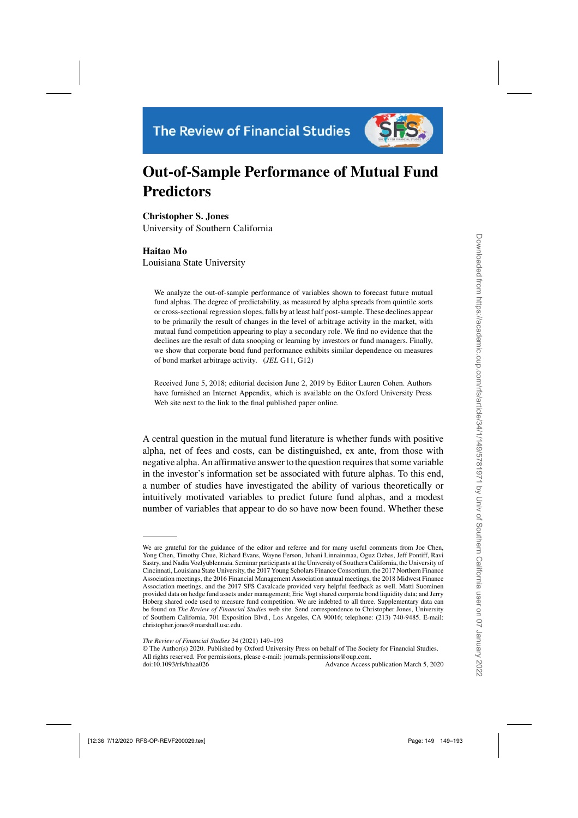

# **Out-of-Sample Performance of Mutual Fund Predictors**

**Christopher S. Jones**

University of Southern California

# **Haitao Mo**

Louisiana State University

We analyze the out-of-sample performance of variables shown to forecast future mutual fund alphas. The degree of predictability, as measured by alpha spreads from quintile sorts or cross-sectional regression slopes, falls by at least half post-sample. These declines appear to be primarily the result of changes in the level of arbitrage activity in the market, with mutual fund competition appearing to play a secondary role. We find no evidence that the declines are the result of data snooping or learning by investors or fund managers. Finally, we show that corporate bond fund performance exhibits similar dependence on measures of bond market arbitrage activity. (*JEL* G11, G12)

Received June 5, 2018; editorial decision June 2, 2019 by Editor Lauren Cohen. Authors have furnished an Internet Appendix, which is available on the Oxford University Press Web site next to the link to the final published paper online.

A central question in the mutual fund literature is whether funds with positive alpha, net of fees and costs, can be distinguished, ex ante, from those with negative alpha. An affirmative answer to the question requires that some variable in the investor's information set be associated with future alphas. To this end, a number of studies have investigated the ability of various theoretically or intuitively motivated variables to predict future fund alphas, and a modest number of variables that appear to do so have now been found. Whether these

© The Author(s) 2020. Published by Oxford University Press on behalf of The Society for Financial Studies. All rights reserved. For permissions, please e-mail: journals.permissions@oup.com.

doi:10.1093/rfs/hhaa026 Advance Access publication March 5, 2020

We are grateful for the guidance of the editor and referee and for many useful comments from Joe Chen, Yong Chen, Timothy Chue, Richard Evans, Wayne Ferson, Juhani Linnainmaa, Oguz Ozbas, Jeff Pontiff, Ravi Sastry, and Nadia Vozlyublennaia. Seminar participants at the University of Southern California, the University of Cincinnati, Louisiana State University, the 2017 Young Scholars Finance Consortium, the 2017 Northern Finance Association meetings, the 2016 Financial Management Association annual meetings, the 2018 Midwest Finance Association meetings, and the 2017 SFS Cavalcade provided very helpful feedback as well. Matti Suominen provided data on hedge fund assets under management; Eric Vogt shared corporate bond liquidity data; and Jerry Hoberg shared code used to measure fund competition. We are indebted to all three. [Supplementary data](https://academic.oup.com/rfs/article-lookup/doi/10.1093/rfs/hhaa026#supplementary-data) can be found on *The Review of Financial Studies* web site. Send correspondence to Christopher Jones, University of Southern California, 701 Exposition Blvd., Los Angeles, CA 90016; telephone: (213) 740-9485. E-mail: christopher.jones@marshall.usc.edu.

*The Review of Financial Studies* 34 (2021) 149–193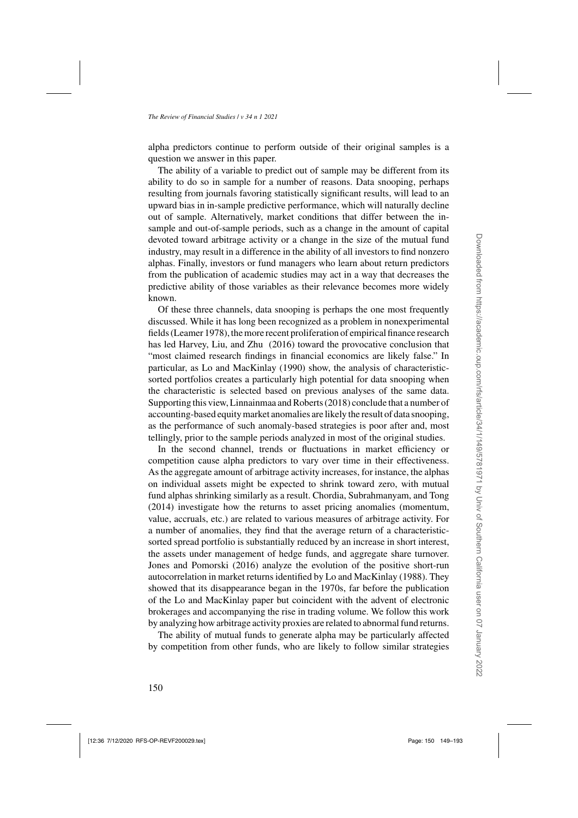alpha predictors continue to perform outside of their original samples is a question we answer in this paper.

The ability of a variable to predict out of sample may be different from its ability to do so in sample for a number of reasons. Data snooping, perhaps resulting from journals favoring statistically significant results, will lead to an upward bias in in-sample predictive performance, which will naturally decline out of sample. Alternatively, market conditions that differ between the insample and out-of-sample periods, such as a change in the amount of capital devoted toward arbitrage activity or a change in the size of the mutual fund industry, may result in a difference in the ability of all investors to find nonzero alphas. Finally, investors or fund managers who learn about return predictors from the publication of academic studies may act in a way that decreases the predictive ability of those variables as their relevance becomes more widely known.

Of these three channels, data snooping is perhaps the one most frequently discussed. While it has long been recognized as a problem in nonexperimental fields [\(Leamer 1978](#page-44-0)), the more recent proliferation of empirical finance research has led [Harvey, Liu, and Zhu](#page-43-0) [\(2016\)](#page-43-0) toward the provocative conclusion that "most claimed research findings in financial economics are likely false." In particular, as [Lo and MacKinlay](#page-44-0) [\(1990\)](#page-44-0) show, the analysis of characteristicsorted portfolios creates a particularly high potential for data snooping when the characteristic is selected based on previous analyses of the same data. Supporting this view, [Linnainmaa and Roberts](#page-44-0) [\(2018](#page-44-0)) conclude that a number of accounting-based equity market anomalies are likely the result of data snooping, as the performance of such anomaly-based strategies is poor after and, most tellingly, prior to the sample periods analyzed in most of the original studies.

In the second channel, trends or fluctuations in market efficiency or competition cause alpha predictors to vary over time in their effectiveness. As the aggregate amount of arbitrage activity increases, for instance, the alphas on individual assets might be expected to shrink toward zero, with mutual fund alphas shrinking similarly as a result. [Chordia, Subrahmanyam, and Tong](#page-42-0) [\(2014\)](#page-42-0) investigate how the returns to asset pricing anomalies (momentum, value, accruals, etc.) are related to various measures of arbitrage activity. For a number of anomalies, they find that the average return of a characteristicsorted spread portfolio is substantially reduced by an increase in short interest, the assets under management of hedge funds, and aggregate share turnover. [Jones and Pomorski](#page-43-0) [\(2016\)](#page-43-0) analyze the evolution of the positive short-run autocorrelation in market returns identified by [Lo and MacKinlay](#page-44-0) [\(1988](#page-44-0)). They showed that its disappearance began in the 1970s, far before the publication of the [Lo and MacKinlay](#page-44-0) paper but coincident with the advent of electronic brokerages and accompanying the rise in trading volume. We follow this work by analyzing how arbitrage activity proxies are related to abnormal fund returns.

The ability of mutual funds to generate alpha may be particularly affected by competition from other funds, who are likely to follow similar strategies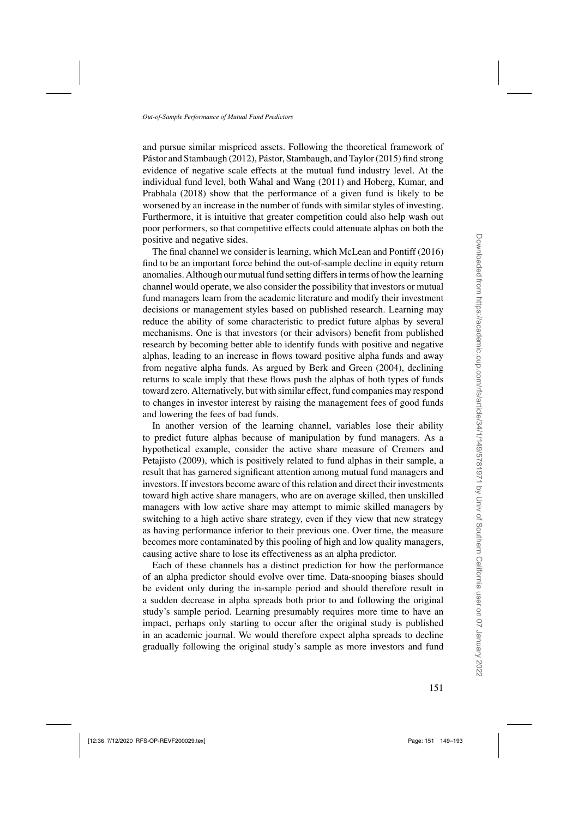and pursue similar mispriced assets. Following the theoretical framework of [Pástor and Stambaugh](#page-44-0) [\(2012\)](#page-44-0), [Pástor, Stambaugh, and Taylor](#page-44-0) [\(2015\)](#page-44-0) find strong evidence of negative scale effects at the mutual fund industry level. At the individual fund level, both [Wahal and Wang](#page-44-0) [\(2011\)](#page-44-0) and Hoberg, Kumar, and Prabhala [\(2018\)](#page-43-0) show that the performance of a given fund is likely to be worsened by an increase in the number of funds with similar styles of investing. Furthermore, it is intuitive that greater competition could also help wash out poor performers, so that competitive effects could attenuate alphas on both the positive and negative sides.

The final channel we consider is learning, which [McLean and Pontiff](#page-44-0) [\(2016](#page-44-0)) find to be an important force behind the out-of-sample decline in equity return anomalies. Although our mutual fund setting differs in terms of how the learning channel would operate, we also consider the possibility that investors or mutual fund managers learn from the academic literature and modify their investment decisions or management styles based on published research. Learning may reduce the ability of some characteristic to predict future alphas by several mechanisms. One is that investors (or their advisors) benefit from published research by becoming better able to identify funds with positive and negative alphas, leading to an increase in flows toward positive alpha funds and away from negative alpha funds. As argued by [Berk and Green](#page-42-0) [\(2004](#page-42-0)), declining returns to scale imply that these flows push the alphas of both types of funds toward zero. Alternatively, but with similar effect, fund companies may respond to changes in investor interest by raising the management fees of good funds and lowering the fees of bad funds.

In another version of the learning channel, variables lose their ability to predict future alphas because of manipulation by fund managers. As a hypothe[tical example, consider the active share measure of](#page-42-0) Cremers and Petajisto [\(2009](#page-42-0)), which is positively related to fund alphas in their sample, a result that has garnered significant attention among mutual fund managers and investors. If investors become aware of this relation and direct their investments toward high active share managers, who are on average skilled, then unskilled managers with low active share may attempt to mimic skilled managers by switching to a high active share strategy, even if they view that new strategy as having performance inferior to their previous one. Over time, the measure becomes more contaminated by this pooling of high and low quality managers, causing active share to lose its effectiveness as an alpha predictor.

Each of these channels has a distinct prediction for how the performance of an alpha predictor should evolve over time. Data-snooping biases should be evident only during the in-sample period and should therefore result in a sudden decrease in alpha spreads both prior to and following the original study's sample period. Learning presumably requires more time to have an impact, perhaps only starting to occur after the original study is published in an academic journal. We would therefore expect alpha spreads to decline gradually following the original study's sample as more investors and fund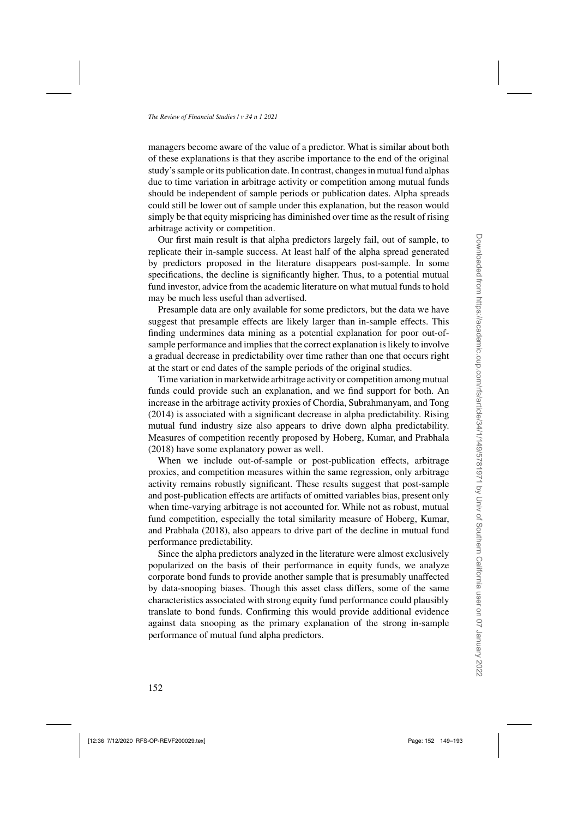managers become aware of the value of a predictor. What is similar about both of these explanations is that they ascribe importance to the end of the original study's sample or its publication date. In contrast, changes in mutual fund alphas due to time variation in arbitrage activity or competition among mutual funds should be independent of sample periods or publication dates. Alpha spreads could still be lower out of sample under this explanation, but the reason would simply be that equity mispricing has diminished over time as the result of rising arbitrage activity or competition.

Our first main result is that alpha predictors largely fail, out of sample, to replicate their in-sample success. At least half of the alpha spread generated by predictors proposed in the literature disappears post-sample. In some specifications, the decline is significantly higher. Thus, to a potential mutual fund investor, advice from the academic literature on what mutual funds to hold may be much less useful than advertised.

Presample data are only available for some predictors, but the data we have suggest that presample effects are likely larger than in-sample effects. This finding undermines data mining as a potential explanation for poor out-ofsample performance and implies that the correct explanation is likely to involve a gradual decrease in predictability over time rather than one that occurs right at the start or end dates of the sample periods of the original studies.

Time variation in marketwide arbitrage activity or competition among mutual funds could provide such an explanation, and we find support for both. An increase in the arbitrage activity proxies of [Chordia, Subrahmanyam, and Tong](#page-42-0) [\(2014\)](#page-42-0) is associated with a significant decrease in alpha predictability. Rising mutual fund industry size also appears to drive down alpha predictability. Measures of competition recently proposed by [Hoberg, Kumar, and Prabhala](#page-43-0) [\(2018\)](#page-43-0) have some explanatory power as well.

When we include out-of-sample or post-publication effects, arbitrage proxies, and competition measures within the same regression, only arbitrage activity remains robustly significant. These results suggest that post-sample and post-publication effects are artifacts of omitted variables bias, present only when time-varying arbitrage is not accounted for. While not as robust, mutual fund compet[ition, especially the total similarity measure of](#page-43-0) Hoberg, Kumar, and Prabhala [\(2018\)](#page-43-0), also appears to drive part of the decline in mutual fund performance predictability.

Since the alpha predictors analyzed in the literature were almost exclusively popularized on the basis of their performance in equity funds, we analyze corporate bond funds to provide another sample that is presumably unaffected by data-snooping biases. Though this asset class differs, some of the same characteristics associated with strong equity fund performance could plausibly translate to bond funds. Confirming this would provide additional evidence against data snooping as the primary explanation of the strong in-sample performance of mutual fund alpha predictors.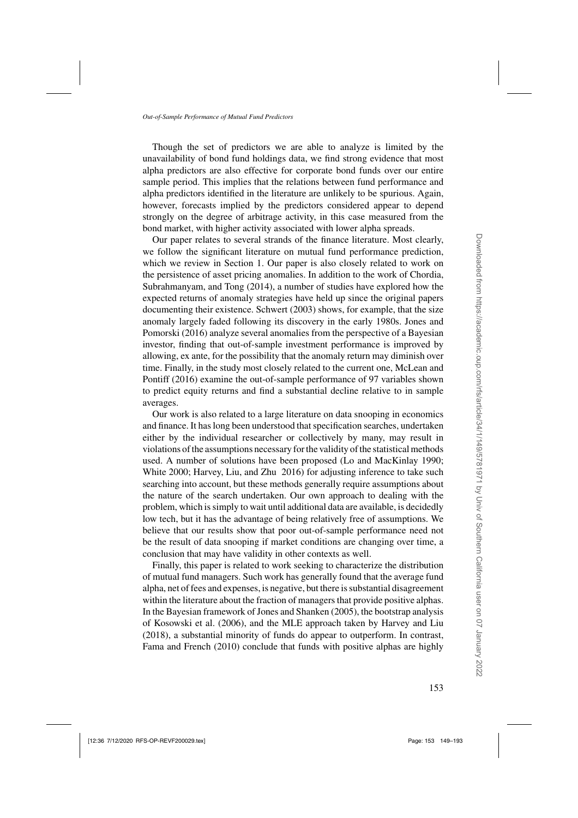Though the set of predictors we are able to analyze is limited by the unavailability of bond fund holdings data, we find strong evidence that most alpha predictors are also effective for corporate bond funds over our entire sample period. This implies that the relations between fund performance and alpha predictors identified in the literature are unlikely to be spurious. Again, however, forecasts implied by the predictors considered appear to depend strongly on the degree of arbitrage activity, in this case measured from the bond market, with higher activity associated with lower alpha spreads.

Our paper relates to several strands of the finance literature. Most clearly, we follow the significant literature on mutual fund performance prediction, which we review in Section [1.](#page-5-0) Our paper is also closely related to work on the persistence of asset pr[icing anomalies. In addition to the work of](#page-42-0) Chordia, Subrahmanyam, and Tong [\(2014](#page-42-0)), a number of studies have explored how the expected returns of anomaly strategies have held up since the original papers documenting their existence. [Schwert](#page-44-0) [\(2003\)](#page-44-0) shows, for example, that the size anomaly [largely faded following its discovery in the early 1980s.](#page-43-0) Jones and Pomorski [\(2016](#page-43-0)) analyze several anomalies from the perspective of a Bayesian investor, finding that out-of-sample investment performance is improved by allowing, ex ante, for the possibility that the anomaly return may diminish over time. [Finally, in the study most closely related to the current one,](#page-44-0) McLean and Pontiff [\(2016\)](#page-44-0) examine the out-of-sample performance of 97 variables shown to predict equity returns and find a substantial decline relative to in sample averages.

Our work is also related to a large literature on data snooping in economics and finance. It has long been understood that specification searches, undertaken either by the individual researcher or collectively by many, may result in violations of the assumptions necessary for the validity of the statistical methods used. A number of solutions have been proposed [\(Lo and MacKinlay 1990;](#page-44-0) [White 2000;](#page-44-0) [Harvey, Liu, and Zhu 2016\)](#page-43-0) for adjusting inference to take such searching into account, but these methods generally require assumptions about the nature of the search undertaken. Our own approach to dealing with the problem, which is simply to wait until additional data are available, is decidedly low tech, but it has the advantage of being relatively free of assumptions. We believe that our results show that poor out-of-sample performance need not be the result of data snooping if market conditions are changing over time, a conclusion that may have validity in other contexts as well.

Finally, this paper is related to work seeking to characterize the distribution of mutual fund managers. Such work has generally found that the average fund alpha, net of fees and expenses, is negative, but there is substantial disagreement within the literature about the fraction of managers that provide positive alphas. In the Bayesian framework of [Jones and Shanken](#page-43-0) [\(2005\)](#page-43-0), the bootstrap analysis of [Kosowski et al.](#page-44-0) [\(2006\)](#page-44-0), and the MLE approach taken by [Harvey and Liu](#page-43-0) [\(2018\)](#page-43-0), a substantial minority of funds do appear to outperform. In contrast, [Fama and French](#page-43-0) [\(2010](#page-43-0)) conclude that funds with positive alphas are highly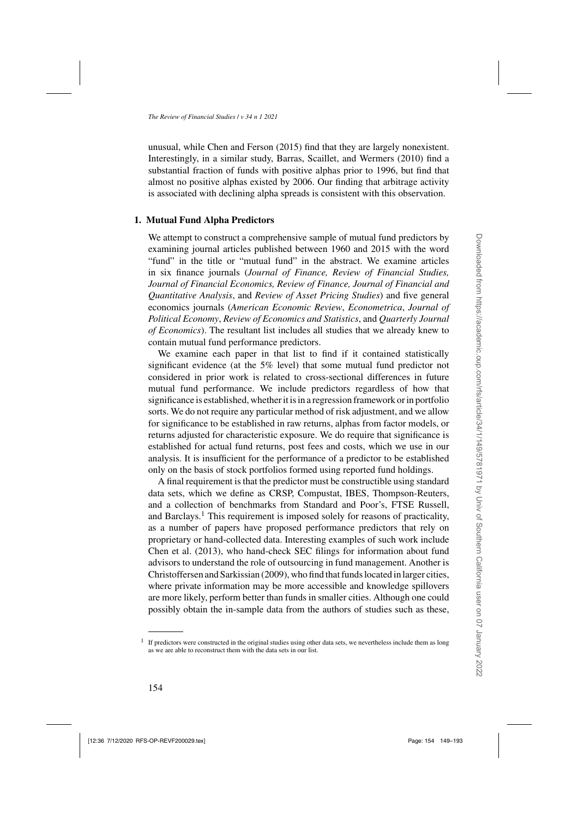<span id="page-5-0"></span>unusual, while [Chen and Ferson](#page-42-0) [\(2015](#page-42-0)) find that they are largely nonexistent. Interestingly, in a similar study, [Barras, Scaillet, and Wermers](#page-42-0) [\(2010](#page-42-0)) find a substantial fraction of funds with positive alphas prior to 1996, but find that almost no positive alphas existed by 2006. Our finding that arbitrage activity is associated with declining alpha spreads is consistent with this observation.

# **1. Mutual Fund Alpha Predictors**

We attempt to construct a comprehensive sample of mutual fund predictors by examining journal articles published between 1960 and 2015 with the word "fund" in the title or "mutual fund" in the abstract. We examine articles in six finance journals (*Journal of Finance, Review of Financial Studies, Journal of Financial Economics, Review of Finance, Journal of Financial and Quantitative Analysis*, and *Review of Asset Pricing Studies*) and five general economics journals (*American Economic Review*, *Econometrica*, *Journal of Political Economy*, *Review of Economics and Statistics*, and *Quarterly Journal of Economics*). The resultant list includes all studies that we already knew to contain mutual fund performance predictors.

We examine each paper in that list to find if it contained statistically significant evidence (at the 5% level) that some mutual fund predictor not considered in prior work is related to cross-sectional differences in future mutual fund performance. We include predictors regardless of how that significance is established, whether it is in a regression framework or in portfolio sorts. We do not require any particular method of risk adjustment, and we allow for significance to be established in raw returns, alphas from factor models, or returns adjusted for characteristic exposure. We do require that significance is established for actual fund returns, post fees and costs, which we use in our analysis. It is insufficient for the performance of a predictor to be established only on the basis of stock portfolios formed using reported fund holdings.

A final requirement is that the predictor must be constructible using standard data sets, which we define as CRSP, Compustat, IBES, Thompson-Reuters, and a collection of benchmarks from Standard and Poor's, FTSE Russell, and Barclays.<sup>1</sup> This requirement is imposed solely for reasons of practicality, as a number of papers have proposed performance predictors that rely on proprietary or hand-collected data. Interesting examples of such work include [Chen et al.](#page-42-0) [\(2013\)](#page-42-0), who hand-check SEC filings for information about fund advisors to understand the role of outsourcing in fund management. Another is [Christoffersen and Sarkissian](#page-42-0) [\(2009](#page-42-0)), who find that funds located in larger cities, where private information may be more accessible and knowledge spillovers are more likely, perform better than funds in smaller cities. Although one could possibly obtain the in-sample data from the authors of studies such as these,

 $1$  If predictors were constructed in the original studies using other data sets, we nevertheless include them as long as we are able to reconstruct them with the data sets in our list.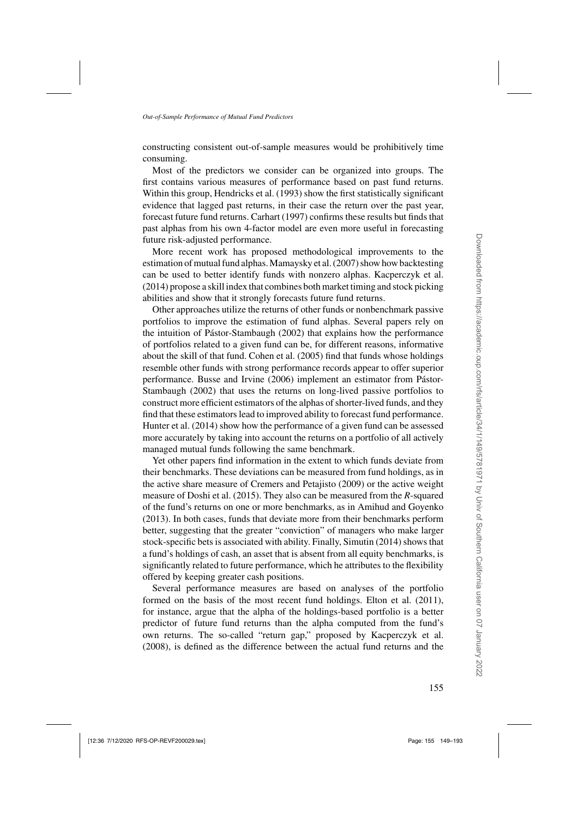constructing consistent out-of-sample measures would be prohibitively time consuming.

Most of the predictors we consider can be organized into groups. The first contains various measures of performance based on past fund returns. Within this group, [Hendricks et al.](#page-43-0) [\(1993](#page-43-0)) show the first statistically significant evidence that lagged past returns, in their case the return over the past year, forecast future fund returns. [Carhart](#page-42-0) [\(1997](#page-42-0)) confirms these results but finds that past alphas from his own 4-factor model are even more useful in forecasting future risk-adjusted performance.

More recent work has proposed methodological improvements to the estimation of mutual fund alphas.[Mamaysky et al.](#page-44-0) [\(2007\)](#page-44-0) show how backtesting can be used to better identify funds with nonzero alphas. [Kacperczyk et al.](#page-44-0) [\(2014\)](#page-44-0) propose a skill index that combines both market timing and stock picking abilities and show that it strongly forecasts future fund returns.

Other approaches utilize the returns of other funds or nonbenchmark passive portfolios to improve the estimation of fund alphas. Several papers rely on the intuition of [Pástor-Stambaugh](#page-44-0) [\(2002\)](#page-44-0) that explains how the performance of portfolios related to a given fund can be, for different reasons, informative about the skill of that fund. [Cohen et al.](#page-42-0) [\(2005](#page-42-0)) find that funds whose holdings resemble other funds with strong performance records appear to offer superior performan[ce.](#page-44-0) [Busse and Irvine](#page-42-0) [\(2006](#page-42-0)[\)](#page-44-0) [implement](#page-44-0) [an](#page-44-0) [estimator](#page-44-0) [from](#page-44-0) Pástor-Stambaugh [\(2002\)](#page-44-0) that uses the returns on long-lived passive portfolios to construct more efficient estimators of the alphas of shorter-lived funds, and they find that these estimators lead to improved ability to forecast fund performance. [Hunter et al.](#page-43-0) [\(2014\)](#page-43-0) show how the performance of a given fund can be assessed more accurately by taking into account the returns on a portfolio of all actively managed mutual funds following the same benchmark.

Yet other papers find information in the extent to which funds deviate from their benchmarks. These deviations can be measured from fund holdings, as in the active share measure of [Cremers and Petajisto](#page-42-0) [\(2009\)](#page-42-0) or the active weight measure of [Doshi et al.](#page-42-0) [\(2015](#page-42-0)). They also can be measured from the *R*-squared of the fund's returns on one or more benchmarks, as in [Amihud and Goyenko](#page-42-0) [\(2013\)](#page-42-0). In both cases, funds that deviate more from their benchmarks perform better, suggesting that the greater "conviction" of managers who make larger stock-specific bets is associated with ability. Finally, [Simutin](#page-44-0) [\(2014\)](#page-44-0) shows that a fund's holdings of cash, an asset that is absent from all equity benchmarks, is significantly related to future performance, which he attributes to the flexibility offered by keeping greater cash positions.

Several performance measures are based on analyses of the portfolio formed on the basis of the most recent fund holdings. [Elton et al.](#page-42-0) [\(2011\)](#page-42-0), for instance, argue that the alpha of the holdings-based portfolio is a better predictor of future fund returns than the alpha computed from the fund's own returns. The so-called "return gap," proposed by [Kacperczyk et al.](#page-43-0) [\(2008\)](#page-43-0), is defined as the difference between the actual fund returns and the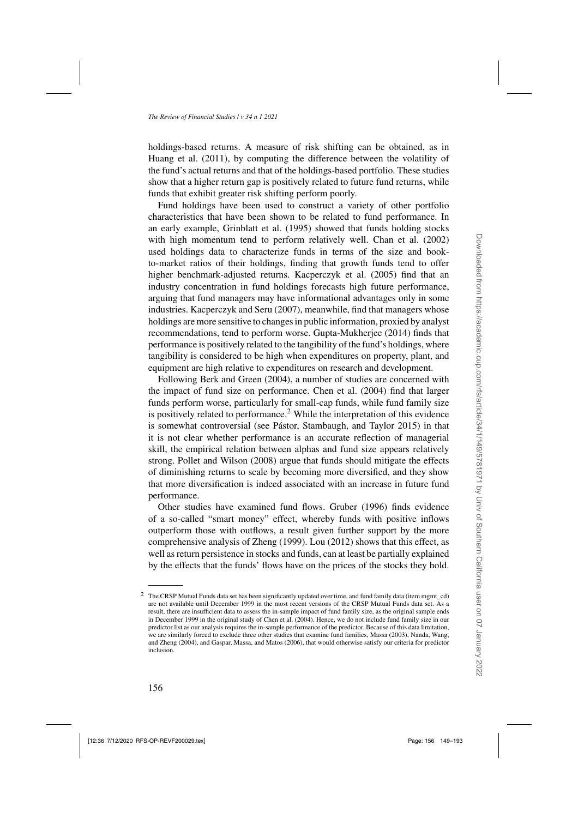holdings-based returns. A measure of risk shifting can be obtained, as in [Huang et al.](#page-43-0) [\(2011\)](#page-43-0), by computing the difference between the volatility of the fund's actual returns and that of the holdings-based portfolio. These studies show that a higher return gap is positively related to future fund returns, while funds that exhibit greater risk shifting perform poorly.

Fund holdings have been used to construct a variety of other portfolio characteristics that have been shown to be related to fund performance. In an early example, [Grinblatt et al.](#page-43-0) [\(1995\)](#page-43-0) showed that funds holding stocks with high momentum tend to perform relatively well. [Chan et al.](#page-42-0) [\(2002\)](#page-42-0) used holdings data to characterize funds in terms of the size and bookto-market ratios of their holdings, finding that growth funds tend to offer higher benchmark-adjusted returns. [Kacperczyk et al.](#page-43-0) [\(2005\)](#page-43-0) find that an industry concentration in fund holdings forecasts high future performance, arguing that fund managers may have informational advantages only in some industries. [Kacperczyk and Seru](#page-43-0) [\(2007\)](#page-43-0), meanwhile, find that managers whose holdings are more sensitive to changes in public information, proxied by analyst recommendations, tend to perform worse. [Gupta-Mukherjee](#page-43-0) [\(2014](#page-43-0)) finds that performance is positively related to the tangibility of the fund's holdings, where tangibility is considered to be high when expenditures on property, plant, and equipment are high relative to expenditures on research and development.

Following [Berk and Green](#page-42-0) [\(2004](#page-42-0)), a number of studies are concerned with the impact of fund size on performance. [Chen et al.](#page-42-0) [\(2004](#page-42-0)) find that larger funds perform worse, particularly for small-cap funds, while fund family size is positively related to performance.<sup>2</sup> While the interpretation of this evidence is somewhat controversial (see [Pástor, Stambaugh, and Taylor 2015](#page-44-0)) in that it is not clear whether performance is an accurate reflection of managerial skill, the empirical relation between alphas and fund size appears relatively strong. [Pollet and Wilson](#page-44-0) [\(2008](#page-44-0)) argue that funds should mitigate the effects of diminishing returns to scale by becoming more diversified, and they show that more diversification is indeed associated with an increase in future fund performance.

Other studies have examined fund flows. [Gruber](#page-43-0) [\(1996](#page-43-0)) finds evidence of a so-called "smart money" effect, whereby funds with positive inflows outperform those with outflows, a result given further support by the more comprehensive analysis of [Zheng](#page-44-0) [\(1999\)](#page-44-0). [Lou](#page-44-0) [\(2012](#page-44-0)) shows that this effect, as well as return persistence in stocks and funds, can at least be partially explained by the effects that the funds' flows have on the prices of the stocks they hold.

<sup>&</sup>lt;sup>2</sup> The CRSP Mutual Funds data set has been significantly updated over time, and fund family data (item mgmt\_cd) are not available until December 1999 in the most recent versions of the CRSP Mutual Funds data set. As a result, there are insufficient data to assess the in-sample impact of fund family size, as the original sample ends in December 1999 in the original study of [Chen et al.](#page-42-0) [\(2004\)](#page-42-0). Hence, we do not include fund family size in our predictor list as our analysis requires the in-sample performance of the predictor. Because of this data limitation, we are si[milarly forced to exclude three other studies that examine fund families, Massa \(2003\),](#page-44-0) Nanda, Wang, and Zheng [\(2004\)](#page-44-0), and [Gaspar, Massa, and Matos](#page-43-0) [\(2006\)](#page-43-0), that would otherwise satisfy our criteria for predictor inclusion.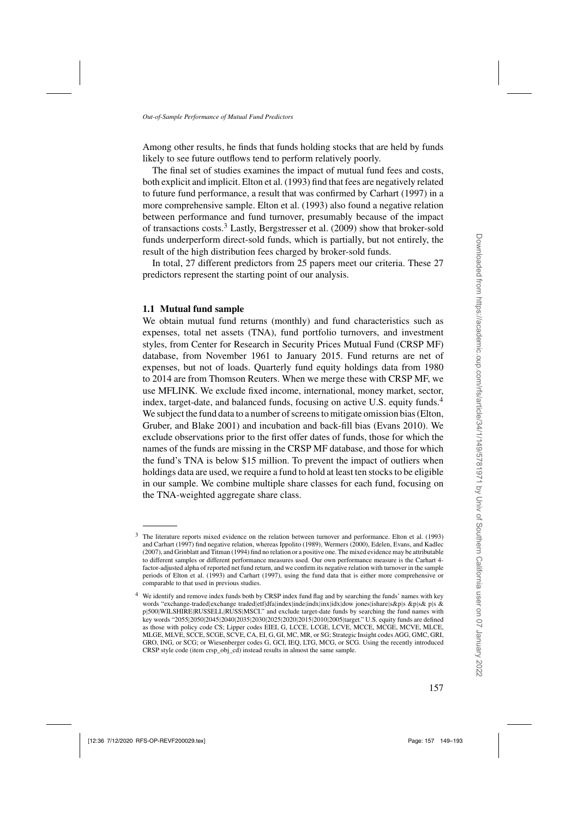Among other results, he finds that funds holding stocks that are held by funds likely to see future outflows tend to perform relatively poorly.

The final set of studies examines the impact of mutual fund fees and costs, both explicit and implicit. [Elton et al.](#page-43-0) [\(1993\)](#page-43-0) find that fees are negatively related to future fund performance, a result that was confirmed by [Carhart](#page-42-0) [\(1997](#page-42-0)) in a more comprehensive sample. [Elton et al.](#page-43-0) [\(1993\)](#page-43-0) also found a negative relation between performance and fund turnover, presumably because of the impact of transactions costs.<sup>3</sup> Lastly, [Bergstresser et al.](#page-42-0) [\(2009\)](#page-42-0) show that broker-sold funds underperform direct-sold funds, which is partially, but not entirely, the result of the high distribution fees charged by broker-sold funds.

In total, 27 different predictors from 25 papers meet our criteria. These 27 predictors represent the starting point of our analysis.

#### **1.1 Mutual fund sample**

We obtain mutual fund returns (monthly) and fund characteristics such as expenses, total net assets (TNA), fund portfolio turnovers, and investment styles, from Center for Research in Security Prices Mutual Fund (CRSP MF) database, from November 1961 to January 2015. Fund returns are net of expenses, but not of loads. Quarterly fund equity holdings data from 1980 to 2014 are from Thomson Reuters. When we merge these with CRSP MF, we use MFLINK. We exclude fixed income, international, money market, sector, index, target-date, and balanced funds, focusing on active U.S. equity funds.<sup>4</sup> We subject the fun[d data to a number of screens to mitigate omission bias \(](#page-42-0)Elton, Gruber, and Blake [2001](#page-42-0)) and incubation and back-fill bias [\(Evans 2010\)](#page-43-0). We exclude observations prior to the first offer dates of funds, those for which the names of the funds are missing in the CRSP MF database, and those for which the fund's TNA is below \$15 million. To prevent the impact of outliers when holdings data are used, we require a fund to hold at least ten stocks to be eligible in our sample. We combine multiple share classes for each fund, focusing on the TNA-weighted aggregate share class.

<sup>3</sup> The literature reports mixed evidence on the relation between turnover and performance. [Elton et al.](#page-43-0) [\(1993](#page-43-0)) and [Carhart](#page-42-0) [\(1997](#page-42-0)) find negative relation, whereas [Ippolito](#page-43-0) [\(1989\)](#page-43-0), [Wermers \(2000](#page-44-0)), [Edelen, Evans, and Kadlec](#page-42-0) [\(2007\)](#page-42-0), an[d Grinblatt and Titman \(1994](#page-43-0)) find no relation or a positive one. The mixed evidence may be attributable to different samples or different performance measures used. Our own performance measure is the Carhart 4 factor-adjusted alpha of reported net fund return, and we confirm its negative relation with turnover in the sample periods of [Elton et al.](#page-43-0) [\(1993\)](#page-43-0) and [Carhart](#page-42-0) [\(1997\)](#page-42-0), using the fund data that is either more comprehensive or comparable to that used in previous studies.

<sup>4</sup> We identify and remove index funds both by CRSP index fund flag and by searching the funds' names with key words "exchange-traded|exchange traded|etf|dfa|index|inde|indx|inx|idx|dow jones|ishare|s&p|s &p|s& p|s & p|500|WILSHIRE|RUSSELL|RUSS|MSCI." and exclude target-date funds by searching the fund names with key words "2055|2050|2045|2040|2035|2030|2025|2020|2015|2010|2005|target." U.S. equity funds are defined as those with policy code CS; Lipper codes EIEI, G, LCCE, LCGE, LCVE, MCCE, MCGE, MCVE, MLCE, MLGE, MLVE, SCCE, SCGE, SCVE, CA, EI, G, GI, MC, MR, or SG; Strategic Insight codes AGG, GMC, GRI, GRO, ING, or SCG; or Wiesenberger codes G, GCI, IEQ, LTG, MCG, or SCG. Using the recently introduced CRSP style code (item crsp\_obj\_cd) instead results in almost the same sample.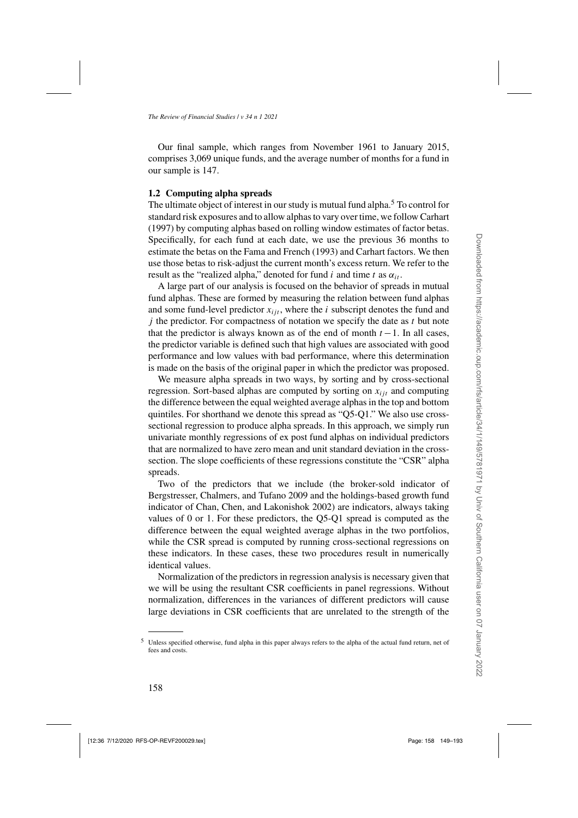Our final sample, which ranges from November 1961 to January 2015, comprises 3,069 unique funds, and the average number of months for a fund in our sample is 147.

#### **1.2 Computing alpha spreads**

The ultimate object of interest in our study is mutual fund alpha.<sup>5</sup> To control for standard risk exposures and to allow alphas to vary over time, we follow [Carhart](#page-42-0) [\(1997\)](#page-42-0) by computing alphas based on rolling window estimates of factor betas. Specifically, for each fund at each date, we use the previous 36 months to estimate the betas on the [Fama and French](#page-43-0) [\(1993](#page-43-0)) and [Carhart](#page-42-0) factors. We then use those betas to risk-adjust the current month's excess return. We refer to the result as the "realized alpha," denoted for fund i and time t as  $\alpha_{it}$ .

A large part of our analysis is focused on the behavior of spreads in mutual fund alphas. These are formed by measuring the relation between fund alphas and some fund-level predictor  $x_{ijt}$ , where the *i* subscript denotes the fund and  $j$  the predictor. For compactness of notation we specify the date as  $t$  but note that the predictor is always known as of the end of month  $t - 1$ . In all cases, the predictor variable is defined such that high values are associated with good performance and low values with bad performance, where this determination is made on the basis of the original paper in which the predictor was proposed.

We measure alpha spreads in two ways, by sorting and by cross-sectional regression. Sort-based alphas are computed by sorting on  $x_{i}$  and computing the difference between the equal weighted average alphas in the top and bottom quintiles. For shorthand we denote this spread as "Q5-Q1." We also use crosssectional regression to produce alpha spreads. In this approach, we simply run univariate monthly regressions of ex post fund alphas on individual predictors that are normalized to have zero mean and unit standard deviation in the crosssection. The slope coefficients of these regressions constitute the "CSR" alpha spreads.

Two of the predictors that we include (the broker-sold indicator of [Bergstresser, Chalmers, and Tufano 2009](#page-42-0) and the holdings-based growth fund indicator of [Chan, Chen, and Lakonishok 2002](#page-42-0)) are indicators, always taking values of 0 or 1. For these predictors, the Q5-Q1 spread is computed as the difference between the equal weighted average alphas in the two portfolios, while the CSR spread is computed by running cross-sectional regressions on these indicators. In these cases, these two procedures result in numerically identical values.

Normalization of the predictors in regression analysis is necessary given that we will be using the resultant CSR coefficients in panel regressions. Without normalization, differences in the variances of different predictors will cause large deviations in CSR coefficients that are unrelated to the strength of the

<sup>5</sup> Unless specified otherwise, fund alpha in this paper always refers to the alpha of the actual fund return, net of fees and costs.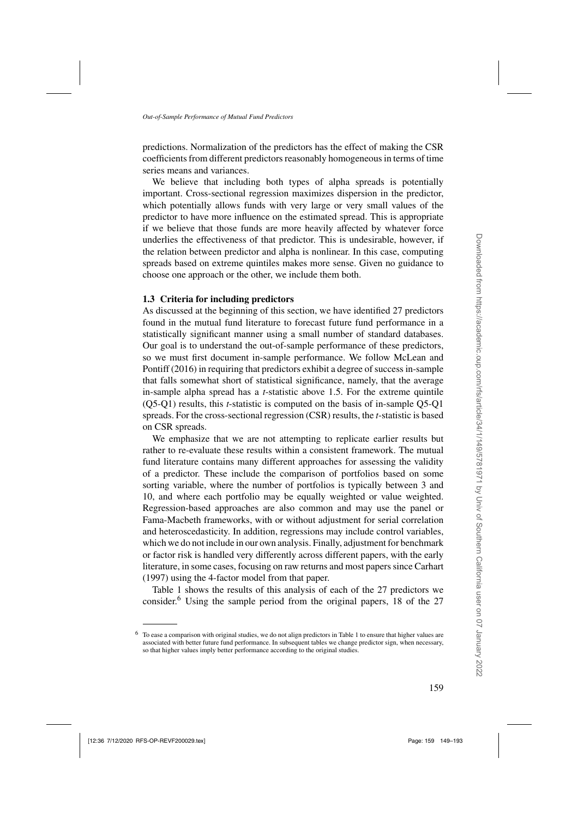predictions. Normalization of the predictors has the effect of making the CSR coefficients from different predictors reasonably homogeneous in terms of time series means and variances.

We believe that including both types of alpha spreads is potentially important. Cross-sectional regression maximizes dispersion in the predictor, which potentially allows funds with very large or very small values of the predictor to have more influence on the estimated spread. This is appropriate if we believe that those funds are more heavily affected by whatever force underlies the effectiveness of that predictor. This is undesirable, however, if the relation between predictor and alpha is nonlinear. In this case, computing spreads based on extreme quintiles makes more sense. Given no guidance to choose one approach or the other, we include them both.

## **1.3 Criteria for including predictors**

As discussed at the beginning of this section, we have identified 27 predictors found in the mutual fund literature to forecast future fund performance in a statistically significant manner using a small number of standard databases. Our goal is to understand the out-of-sample performance of these predictors, so we [must first document in-sample performance. We follow](#page-44-0) McLean and Pontiff [\(2016](#page-44-0)) in requiring that predictors exhibit a degree of success in-sample that falls somewhat short of statistical significance, namely, that the average in-sample alpha spread has a *t*-statistic above 1.5. For the extreme quintile (Q5-Q1) results, this *t*-statistic is computed on the basis of in-sample Q5-Q1 spreads. For the cross-sectional regression (CSR) results, the *t*-statistic is based on CSR spreads.

We emphasize that we are not attempting to replicate earlier results but rather to re-evaluate these results within a consistent framework. The mutual fund literature contains many different approaches for assessing the validity of a predictor. These include the comparison of portfolios based on some sorting variable, where the number of portfolios is typically between 3 and 10, and where each portfolio may be equally weighted or value weighted. Regression-based approaches are also common and may use the panel or Fama-Macbeth frameworks, with or without adjustment for serial correlation and heteroscedasticity. In addition, regressions may include control variables, which we do not include in our own analysis. Finally, adjustment for benchmark or factor risk is handled very differently across different papers, with the early literature, in some cases, focusing on raw returns and most papers since [Carhart](#page-42-0) [\(1997\)](#page-42-0) using the 4-factor model from that paper.

Table [1](#page-11-0) shows the results of this analysis of each of the 27 predictors we consider.<sup>6</sup> Using the sample period from the original papers, 18 of the 27

<sup>6</sup> To ease a comparison with original studies, we do not align predictors in Table [1](#page-11-0) to ensure that higher values are associated with better future fund performance. In subsequent tables we change predictor sign, when necessary, so that higher values imply better performance according to the original studies.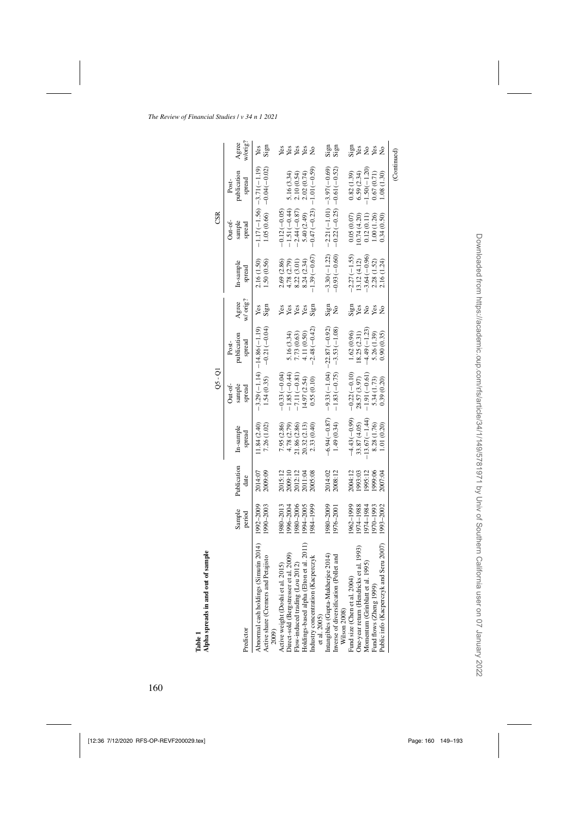<span id="page-11-0"></span>

|                                                                           |                  |                     |                     | Qs - QI                      |                              |                   |                     | CSR                         |                             |                                |
|---------------------------------------------------------------------------|------------------|---------------------|---------------------|------------------------------|------------------------------|-------------------|---------------------|-----------------------------|-----------------------------|--------------------------------|
|                                                                           |                  |                     |                     | Out-of-                      | Post-                        |                   |                     | Out-of-                     | Post-                       |                                |
| Predictor                                                                 | Sample<br>period | Publication<br>date | In-sample<br>spread | sample<br>spread             | publication<br>spread        | w/ orig?<br>Agree | In-sample<br>spread | sample<br>spread            | publication<br>spread       | w/orig?<br>Agree               |
| Abnormal cash holdings (Simutin 2014)                                     | 1992–2009        | 2014:07             | 1.84(2.40)          |                              | $-3.29(-1.14) -14.86(-1.19)$ | Yes               | 2.16 (1.50)         |                             | $-1.17(-1.56) -3.71(-1.19)$ | Yes                            |
| Active share (Cremers and Petajisto<br>2009)                              | $1990 - 2003$    | 2009:09             | 7.26 (1.02)         | 1.54(0.35)                   | $-0.21(-0.04)$               | Sign              | 1.50(0.56)          |                             | $1.05(0.66) - 0.04(-0.02)$  | Sign                           |
| Active weight (Doshi et al. 2015)                                         | 1980–2013        | 2015:12             | 7.95 (2.86)         | $-0.33(-0.04)$               |                              | Yes               | 2.69 (2.86)         | $-0.12(-0.05)$              |                             |                                |
|                                                                           | 996-2004         | 2009:10             | 4.78 (2.79)         | $-1.85(-0.44)$               | 5.16 (3.34)                  |                   | 4.78 (2.79)         | $-1.51(-0.44)$              | 5.16 (3.34)                 | ងនឹងន                          |
| Direct-sold (Bergstresser et al. 2009)<br>Flow-induced trading (Lou 2012) | 980-2006         | 2012:12             | 21.86 (2.86)        | $-7.11(-0.81)$               | 7.73 (0.63)                  | <b>Sex</b><br>Sex | 8.22 (3.01          | $-2.44(-0.87)$              | 2.10(0.54)                  |                                |
| et al. 2011)<br>Holdings-based alpha (Elton                               | 1994–2005        | 2011:04             | 20.32 (2.13)        | (4.97 (2.54)                 | 4.11 (0.50)                  |                   | 8.24(2.34)          | 5.40 (2.49)                 | 2.02(0.74)                  |                                |
| Industry concentration (Kacperczyk<br>et al. 2005)                        | 1984–1999        | 2005:08             | 2.33 (0.40)         | 0.55(0.10)                   | $2.48(-0.42)$                | Sign              | $1.39(-0.67)$       | $-0.47(-0.23)$              | $-1.01(-0.59)$              | $\stackrel{\circ}{\mathsf{z}}$ |
| Intangibles (Gupta-Mukherjee 2014)                                        | 1980–2009        |                     | $-6.94(-0.87)$      | $-9.33(-1.04) -22.87(-0.92)$ |                              |                   | $-3.30(-1.22)$      | $-2.21(-1.01) -3.97(-0.69)$ |                             |                                |
| let and<br>Inverse of diversification (Pol)<br>Wilson 2008)               | 1976–2001        | 2014:02<br>2008:12  | 1.49(0.34)          |                              | $-1.83(-0.75) -3.53(-1.08)$  | នីខ្លា<br>No      | $-0.93(-0.60)$      |                             | $-0.22(-0.25) -0.61(-0.52)$ | នី<br>ខ្លាំ<br>ខ្លាំ           |
| Fund size (Chen et al. 2004)                                              | 962-1999         | 2004:12             | $-4.43(-0.99)$      | $-0.22(-0.10)$               | 1.62(0.96)                   |                   | $-2.27(-1.55)$      | 0.05(0.07)                  | 0.82(1.39)                  |                                |
| One-year return (Hendricks et al. 1993)                                   | 1974–1988        | 1993:03             | 33.87 (4.05)        | 28.57 (3.97)                 | 18.25(2.31)                  | Sign<br>Yes       | 13.12(4.12)         | (0.74(4.20)                 | 6.59(2.34)                  | Siga<br>Siga                   |
| 1995)<br>Momentum (Grinblatt et al.                                       | 1974–1984        | 1995:12             | $13.67(-1.44)$      | $-1.91(-0.61)$               | $-4.49(-1.23)$               | $\tilde{z}$       | $-3.64(-0.96)$      | 0.12(0.11)                  | $-1.50(-1.20)$              | <b>S</b> &                     |
| Fund flows (Zheng 1999)                                                   | 1970-1993        | 00:6661             | 8.28 (1.76)         | 5.34 (1.73)                  | 5.26 (1.39)                  | Yes               | 2.28 (1.52)         | 1.00(1.26)                  | 0.67(0.71)                  |                                |
| Seru 2007)<br>Public info (Kacperczyk and                                 | 1993–2002        | 2007:04             | 1.01 (0.20)         | 0.39(0.20)                   | 0.90(0.35)                   |                   | 2.16 (1.24)         | 0.34 (0.50)                 | 1.08(1.30)                  | ż                              |
|                                                                           |                  |                     |                     |                              |                              |                   |                     |                             | (Continued)                 |                                |

Table 1 Alpha spreads in and out of sample **Alpha spreads in and out of sample**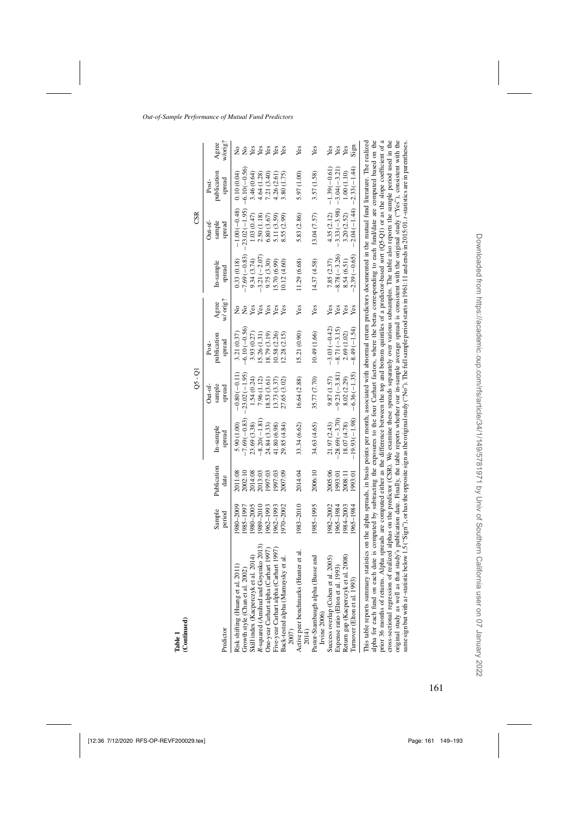|--|--|

| (Continued)<br>Table 1                                                                                                                                                                                                                                                                                                                                                                                                                                        |                        |                     |                                                                                                                                                           |                                   |                                  |                      |                               |                                            |                                |                  |
|---------------------------------------------------------------------------------------------------------------------------------------------------------------------------------------------------------------------------------------------------------------------------------------------------------------------------------------------------------------------------------------------------------------------------------------------------------------|------------------------|---------------------|-----------------------------------------------------------------------------------------------------------------------------------------------------------|-----------------------------------|----------------------------------|----------------------|-------------------------------|--------------------------------------------|--------------------------------|------------------|
|                                                                                                                                                                                                                                                                                                                                                                                                                                                               |                        |                     |                                                                                                                                                           | Qs - QI                           |                                  |                      |                               | CSR                                        |                                |                  |
| Predictor                                                                                                                                                                                                                                                                                                                                                                                                                                                     | Sample<br>period       | Publication<br>date | In-sample<br>spread                                                                                                                                       | sample<br>Out-of-<br>spread       | publication<br>spread<br>Post-   | w/ orig?<br>Agree    | In-sample<br>spread           | sample<br>Out-of-<br>spread                | publication<br>spread<br>Post- | w/orig?<br>Agree |
| Growth style (Chan et al. 2002)<br>Risk shifting (Huang et al. 20                                                                                                                                                                                                                                                                                                                                                                                             | 1985–1997<br>1980–2009 | 2002:10<br>2011:08  | $-7.69(-0.83)$<br>5.90 (1.00)                                                                                                                             | $-23.02(-1.95)$<br>$-0.80(-0.11)$ | $-6.10(-0.56)$<br>3.21 (0.37)    | $\tilde{\mathsf{z}}$ | $-7.69(-0.83)$<br>0.33(0.18)  | $-23.02(-1.95)$<br>$-1.00(-0.48)$          | $-6.10(-0.56)$<br>0.10(0.04)   | ż<br>$\tilde{z}$ |
| Skill index (Kacperczyk et al. 2014)<br>R-squared (Amihud and Goyenko 2013)                                                                                                                                                                                                                                                                                                                                                                                   | 1980-2005<br>0102-6861 | 2014:08<br>2013:03  | $-8.20(-1.81)$<br>23.69 (3.38)                                                                                                                            | 1.54 (0.24)<br>7.96(1.12)         | 3.93(0.27)<br>(5.26(1.31)        | Yes                  | $-3.21(-2.07)$<br>9.34(3.74)  | 1.03(0.47)<br>2.50(1.18)                   | 3.46 (0.64)<br>4.64(1.28)      | Yes              |
| One-year Carhart alpha (Carhart 1997)<br>Five-year Carhart alpha (Carhart 1997)<br>Back-tested alpha (Mamaysky et al.                                                                                                                                                                                                                                                                                                                                         | 1962–1993<br>1962-1993 | 997:03<br>997:03    | 24.84 (3.33)<br>41.80 (6.98)                                                                                                                              | 18.53(3.61)<br>13.73 (3.37)       | (8.79(3.19)<br>0.58(2.26)        | yes<br>Yes           | 9.75 (3.30)<br>5.70 (6.99)    | 5.11 (3.59)<br>6.80(3.67)                  | 7.21(3.40)<br>4.26(2.61)       | <b>Seger</b>     |
| 2007)                                                                                                                                                                                                                                                                                                                                                                                                                                                         | 1970–2002              | 2007:09             | 29.85 (4.84)                                                                                                                                              | 27.65 (3.02)                      | (2.28(2.15))                     | Yes                  | 10.12(4.60)                   | 8.55 (2.99)                                | 3.80(1.75)                     | Yes              |
| Active peer benchmarks (Hunter et al. $2014$ )                                                                                                                                                                                                                                                                                                                                                                                                                | 1983-2010              | 2014:04             | 33.34 (6.62)                                                                                                                                              | 16.64 (2.88)                      | 15.21 (0.90)                     | Yes                  | 11.29 (6.68)                  | 5.83 (2.86)                                | 5.97 (1.00)                    | Yes              |
| Pastor-Stambaugh alpha (Busse and<br>Irvine 2006)                                                                                                                                                                                                                                                                                                                                                                                                             | 1985-1995              | 2006:10             | 34.63 (4.65)                                                                                                                                              | 35.77 (7.70)                      | 10.49 (1.66)                     | Yes                  | 14.37 (4.58)                  | 13.04(7.57)                                | 3.57 (1.58)                    | Yes              |
| .2005<br>$\mathfrak{Z}$<br>Expense ratio (Elton et al. 199<br>Success overlap (Cohen et al.                                                                                                                                                                                                                                                                                                                                                                   | 1982–2002<br>1965–1984 | 2005:06<br>1993:01  | $-28.69(-3.70)$<br>21.97 (2.43)                                                                                                                           | $-9.23(-3.81)$<br>9.87(1.57)      | $-3.03(-0.42)$<br>$-8.71(-3.15)$ | Yes<br>Yes           | $-8.78(-3.26)$<br>7.85(2.37)  | $-3.33(-3.98) -3.04(-3.21)$<br>4.35 (2.12) | $-1.39(-0.61)$                 | Yes<br>Yes       |
| 2008)<br>Return gap (Kacperczyk et al.<br>Turnover (Elton et al. 1993)                                                                                                                                                                                                                                                                                                                                                                                        | 1984–2003<br>1965-1984 | 2008:11<br>1993:01  | $-19.93(-1.98)$<br>18.07 (4.78)                                                                                                                           | $-6.36(-1.35)$<br>8.02 (2.29)     | $-8.49(-1.54)$<br>2.69 (1.02)    | Yes<br>Yes           | $-2.39(-0.65)$<br>8.54 (6.51) | $-2.04(-1.44) -2.33(-1.44)$<br>3.20(2.52)  | 1.00(1.10)                     | Sign<br>Yes      |
| prior 36 months of returns. Alpha spreads are computed either as the difference between the top and bottom quintiles of a predictor-based sort (Q5-Q1) or as the slope ocefficient of a<br>This table reports summary statistics on the alpha spreads, in basis points per month, associated with abnormal return predictors documented in the mutual fund literature. The realized<br>alpha for each fund on each date is c<br>cross-sectional regression of |                        |                     | realized alphas on the predictor (CSR). We examine these spreads separately over various subsamples. The table also reports the sample period used in the |                                   |                                  |                      |                               |                                            |                                |                  |

cross-sectional regression of realized alphas on the predictor (CSR). We examine these spreads separately over various subsamples. The table also reports the sample period used in the original study as well as that study's publication date. Finally, the table reports whether our in-sample average spread is consistent with the original study ("Yes"), consistent with the same sign but with a t-statistic below 1.5 ("Sign"), or has the opposite sign as the original study ("No"). The full sample period starts in 1961:11 and ends in 2015:01. t-statistics are in parentheses.

original study as well as that study's publication date. Finally, the table reports whether our in-sample average spread is consistent with the original study ("Yes"), consistent with the same sign but with a t-statistic below 1.5 ("Sign"), or has the opposite sign as the original study ("No"). The full sample period starts in 1961:11 and ends in 2015:01. t-statistics are in parentheses.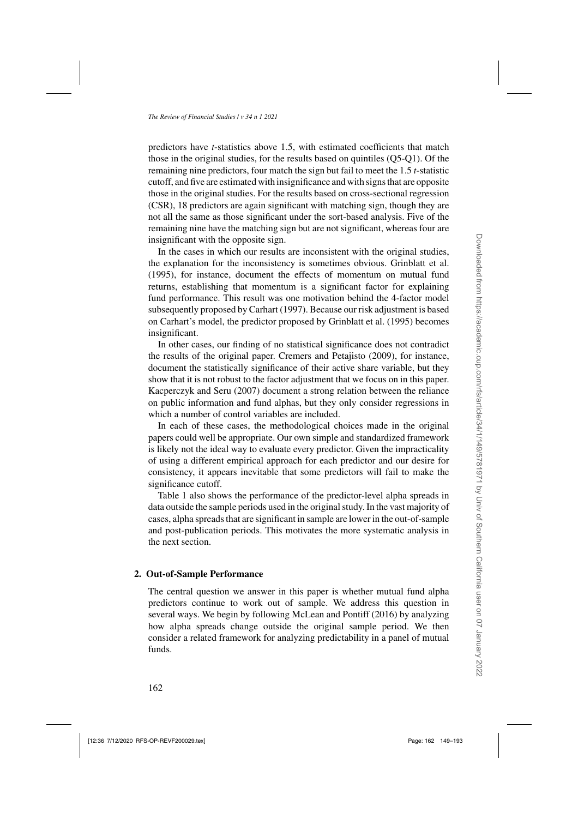predictors have *t*-statistics above 1.5, with estimated coefficients that match those in the original studies, for the results based on quintiles (Q5-Q1). Of the remaining nine predictors, four match the sign but fail to meet the 1.5 *t*-statistic cutoff, and five are estimated with insignificance and with signs that are opposite those in the original studies. For the results based on cross-sectional regression (CSR), 18 predictors are again significant with matching sign, though they are not all the same as those significant under the sort-based analysis. Five of the remaining nine have the matching sign but are not significant, whereas four are insignificant with the opposite sign.

In the cases in which our results are inconsistent with the original studies, the explanation for the inconsistency is sometimes obvious. [Grinblatt et al.](#page-43-0) [\(1995\)](#page-43-0), for instance, document the effects of momentum on mutual fund returns, establishing that momentum is a significant factor for explaining fund performance. This result was one motivation behind the 4-factor model subsequently proposed by [Carhart](#page-42-0) [\(1997](#page-42-0)). Because our risk adjustment is based on Carhart's model, the predictor proposed by [Grinblatt et al.](#page-43-0) [\(1995\)](#page-43-0) becomes insignificant.

In other cases, our finding of no statistical significance does not contradict the results of the original paper. [Cremers and Petajisto](#page-42-0) [\(2009\)](#page-42-0), for instance, document the statistically significance of their active share variable, but they show that it is not robust to the factor adjustment that we focus on in this paper. [Kacperczyk and Seru](#page-43-0) [\(2007\)](#page-43-0) document a strong relation between the reliance on public information and fund alphas, but they only consider regressions in which a number of control variables are included.

In each of these cases, the methodological choices made in the original papers could well be appropriate. Our own simple and standardized framework is likely not the ideal way to evaluate every predictor. Given the impracticality of using a different empirical approach for each predictor and our desire for consistency, it appears inevitable that some predictors will fail to make the significance cutoff.

Table [1](#page-11-0) also shows the performance of the predictor-level alpha spreads in data outside the sample periods used in the original study. In the vast majority of cases, alpha spreads that are significant in sample are lower in the out-of-sample and post-publication periods. This motivates the more systematic analysis in the next section.

# **2. Out-of-Sample Performance**

The central question we answer in this paper is whether mutual fund alpha predictors continue to work out of sample. We address this question in several ways. We begin by following [McLean and Pontiff](#page-44-0) [\(2016\)](#page-44-0) by analyzing how alpha spreads change outside the original sample period. We then consider a related framework for analyzing predictability in a panel of mutual funds.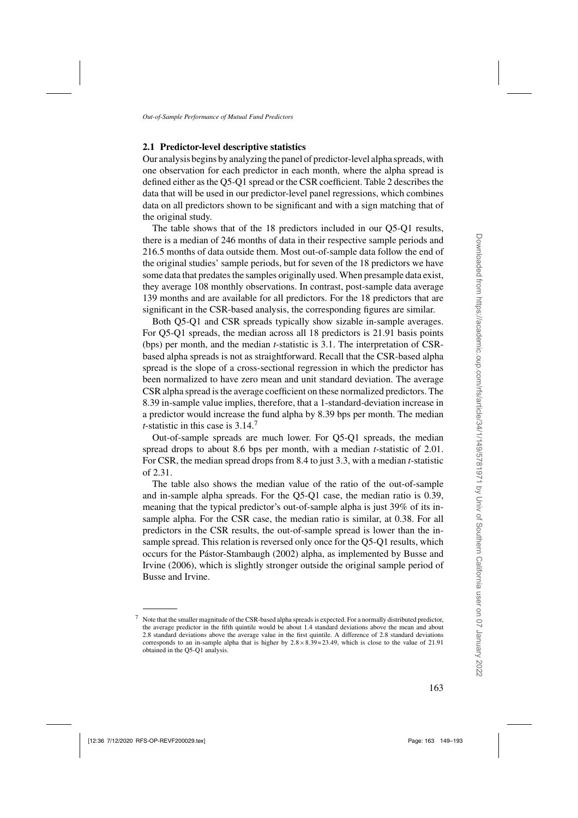## **2.1 Predictor-level descriptive statistics**

Our analysis begins by analyzing the panel of predictor-level alpha spreads, with one observation for each predictor in each month, where the alpha spread is defined either as the Q5-Q1 spread or the CSR coefficient. Table [2](#page-15-0) describes the data that will be used in our predictor-level panel regressions, which combines data on all predictors shown to be significant and with a sign matching that of the original study.

The table shows that of the 18 predictors included in our Q5-Q1 results, there is a median of 246 months of data in their respective sample periods and 216.5 months of data outside them. Most out-of-sample data follow the end of the original studies' sample periods, but for seven of the 18 predictors we have some data that predates the samples originally used. When presample data exist, they average 108 monthly observations. In contrast, post-sample data average 139 months and are available for all predictors. For the 18 predictors that are significant in the CSR-based analysis, the corresponding figures are similar.

Both Q5-Q1 and CSR spreads typically show sizable in-sample averages. For Q5-Q1 spreads, the median across all 18 predictors is 21.91 basis points (bps) per month, and the median *t*-statistic is 3.1. The interpretation of CSRbased alpha spreads is not as straightforward. Recall that the CSR-based alpha spread is the slope of a cross-sectional regression in which the predictor has been normalized to have zero mean and unit standard deviation. The average CSR alpha spread is the average coefficient on these normalized predictors. The 8.39 in-sample value implies, therefore, that a 1-standard-deviation increase in a predictor would increase the fund alpha by 8.39 bps per month. The median *t*-statistic in this case is 3.14.<sup>7</sup>

Out-of-sample spreads are much lower. For Q5-Q1 spreads, the median spread drops to about 8.6 bps per month, with a median *t*-statistic of 2.01. For CSR, the median spread drops from 8.4 to just 3.3, with a median *t*-statistic of 2.31.

The table also shows the median value of the ratio of the out-of-sample and in-sample alpha spreads. For the Q5-Q1 case, the median ratio is 0.39, meaning that the typical predictor's out-of-sample alpha is just 39% of its insample alpha. For the CSR case, the median ratio is similar, at 0.38. For all predictors in the CSR results, the out-of-sample spread is lower than the insample spread. This relation is reversed only once for the Q5-Q1 results, which occur[s for the](#page-42-0) [Pástor-Stambaugh](#page-44-0)[\(2002](#page-44-0)[\) alpha, as implemented by](#page-42-0) Busse and Irvine [\(2006](#page-42-0)), which is slightly stronger outside the original sample period of Busse and Irvine.

<sup>7</sup> Note that the smaller magnitude of the CSR-based alpha spreads is expected. For a normally distributed predictor, the average predictor in the fifth quintile would be about 1.4 standard deviations above the mean and about 2.8 standard deviations above the average value in the first quintile. A difference of 2.8 standard deviations corresponds to an in-sample alpha that is higher by  $2.8 \times 8.39 = 23.49$ , which is close to the value of 21.91 obtained in the Q5-Q1 analysis.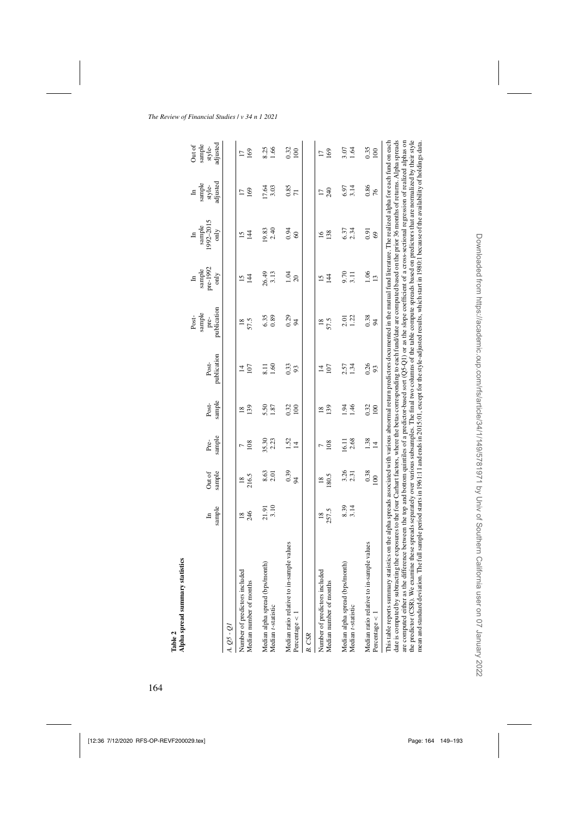<span id="page-15-0"></span>

| tistics<br>Alpha spread summary stat<br>Table 2                                                                                                                                                                                                                                                                                                                                                                                                                                                                                                                                                                                                                                                                                                                                                                                                                                                                                                                                                                |                          |                          |                   |                        |                          |                                        |                                     |                                               |                                       |                                        |
|----------------------------------------------------------------------------------------------------------------------------------------------------------------------------------------------------------------------------------------------------------------------------------------------------------------------------------------------------------------------------------------------------------------------------------------------------------------------------------------------------------------------------------------------------------------------------------------------------------------------------------------------------------------------------------------------------------------------------------------------------------------------------------------------------------------------------------------------------------------------------------------------------------------------------------------------------------------------------------------------------------------|--------------------------|--------------------------|-------------------|------------------------|--------------------------|----------------------------------------|-------------------------------------|-----------------------------------------------|---------------------------------------|----------------------------------------|
|                                                                                                                                                                                                                                                                                                                                                                                                                                                                                                                                                                                                                                                                                                                                                                                                                                                                                                                                                                                                                | $\mbox{sample}$<br>$\Xi$ | sample<br>Out of         | sample<br>Pre-    | sample<br>Post-        | publication<br>Post-     | publication<br>sample<br>Post-<br>pre- | pre-1992<br>sample<br>only<br>$\Xi$ | 1992-2015<br>$\text{sample}$<br>only<br>$\Xi$ | style-<br>adjusted<br>sample<br>$\Xi$ | adjusted<br>sample<br>Out of<br>style- |
| A. Q5 - Q1                                                                                                                                                                                                                                                                                                                                                                                                                                                                                                                                                                                                                                                                                                                                                                                                                                                                                                                                                                                                     |                          |                          |                   |                        |                          |                                        |                                     |                                               |                                       |                                        |
| Number of predictors included<br>Median number of months                                                                                                                                                                                                                                                                                                                                                                                                                                                                                                                                                                                                                                                                                                                                                                                                                                                                                                                                                       | 246<br>$\overline{18}$   | 216.5<br>$\overline{18}$ | 108               | 139<br>$\overline{18}$ | 107<br>4                 | 57.5<br>$\frac{8}{18}$                 | $\overline{14}$<br>15               | $\overline{4}$<br>15                          | 169                                   | 169<br>$\overline{1}$                  |
| Median alpha spread (bps/month)<br>Median t-statistic                                                                                                                                                                                                                                                                                                                                                                                                                                                                                                                                                                                                                                                                                                                                                                                                                                                                                                                                                          | 3.10<br>21.91            | 8.63                     | 35.30<br>2.23     | 5.50<br>1.87           | 1.60<br>$\overline{8}$ . | 6.35<br>0.89                           | 26.49<br>3.13                       | 2.40<br>19.83                                 | 17.64<br>3.03                         | 8.25<br>1.66                           |
| mple values<br>Median ratio relative to in-sar<br>Percentage $\lt$                                                                                                                                                                                                                                                                                                                                                                                                                                                                                                                                                                                                                                                                                                                                                                                                                                                                                                                                             |                          | 0.39                     | $\frac{1.52}{14}$ | 0.32<br>100            | 0.33<br>93               | 0.29<br>$\approx$                      | 1.04<br>20                          | 0.94<br>$\degree$                             | 0.85<br>$\overline{7}$                | 0.32<br>100                            |
| B. CSR                                                                                                                                                                                                                                                                                                                                                                                                                                                                                                                                                                                                                                                                                                                                                                                                                                                                                                                                                                                                         |                          |                          |                   |                        |                          |                                        |                                     |                                               |                                       |                                        |
| Number of predictors included<br>Median number of months                                                                                                                                                                                                                                                                                                                                                                                                                                                                                                                                                                                                                                                                                                                                                                                                                                                                                                                                                       | 257.5<br>$\frac{8}{18}$  | 180.5<br>$\frac{8}{2}$   | 108               | 139<br>$\frac{8}{2}$   | 107<br>$\vec{a}$         | 57.5<br>$\frac{8}{2}$                  | $\overline{4}$<br>$\overline{15}$   | 138<br>$\frac{6}{2}$                          | 240<br>$\overline{1}$                 | 169<br>$\Box$                          |
| Median alpha spread (bps/month)<br>Median t-statistic                                                                                                                                                                                                                                                                                                                                                                                                                                                                                                                                                                                                                                                                                                                                                                                                                                                                                                                                                          | $8.39$<br>$3.14$         | $3.26$<br>$2.31$         | 16.11<br>2.68     | 1.46<br>1.94           | 1.34<br>2.57             | 1.22<br>2.01                           | $9.70$<br>$3.11$                    | $6.37$<br>2.34                                | 3.14<br>6.97                          | $3.07$<br>1.64                         |
| mple values<br>Median ratio relative to in-sar<br>Percentage $\lt$                                                                                                                                                                                                                                                                                                                                                                                                                                                                                                                                                                                                                                                                                                                                                                                                                                                                                                                                             |                          | 0.38<br>100              | 1.38<br>$\Xi$     | 0.32<br>100            | 0.26<br>93               | 0.38<br>$\overline{5}$                 | 1.06<br>$\overline{13}$             | 0.91<br>69                                    | 0.86<br>76                            | 0.35<br>100                            |
| the predictor (CSR). We examine these spreads separately over various subsamples. The final two columns of the table compute spreads based on predictors that are normalized by their style<br>date is computed by subtracting the exposures to the four Carhart factors, where the betas corresponding to each fund/date are computed based on the prior 36 months of returns. Alpha spreads<br>This table reports summary statistics on the alpha spreads associated with various abnormal return predictors documented in the mutual fund literature. The realized alpha for each fund on each<br>are computed either as the difference between the top and bottom quintiles of a predictor-based sort $(Q5-Q1)$ or as the slope coefficient of a cross-sectional regression of realized alphas on<br>mean and standard deviation. The full sample period starts in 1961:11 and ends in 2015:01, except for the style-adjusted results, which start in 1980:1 because of the availability of holdings data. |                          |                          |                   |                        |                          |                                        |                                     |                                               |                                       |                                        |

Downloaded from https://academic.oup.com/rfs/article/34/1/149/5781971 by Univ of Southern California user on 07 January 2022

Downloaded from https://academic.oup.com/rfs/article/34/1/149/5781971 by Univ of Southern California user on 07 January 2022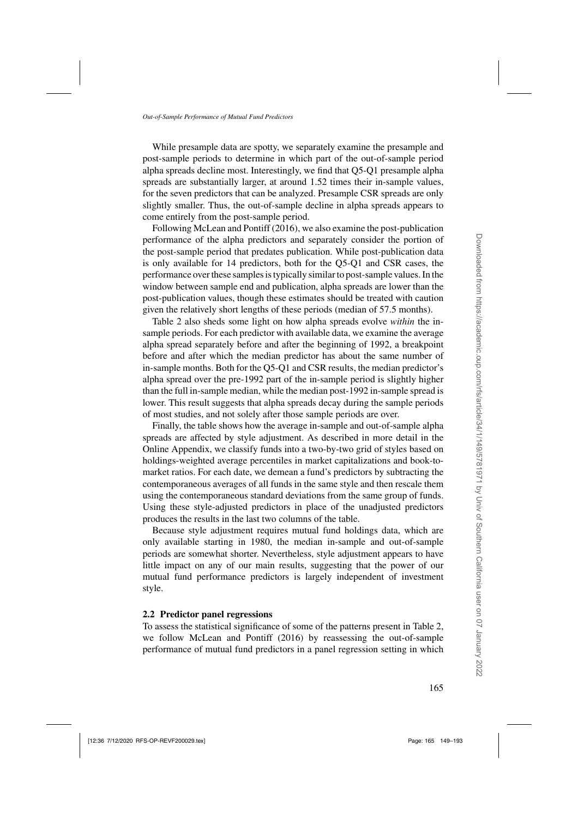<span id="page-16-0"></span>While presample data are spotty, we separately examine the presample and post-sample periods to determine in which part of the out-of-sample period alpha spreads decline most. Interestingly, we find that Q5-Q1 presample alpha spreads are substantially larger, at around 1.52 times their in-sample values, for the seven predictors that can be analyzed. Presample CSR spreads are only slightly smaller. Thus, the out-of-sample decline in alpha spreads appears to come entirely from the post-sample period.

Following [McLean and Pontiff](#page-44-0) [\(2016\)](#page-44-0), we also examine the post-publication performance of the alpha predictors and separately consider the portion of the post-sample period that predates publication. While post-publication data is only available for 14 predictors, both for the Q5-Q1 and CSR cases, the performance over these samples is typically similar to post-sample values. In the window between sample end and publication, alpha spreads are lower than the post-publication values, though these estimates should be treated with caution given the relatively short lengths of these periods (median of 57.5 months).

Table [2](#page-15-0) also sheds some light on how alpha spreads evolve *within* the insample periods. For each predictor with available data, we examine the average alpha spread separately before and after the beginning of 1992, a breakpoint before and after which the median predictor has about the same number of in-sample months. Both for the Q5-Q1 and CSR results, the median predictor's alpha spread over the pre-1992 part of the in-sample period is slightly higher than the full in-sample median, while the median post-1992 in-sample spread is lower. This result suggests that alpha spreads decay during the sample periods of most studies, and not solely after those sample periods are over.

Finally, the table shows how the average in-sample and out-of-sample alpha spreads are affected by style adjustment. As described in more detail in the Online Appendix, we classify funds into a two-by-two grid of styles based on holdings-weighted average percentiles in market capitalizations and book-tomarket ratios. For each date, we demean a fund's predictors by subtracting the contemporaneous averages of all funds in the same style and then rescale them using the contemporaneous standard deviations from the same group of funds. Using these style-adjusted predictors in place of the unadjusted predictors produces the results in the last two columns of the table.

Because style adjustment requires mutual fund holdings data, which are only available starting in 1980, the median in-sample and out-of-sample periods are somewhat shorter. Nevertheless, style adjustment appears to have little impact on any of our main results, suggesting that the power of our mutual fund performance predictors is largely independent of investment style.

#### **2.2 Predictor panel regressions**

To assess the statistical significance of some of the patterns present in Table [2,](#page-15-0) we follow [McLean and Pontiff](#page-44-0) [\(2016\)](#page-44-0) by reassessing the out-of-sample performance of mutual fund predictors in a panel regression setting in which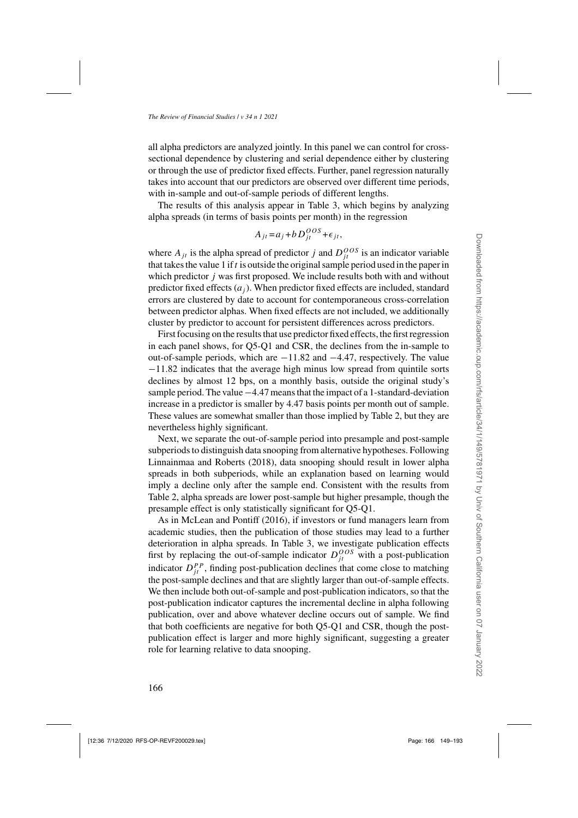all alpha predictors are analyzed jointly. In this panel we can control for crosssectional dependence by clustering and serial dependence either by clustering or through the use of predictor fixed effects. Further, panel regression naturally takes into account that our predictors are observed over different time periods, with in-sample and out-of-sample periods of different lengths.

The results of this analysis appear in Table [3,](#page-18-0) which begins by analyzing alpha spreads (in terms of basis points per month) in the regression

$$
A_{jt} = a_j + b D_{jt}^{OOS} + \epsilon_{jt},
$$

where  $A_{jt}$  is the alpha spread of predictor j and  $D_{jt}^{OOS}$  is an indicator variable that takes the value 1 if  $t$  is outside the original sample period used in the paper in which predictor  $j$  was first proposed. We include results both with and without predictor fixed effects  $(a_i)$ . When predictor fixed effects are included, standard errors are clustered by date to account for contemporaneous cross-correlation between predictor alphas. When fixed effects are not included, we additionally cluster by predictor to account for persistent differences across predictors.

First focusing on the results that use predictor fixed effects, the first regression in each panel shows, for Q5-Q1 and CSR, the declines from the in-sample to out-of-sample periods, which are −11.82 and −4.47, respectively. The value −11.82 indicates that the average high minus low spread from quintile sorts declines by almost 12 bps, on a monthly basis, outside the original study's sample period. The value −4.47 means that the impact of a 1-standard-deviation increase in a predictor is smaller by 4.47 basis points per month out of sample. These values are somewhat smaller than those implied by Table [2,](#page-15-0) but they are nevertheless highly significant.

Next, we separate the out-of-sample period into presample and post-sample subperiods to distinguish data snooping from alternative hypotheses. Following [Linnainmaa and Roberts](#page-44-0) [\(2018\)](#page-44-0), data snooping should result in lower alpha spreads in both subperiods, while an explanation based on learning would imply a decline only after the sample end. Consistent with the results from Table [2,](#page-15-0) alpha spreads are lower post-sample but higher presample, though the presample effect is only statistically significant for Q5-Q1.

As in [McLean and Pontiff](#page-44-0) [\(2016\)](#page-44-0), if investors or fund managers learn from academic studies, then the publication of those studies may lead to a further deterioration in alpha spreads. In Table [3,](#page-18-0) we investigate publication effects first by replacing the out-of-sample indicator  $D_{jt}^{OOS}$  with a post-publication indicator  $D_{jt}^{PP}$ , finding post-publication declines that come close to matching the post-sample declines and that are slightly larger than out-of-sample effects. We then include both out-of-sample and post-publication indicators, so that the post-publication indicator captures the incremental decline in alpha following publication, over and above whatever decline occurs out of sample. We find that both coefficients are negative for both Q5-Q1 and CSR, though the postpublication effect is larger and more highly significant, suggesting a greater role for learning relative to data snooping.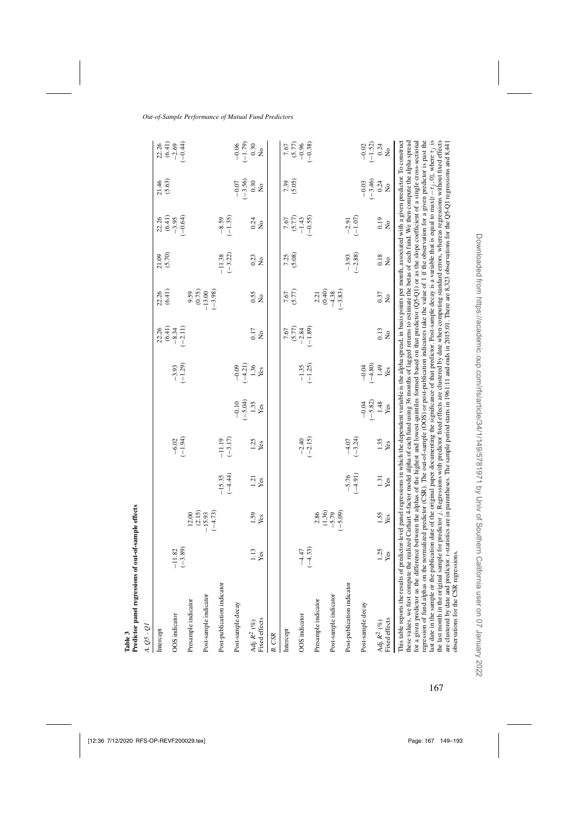<span id="page-18-0"></span>

| $A. Q5 - QI$                                                                                                                                                                                                                                                                                                                                                                                                                                                                                                                                                                                                                                                                                                                                                                                                                                               |                           |                                                                     |                           |                           |                                     |                                       |                                          |                                                        |                       |                                                                                                                                                                 |                                    |                                             |
|------------------------------------------------------------------------------------------------------------------------------------------------------------------------------------------------------------------------------------------------------------------------------------------------------------------------------------------------------------------------------------------------------------------------------------------------------------------------------------------------------------------------------------------------------------------------------------------------------------------------------------------------------------------------------------------------------------------------------------------------------------------------------------------------------------------------------------------------------------|---------------------------|---------------------------------------------------------------------|---------------------------|---------------------------|-------------------------------------|---------------------------------------|------------------------------------------|--------------------------------------------------------|-----------------------|-----------------------------------------------------------------------------------------------------------------------------------------------------------------|------------------------------------|---------------------------------------------|
| Intercept                                                                                                                                                                                                                                                                                                                                                                                                                                                                                                                                                                                                                                                                                                                                                                                                                                                  |                           |                                                                     |                           |                           |                                     |                                       |                                          | 22.26                                                  | 21.09                 |                                                                                                                                                                 | 21.46                              |                                             |
| OOS indicator                                                                                                                                                                                                                                                                                                                                                                                                                                                                                                                                                                                                                                                                                                                                                                                                                                              |                           |                                                                     |                           |                           |                                     |                                       | $22.26$ $(6.41)$ $-8.34$ $-11)$          | (6.41)                                                 | (5.70)                | $22.36$<br>$(6.4)$<br>$(6.4)$<br>$(6.4)$                                                                                                                        | (5.63)                             | $22.26$<br>$(6.41)$<br>$-2.69$<br>$(-0.44)$ |
|                                                                                                                                                                                                                                                                                                                                                                                                                                                                                                                                                                                                                                                                                                                                                                                                                                                            | $-11.82$<br>$(-3.89)$     |                                                                     |                           | $-6.02$<br>$(-1.94)$      |                                     | $-3.93$<br>$(-1.29)$                  |                                          |                                                        |                       |                                                                                                                                                                 |                                    |                                             |
| Presample indicator                                                                                                                                                                                                                                                                                                                                                                                                                                                                                                                                                                                                                                                                                                                                                                                                                                        |                           |                                                                     |                           |                           |                                     |                                       |                                          |                                                        |                       |                                                                                                                                                                 |                                    |                                             |
| Post-sample indicator                                                                                                                                                                                                                                                                                                                                                                                                                                                                                                                                                                                                                                                                                                                                                                                                                                      |                           | $\begin{array}{c} 12.00 \\ (2.15) \\ -15.73 \\ (-4.73) \end{array}$ |                           |                           |                                     |                                       |                                          | $0.59$<br>$0.75$<br>$-13.00$<br>$-3.98$                |                       |                                                                                                                                                                 |                                    |                                             |
| Post-publication indicator                                                                                                                                                                                                                                                                                                                                                                                                                                                                                                                                                                                                                                                                                                                                                                                                                                 |                           |                                                                     | $-15.35$<br>(-4.44)       | $-11.19$<br>$(-3.17)$     |                                     |                                       |                                          |                                                        | $-11.38$<br>$(-3.22)$ | $-8.59$<br>$(-1.35)$                                                                                                                                            |                                    |                                             |
| Post-sample decay                                                                                                                                                                                                                                                                                                                                                                                                                                                                                                                                                                                                                                                                                                                                                                                                                                          |                           |                                                                     |                           |                           |                                     |                                       |                                          |                                                        |                       |                                                                                                                                                                 |                                    |                                             |
| Adj. $R^2$ (%)<br>Fixed effects                                                                                                                                                                                                                                                                                                                                                                                                                                                                                                                                                                                                                                                                                                                                                                                                                            | $\frac{1.13}{\text{Yes}}$ | $\frac{1.59}{Yes}$                                                  | $\frac{1.21}{Yes}$        | $\frac{1.25}{Yes}$        | $-0.10$<br>$(-5.04)$<br>1.35<br>Yes | $-0.09$<br>$(-4.21)$<br>$1.36$<br>Yes | $\frac{0.17}{N_{\odot}}$                 | $0.55$<br>No                                           | $\frac{23}{10}$       | $0.24$<br>No                                                                                                                                                    | $-0.07$<br>$(-3.56)$<br>0.30<br>No | $-0.06$<br>$(-1.79)$<br>0.30<br>No          |
| B. CSR                                                                                                                                                                                                                                                                                                                                                                                                                                                                                                                                                                                                                                                                                                                                                                                                                                                     |                           |                                                                     |                           |                           |                                     |                                       |                                          |                                                        |                       |                                                                                                                                                                 |                                    |                                             |
| Intercept                                                                                                                                                                                                                                                                                                                                                                                                                                                                                                                                                                                                                                                                                                                                                                                                                                                  |                           |                                                                     |                           |                           |                                     |                                       |                                          |                                                        | 7.25<br>(5.08)        |                                                                                                                                                                 | 7.39                               |                                             |
|                                                                                                                                                                                                                                                                                                                                                                                                                                                                                                                                                                                                                                                                                                                                                                                                                                                            |                           |                                                                     |                           |                           |                                     |                                       | $7.67$<br>$(5.77)$<br>$-2.89$<br>$-1.89$ | $7.67$<br>(5.77)                                       |                       | $7.67$<br>$-1.43$<br>$-0.55$                                                                                                                                    | (5.05)                             | $7.67$<br>$-0.36$<br>$-0.38$<br>$-0.38$     |
| OOS indicator                                                                                                                                                                                                                                                                                                                                                                                                                                                                                                                                                                                                                                                                                                                                                                                                                                              | $-4.47$                   |                                                                     |                           | $-2.40$<br>$(-2.15)$      |                                     | $-1.35$<br>$(-1.25)$                  |                                          |                                                        |                       |                                                                                                                                                                 |                                    |                                             |
|                                                                                                                                                                                                                                                                                                                                                                                                                                                                                                                                                                                                                                                                                                                                                                                                                                                            | $(-4.33)$                 |                                                                     |                           |                           |                                     |                                       |                                          |                                                        |                       |                                                                                                                                                                 |                                    |                                             |
| Presample indicator                                                                                                                                                                                                                                                                                                                                                                                                                                                                                                                                                                                                                                                                                                                                                                                                                                        |                           |                                                                     |                           |                           |                                     |                                       |                                          |                                                        |                       |                                                                                                                                                                 |                                    |                                             |
| Post-sample indicator                                                                                                                                                                                                                                                                                                                                                                                                                                                                                                                                                                                                                                                                                                                                                                                                                                      |                           | $2.86$<br>$(1.36)$<br>$-5.79$<br>$-5.09$                            |                           |                           |                                     |                                       |                                          | $2.21$<br>$(0.40)$<br>$(0.40)$<br>$(0.40)$<br>$(0.40)$ |                       |                                                                                                                                                                 |                                    |                                             |
| Post-publication indicator                                                                                                                                                                                                                                                                                                                                                                                                                                                                                                                                                                                                                                                                                                                                                                                                                                 |                           |                                                                     | $-5.76$<br>$(-4.91)$      | $-4.07$<br>$(-3.24)$      |                                     |                                       |                                          |                                                        | $-3.93$<br>$(-2.88)$  | $-2.91$<br>$(-1.07)$                                                                                                                                            |                                    |                                             |
| Post-sample decay                                                                                                                                                                                                                                                                                                                                                                                                                                                                                                                                                                                                                                                                                                                                                                                                                                          |                           |                                                                     |                           |                           | $-0.04$<br>$(-5.82)$                | $-0.04$<br>$-4.80$                    |                                          |                                                        |                       |                                                                                                                                                                 | $-0.46$<br>$-3.46$<br>0.24<br>No   | $-0.52$<br>$-1.52$<br>$-0.24$<br>$-0.24$    |
| Adj. $R^2$ (%)                                                                                                                                                                                                                                                                                                                                                                                                                                                                                                                                                                                                                                                                                                                                                                                                                                             | $\frac{1.25}{Yes}$        | $\frac{1.55}{Yes}$                                                  | $\frac{1.31}{\text{Yes}}$ | $\frac{1.35}{\text{Yes}}$ | $\frac{1.48}{\text{Yes}}$           | 1.49                                  | $\frac{0.13}{N_0}$                       | $0.37$<br>No                                           | $\frac{0.18}{N_Q}$    | 0.19                                                                                                                                                            |                                    |                                             |
| Fixed effects                                                                                                                                                                                                                                                                                                                                                                                                                                                                                                                                                                                                                                                                                                                                                                                                                                              |                           |                                                                     |                           |                           |                                     | Yes                                   |                                          |                                                        |                       | $\stackrel{\circ}{\mathsf{Z}}$                                                                                                                                  |                                    |                                             |
| last date in the sample or the publication date of the original paper documenting the significance of that predictor. Post-sample decay is a variable that is equal to $\max\{t - \tau_j, 0\}$ , where $\tau_j$ is<br>This table reports the results of predictor-level panel regressions in which the dependent variable is the alpha spread, in basis points per month, associated with a given predictor. To construct<br>for a given predictor as the difference between the alphas of the highest and lowest quintiles formed based on that predictor (Q5-Q1) or as the slope coefficient of a single cross-sectional<br>these values, we first compute the realized Carbart 4-factor model alpha of each fund using 36 months of lagged returns to estimate the betas of each fund. We then compute the alpha spread<br>regression of fund alphas on |                           |                                                                     |                           |                           |                                     |                                       |                                          |                                                        |                       | the normalized predictor (CSR). The out-of-sample (OOS) or post-publication indicators take the value of 1 if the observation for a given predictor is past the |                                    |                                             |

**Table 3**

**Predictor panel regressions of out-of-sample effects**

Predictor panel regressions of out-of-sample effects

observations for the CSR regressions.

the last month in the original sample for predictor j . Regressions with predictor fixed effects are clustered by date when computing standard errors, whereas regressions without fixed effects are clustered by date and predictor. t-statistics are in parentheses. The sample period starts in 1961:11 and ends in 2015:01. There are 8,323 observations for the Q5-Q1 regressions and 8,441

the last month in the original sample for predictor j. Regressions with predictor fixed effects are clustered by date when computing standard errors, whereas regressions without fixed effects are clustered by date and predictor. r-statistics are in parentheses. The sample period starts in 1961:11 and ends in 2015:01. There are 8,323 observations for the Q5-Q1 regressions and 8,441<br>observations for the CSR regre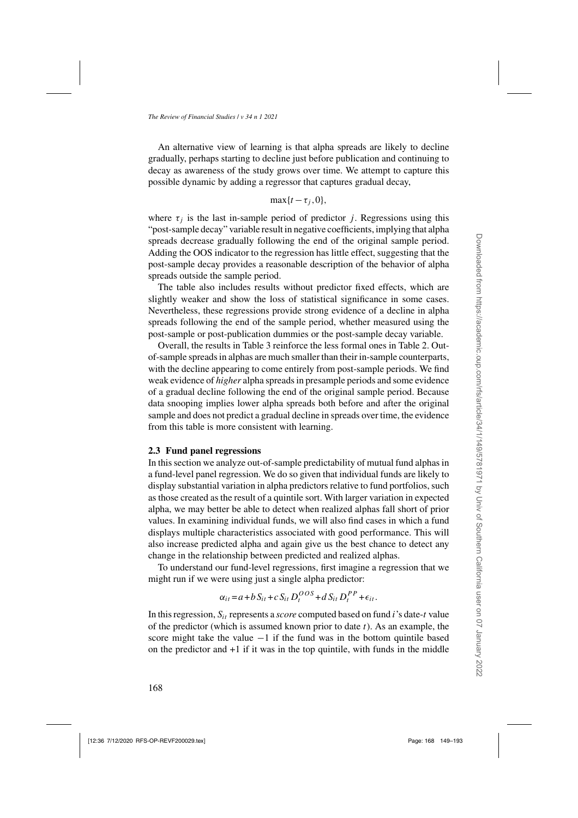<span id="page-19-0"></span>An alternative view of learning is that alpha spreads are likely to decline gradually, perhaps starting to decline just before publication and continuing to decay as awareness of the study grows over time. We attempt to capture this possible dynamic by adding a regressor that captures gradual decay,

$$
\max\{t-\tau_j,0\},\
$$

where  $\tau_j$  is the last in-sample period of predictor j. Regressions using this "post-sample decay" variable result in negative coefficients, implying that alpha spreads decrease gradually following the end of the original sample period. Adding the OOS indicator to the regression has little effect, suggesting that the post-sample decay provides a reasonable description of the behavior of alpha spreads outside the sample period.

The table also includes results without predictor fixed effects, which are slightly weaker and show the loss of statistical significance in some cases. Nevertheless, these regressions provide strong evidence of a decline in alpha spreads following the end of the sample period, whether measured using the post-sample or post-publication dummies or the post-sample decay variable.

Overall, the results in Table [3](#page-18-0) reinforce the less formal ones in Table [2.](#page-15-0) Outof-sample spreads in alphas are much smaller than their in-sample counterparts, with the decline appearing to come entirely from post-sample periods. We find weak evidence of *higher* alpha spreads in presample periods and some evidence of a gradual decline following the end of the original sample period. Because data snooping implies lower alpha spreads both before and after the original sample and does not predict a gradual decline in spreads over time, the evidence from this table is more consistent with learning.

#### **2.3 Fund panel regressions**

In this section we analyze out-of-sample predictability of mutual fund alphas in a fund-level panel regression. We do so given that individual funds are likely to display substantial variation in alpha predictors relative to fund portfolios, such as those created as the result of a quintile sort. With larger variation in expected alpha, we may better be able to detect when realized alphas fall short of prior values. In examining individual funds, we will also find cases in which a fund displays multiple characteristics associated with good performance. This will also increase predicted alpha and again give us the best chance to detect any change in the relationship between predicted and realized alphas.

To understand our fund-level regressions, first imagine a regression that we might run if we were using just a single alpha predictor:

$$
\alpha_{it} = a + b S_{it} + c S_{it} D_t^{OOS} + d S_{it} D_t^{PP} + \epsilon_{it}.
$$

In this regression,  $S_{it}$  represents a *score* computed based on fund  $i$ 's date-t value of the predictor (which is assumed known prior to date  $t$ ). As an example, the score might take the value  $-1$  if the fund was in the bottom quintile based on the predictor and +1 if it was in the top quintile, with funds in the middle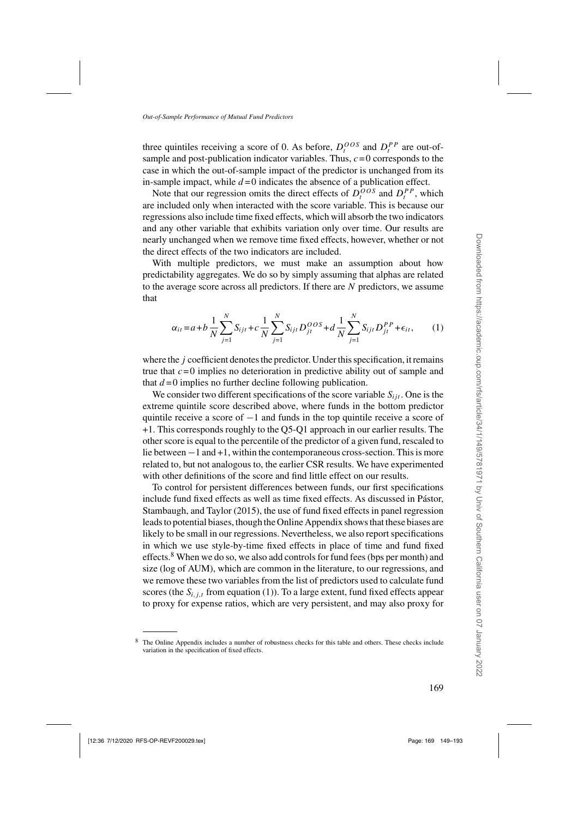<span id="page-20-0"></span>three quintiles receiving a score of 0. As before,  $D_t^{OOS}$  and  $D_t^{PP}$  are out-ofsample and post-publication indicator variables. Thus,  $c=0$  corresponds to the case in which the out-of-sample impact of the predictor is unchanged from its in-sample impact, while  $d = 0$  indicates the absence of a publication effect.

Note that our regression omits the direct effects of  $D_t^{OOS}$  and  $D_t^{PP}$ , which are included only when interacted with the score variable. This is because our regressions also include time fixed effects, which will absorb the two indicators and any other variable that exhibits variation only over time. Our results are nearly unchanged when we remove time fixed effects, however, whether or not the direct effects of the two indicators are included.

With multiple predictors, we must make an assumption about how predictability aggregates. We do so by simply assuming that alphas are related to the average score across all predictors. If there are N predictors, we assume that

$$
\alpha_{it} = a + b \frac{1}{N} \sum_{j=1}^{N} S_{ijt} + c \frac{1}{N} \sum_{j=1}^{N} S_{ijt} D_{jt}^{OOS} + d \frac{1}{N} \sum_{j=1}^{N} S_{ijt} D_{jt}^{PP} + \epsilon_{it}, \qquad (1)
$$

where the *j* coefficient denotes the predictor. Under this specification, it remains true that  $c = 0$  implies no deterioration in predictive ability out of sample and that  $d = 0$  implies no further decline following publication.

We consider two different specifications of the score variable  $S_{i}$ . One is the extreme quintile score described above, where funds in the bottom predictor quintile receive a score of −1 and funds in the top quintile receive a score of +1. This corresponds roughly to the Q5-Q1 approach in our earlier results. The other score is equal to the percentile of the predictor of a given fund, rescaled to lie between −1 and +1, within the contemporaneous cross-section. This is more related to, but not analogous to, the earlier CSR results. We have experimented with other definitions of the score and find little effect on our results.

To control for persistent differences between funds, our first specifications include fund fixed effe[cts as well as time fixed effects. As discussed in](#page-44-0) Pástor, Stambaugh, and Taylor [\(2015\)](#page-44-0), the use of fund fixed effects in panel regression leads to potential biases, though the Online Appendix shows that these biases are likely to be small in our regressions. Nevertheless, we also report specifications in which we use style-by-time fixed effects in place of time and fund fixed effects.<sup>8</sup> When we do so, we also add controls for fund fees (bps per month) and size (log of AUM), which are common in the literature, to our regressions, and we remove these two variables from the list of predictors used to calculate fund scores (the  $S_{i,j,t}$  from equation (1)). To a large extent, fund fixed effects appear to proxy for expense ratios, which are very persistent, and may also proxy for

<sup>8</sup> The Online Appendix includes a number of robustness checks for this table and others. These checks include variation in the specification of fixed effects.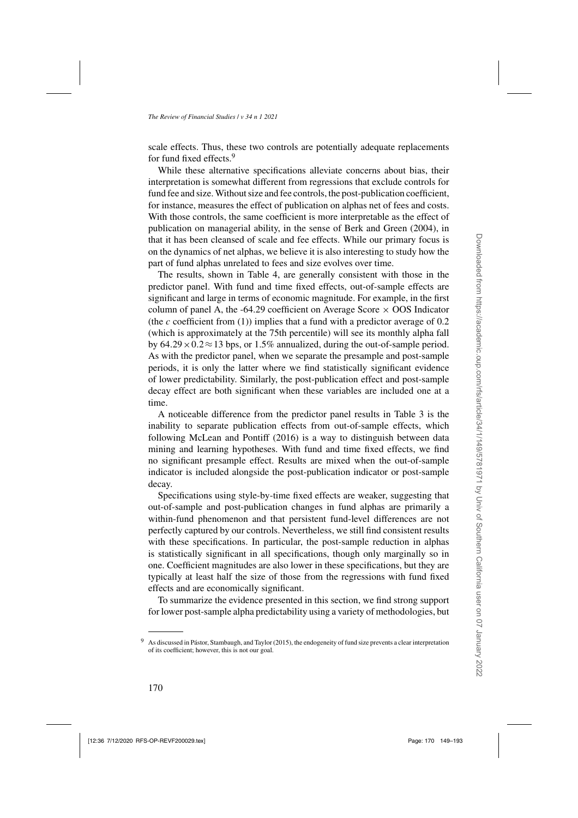scale effects. Thus, these two controls are potentially adequate replacements for fund fixed effects.<sup>9</sup>

While these alternative specifications alleviate concerns about bias, their interpretation is somewhat different from regressions that exclude controls for fund fee and size. Without size and fee controls, the post-publication coefficient, for instance, measures the effect of publication on alphas net of fees and costs. With those controls, the same coefficient is more interpretable as the effect of publication on managerial ability, in the sense of [Berk and Green](#page-42-0) [\(2004](#page-42-0)), in that it has been cleansed of scale and fee effects. While our primary focus is on the dynamics of net alphas, we believe it is also interesting to study how the part of fund alphas unrelated to fees and size evolves over time.

The results, shown in Table [4,](#page-22-0) are generally consistent with those in the predictor panel. With fund and time fixed effects, out-of-sample effects are significant and large in terms of economic magnitude. For example, in the first column of panel A, the -64.29 coefficient on Average Score  $\times$  OOS Indicator (the c coefficient from  $(1)$ ) implies that a fund with a predictor average of 0.2 (which is approximately at the 75th percentile) will see its monthly alpha fall by  $64.29 \times 0.2 \approx 13$  bps, or 1.5% annualized, during the out-of-sample period. As with the predictor panel, when we separate the presample and post-sample periods, it is only the latter where we find statistically significant evidence of lower predictability. Similarly, the post-publication effect and post-sample decay effect are both significant when these variables are included one at a time.

A noticeable difference from the predictor panel results in Table [3](#page-18-0) is the inability to separate publication effects from out-of-sample effects, which following [McLean and Pontiff](#page-44-0) [\(2016\)](#page-44-0) is a way to distinguish between data mining and learning hypotheses. With fund and time fixed effects, we find no significant presample effect. Results are mixed when the out-of-sample indicator is included alongside the post-publication indicator or post-sample decay.

Specifications using style-by-time fixed effects are weaker, suggesting that out-of-sample and post-publication changes in fund alphas are primarily a within-fund phenomenon and that persistent fund-level differences are not perfectly captured by our controls. Nevertheless, we still find consistent results with these specifications. In particular, the post-sample reduction in alphas is statistically significant in all specifications, though only marginally so in one. Coefficient magnitudes are also lower in these specifications, but they are typically at least half the size of those from the regressions with fund fixed effects and are economically significant.

To summarize the evidence presented in this section, we find strong support for lower post-sample alpha predictability using a variety of methodologies, but

As discussed in [Pástor, Stambaugh, and Taylor \(2015](#page-44-0)), the endogeneity of fund size prevents a clear interpretation of its coefficient; however, this is not our goal.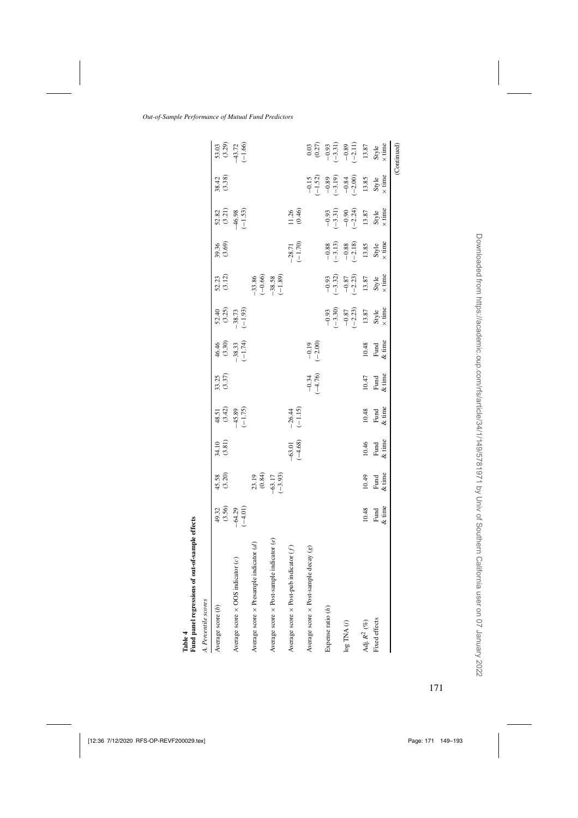<span id="page-22-0"></span>

| Fund panel regressions of out-of-sample effects<br>l'able 4 |                                  |                                            |                           |                                            |                     |                                              |                                                                                                          |                                                                       |                                                                             |                                                                                                           |                                                                                                                                                                                                                                                                                                                                                                                                                                                 |                                                                                                        |
|-------------------------------------------------------------|----------------------------------|--------------------------------------------|---------------------------|--------------------------------------------|---------------------|----------------------------------------------|----------------------------------------------------------------------------------------------------------|-----------------------------------------------------------------------|-----------------------------------------------------------------------------|-----------------------------------------------------------------------------------------------------------|-------------------------------------------------------------------------------------------------------------------------------------------------------------------------------------------------------------------------------------------------------------------------------------------------------------------------------------------------------------------------------------------------------------------------------------------------|--------------------------------------------------------------------------------------------------------|
| A. Percentile scores                                        |                                  |                                            |                           |                                            |                     |                                              |                                                                                                          |                                                                       |                                                                             |                                                                                                           |                                                                                                                                                                                                                                                                                                                                                                                                                                                 |                                                                                                        |
| Average score (b)                                           |                                  | 45.58<br>(3.20)                            | 34.10<br>(3.81)           |                                            | $33.25$<br>$(3.37)$ |                                              |                                                                                                          | $52.23$<br>(3.12)                                                     | 39.36<br>(3.69)                                                             |                                                                                                           | $38.42$<br>$(3.38)$                                                                                                                                                                                                                                                                                                                                                                                                                             |                                                                                                        |
| Average score $\times$ OOS indicator (c)                    | $49.32$<br>$(3.56)$<br>$(-4.01)$ |                                            |                           | 48.51<br>$(3.42)$<br>$-45.89$<br>$(-1.75)$ |                     | $46.46$<br>$(3.30)$<br>$-38.33$<br>$(-1.74)$ | $52.40$<br>$(3.25)$<br>$-38.73$<br>$(-1.93)$                                                             |                                                                       |                                                                             | $52.82$<br>(3.21)<br>(46.98<br>(-1.53)                                                                    |                                                                                                                                                                                                                                                                                                                                                                                                                                                 | $\begin{array}{c} 53.03 \\ (3.29) \\ +3.72 \\ -1.66 \end{array}$                                       |
| Average score $\times$ Presample indicator $(d)$            |                                  |                                            |                           |                                            |                     |                                              |                                                                                                          |                                                                       |                                                                             |                                                                                                           |                                                                                                                                                                                                                                                                                                                                                                                                                                                 |                                                                                                        |
| Average score $\times$ Post-sample indicator (e)            |                                  | $23.19$<br>$(0.84)$<br>$-63.17$<br>$-3.93$ |                           |                                            |                     |                                              |                                                                                                          | $-33.86$<br>$(-0.66)$<br>$-38.58$<br>$(-1.89)$                        |                                                                             |                                                                                                           |                                                                                                                                                                                                                                                                                                                                                                                                                                                 |                                                                                                        |
| Average score $\times$ Post-pub indicator $(f)$             |                                  |                                            | $-63.01$<br>$(-4.68)$     | $-26.44$<br>$(-1.15)$                      |                     |                                              |                                                                                                          |                                                                       | $-28.71$<br>$(-1.70)$                                                       | $11.26$<br>$(0.46)$                                                                                       |                                                                                                                                                                                                                                                                                                                                                                                                                                                 |                                                                                                        |
| decay(g)<br>Average score × Post-sample                     |                                  |                                            |                           |                                            | $-0.34$<br>$-4.76$  | $-0.19$<br>$(-2.00)$                         |                                                                                                          |                                                                       |                                                                             |                                                                                                           | $-0.15$<br>$(-1.52)$                                                                                                                                                                                                                                                                                                                                                                                                                            |                                                                                                        |
| Expense ratio $(h)$                                         |                                  |                                            |                           |                                            |                     |                                              |                                                                                                          |                                                                       |                                                                             |                                                                                                           |                                                                                                                                                                                                                                                                                                                                                                                                                                                 |                                                                                                        |
| log TNA(i)                                                  |                                  |                                            |                           |                                            |                     |                                              | $\begin{array}{r} -0.93 \\ (-3.30) \\ -0.87 \\ \hline \\ 13.87 \\ \hline \\ 13.87 \\ \hline \end{array}$ | $\begin{array}{c} -0.93 \\ -3.32 \\ -0.87 \\ -2.23 \\ \end{array}$    | $-0.88$<br>$-0.83$<br>$-0.88$<br>$-1.3$<br>$13.85$<br>$13.85$<br>$x \times$ | $\begin{array}{r} -0.93 \\ (-3.31) \\ -0.90 \\ \hline \\ 13.87 \\ \end{array}$<br>Ryle<br>Style<br>X time | $\begin{array}{r} -0.89 \\ -0.84 \\ -0.84 \\ 13.85 \\ \text{Syle} \\ \text{M} \\ \text{M} \\ \text{M} \\ \text{M} \\ \text{M} \\ \text{M} \\ \text{M} \\ \text{M} \\ \text{M} \\ \text{M} \\ \text{M} \\ \text{M} \\ \text{M} \\ \text{M} \\ \text{M} \\ \text{M} \\ \text{M} \\ \text{M} \\ \text{M} \\ \text{M} \\ \text{M} \\ \text{M} \\ \text{M} \\ \text{M} \\ \text{M} \\ \text{M} \\ \text{M} \\ \text{M} \\ \text{M} \\ \text{M} \\ \$ | 0.03<br>$(0.27)$<br>$-0.93$<br>$-0.31)$<br>$-0.89$<br>$-1.1$<br>$13.87$<br>$13.87$<br>$x \text{ time}$ |
| Adj. $R^2~(\%)$                                             | 10.48                            | 10.49                                      |                           |                                            | 10.47               | 10.48                                        |                                                                                                          |                                                                       |                                                                             |                                                                                                           |                                                                                                                                                                                                                                                                                                                                                                                                                                                 |                                                                                                        |
| Fixed effects                                               | Fund $\&$ time                   | Fund<br>$&$ time                           | $10.46$<br>Fund<br>& time | $10.48$<br>Fund<br>& time                  | Fund $\&$ time      | Fund<br>& time                               |                                                                                                          | $\begin{array}{c} \mathrm{Style} \\ \times \mathrm{time} \end{array}$ |                                                                             |                                                                                                           |                                                                                                                                                                                                                                                                                                                                                                                                                                                 |                                                                                                        |
|                                                             |                                  |                                            |                           |                                            |                     |                                              |                                                                                                          |                                                                       |                                                                             |                                                                                                           |                                                                                                                                                                                                                                                                                                                                                                                                                                                 | (Continued)                                                                                            |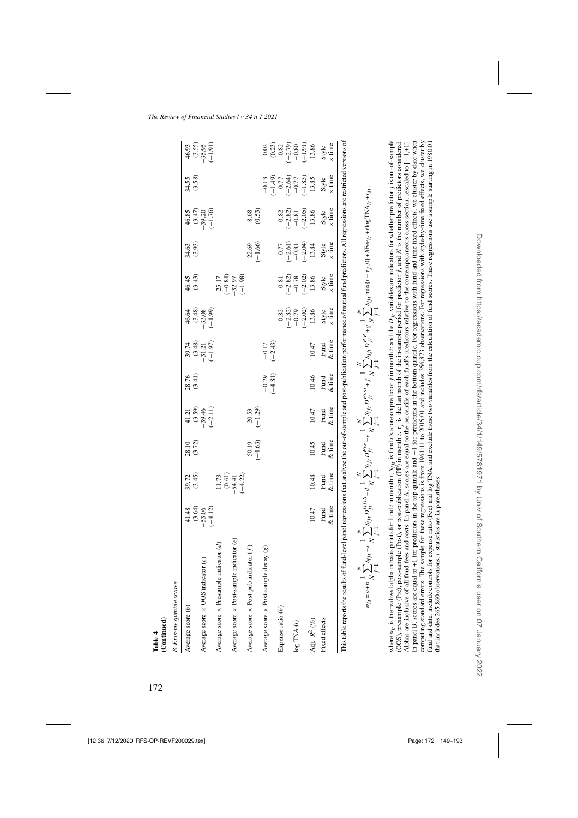| (Continued)<br>Table 4                                                                                                                                                                                                                                                                                                                                                                                                                                                                                                                                                                                                                                                                                                                                                                                                                                                                                                                                                                                                                                                                                                                                                                                                                   |                     |                                                          |                       |                                 |                      |                                              |                                   |                                                                    |                                                         |                                          |                                                                                                                                                                                                                                                                                                                                                  |                                                                            |
|------------------------------------------------------------------------------------------------------------------------------------------------------------------------------------------------------------------------------------------------------------------------------------------------------------------------------------------------------------------------------------------------------------------------------------------------------------------------------------------------------------------------------------------------------------------------------------------------------------------------------------------------------------------------------------------------------------------------------------------------------------------------------------------------------------------------------------------------------------------------------------------------------------------------------------------------------------------------------------------------------------------------------------------------------------------------------------------------------------------------------------------------------------------------------------------------------------------------------------------|---------------------|----------------------------------------------------------|-----------------------|---------------------------------|----------------------|----------------------------------------------|-----------------------------------|--------------------------------------------------------------------|---------------------------------------------------------|------------------------------------------|--------------------------------------------------------------------------------------------------------------------------------------------------------------------------------------------------------------------------------------------------------------------------------------------------------------------------------------------------|----------------------------------------------------------------------------|
| <b>B.</b> Extreme quintile scores                                                                                                                                                                                                                                                                                                                                                                                                                                                                                                                                                                                                                                                                                                                                                                                                                                                                                                                                                                                                                                                                                                                                                                                                        |                     |                                                          |                       |                                 |                      |                                              |                                   |                                                                    |                                                         |                                          |                                                                                                                                                                                                                                                                                                                                                  |                                                                            |
| Average score $(b)$                                                                                                                                                                                                                                                                                                                                                                                                                                                                                                                                                                                                                                                                                                                                                                                                                                                                                                                                                                                                                                                                                                                                                                                                                      | 41.48               | (3.45)<br>39.72                                          | (3.72)<br>28.10       | $41.21$<br>$(3.59)$<br>$-39.46$ | 28.76<br>(3.41)      |                                              | 46.64                             | (3.43)<br>46.45                                                    | (3.93)<br>34.63                                         | 46.85                                    | $34.55$<br>$(3.58)$                                                                                                                                                                                                                                                                                                                              | 46.93                                                                      |
| Average score $\times$ OOS indicator (c)                                                                                                                                                                                                                                                                                                                                                                                                                                                                                                                                                                                                                                                                                                                                                                                                                                                                                                                                                                                                                                                                                                                                                                                                 | $-53.06$<br>$-4.12$ |                                                          |                       | $(-2.11)$                       |                      | $39.74$<br>$(3.48)$<br>$-31.21$<br>$(-1.97)$ | $(3.48)$<br>$-33.08$<br>$(-1.99)$ |                                                                    |                                                         | $(3.47)$<br>-39.20<br>$(-1.76)$          |                                                                                                                                                                                                                                                                                                                                                  | $(3.55)$<br>$-35.95$<br>$(-1.91)$                                          |
| Average score $\times$ Presample indicator (d)                                                                                                                                                                                                                                                                                                                                                                                                                                                                                                                                                                                                                                                                                                                                                                                                                                                                                                                                                                                                                                                                                                                                                                                           |                     | $\begin{array}{c} 11.73 \\ (0.61) \\ -54.41 \end{array}$ |                       |                                 |                      |                                              |                                   | $-25.17$                                                           |                                                         |                                          |                                                                                                                                                                                                                                                                                                                                                  |                                                                            |
| indicator $(e)$<br>Average score × Post-sample                                                                                                                                                                                                                                                                                                                                                                                                                                                                                                                                                                                                                                                                                                                                                                                                                                                                                                                                                                                                                                                                                                                                                                                           |                     | $(-4.22)$                                                |                       |                                 |                      |                                              |                                   | $(-0.84)$<br>-32.97<br>$(-1.98)$                                   |                                                         |                                          |                                                                                                                                                                                                                                                                                                                                                  |                                                                            |
| Average score $\times$ Post-pub indicator $(f)$                                                                                                                                                                                                                                                                                                                                                                                                                                                                                                                                                                                                                                                                                                                                                                                                                                                                                                                                                                                                                                                                                                                                                                                          |                     |                                                          | $-50.19$<br>$(-4.63)$ | $-20.53$<br>(-1.29)             |                      |                                              |                                   |                                                                    | $(-1.66)$<br>$-22.69$                                   | 8.68                                     |                                                                                                                                                                                                                                                                                                                                                  |                                                                            |
| decay(g)<br>Average score × Post-sample                                                                                                                                                                                                                                                                                                                                                                                                                                                                                                                                                                                                                                                                                                                                                                                                                                                                                                                                                                                                                                                                                                                                                                                                  |                     |                                                          |                       |                                 | $-0.29$<br>$(-4.81)$ | $-0.17$<br>$(-2.43)$                         |                                   |                                                                    |                                                         | (0.53)                                   | $-0.13$                                                                                                                                                                                                                                                                                                                                          | 0.02                                                                       |
| Expense ratio $(h)$                                                                                                                                                                                                                                                                                                                                                                                                                                                                                                                                                                                                                                                                                                                                                                                                                                                                                                                                                                                                                                                                                                                                                                                                                      |                     |                                                          |                       |                                 |                      |                                              | $-0.82$                           |                                                                    |                                                         |                                          | $\begin{array}{c} (6,3) \\ (-1,0,7) \\ (-2,0,7) \\ (-1,0,3) \\ (-1,0,7) \\ (-1,0,7) \\ (-1,0,7) \\ (-1,0,7) \\ (-1,0,7) \\ (-1,0,7) \\ (-1,0,7) \\ (-1,0,7) \\ (-1,0,7) \\ (-1,0,7) \\ (-1,0,7) \\ (-1,0,7) \\ (-1,0,7) \\ (-1,0,7) \\ (-1,0,7) \\ (-1,0,7) \\ (-1,0,7) \\ (-1,0,7) \\ (-1,0,7) \\ (-1,0,7) \\ (-1,0,7) \\ (-1,0,7) \\ (-1,0,7)$ | $\begin{array}{c} (0.23) \\ -0.82 \\ -2.79 \\ -0.80 \\ \hline \end{array}$ |
|                                                                                                                                                                                                                                                                                                                                                                                                                                                                                                                                                                                                                                                                                                                                                                                                                                                                                                                                                                                                                                                                                                                                                                                                                                          |                     |                                                          |                       |                                 |                      |                                              | $(-2.82)$<br>$-0.79$<br>$(-2.02)$ | $\begin{array}{c} -0.81 \\ (-2.82) \\ -0.78 \\ \hline \end{array}$ | $-0.77$<br>$(-2.61)$<br>$-0.81$<br>$-0.81$<br>$(-2.04)$ | $-0.82$<br>$-2.82$<br>$-0.81$<br>$-0.05$ |                                                                                                                                                                                                                                                                                                                                                  |                                                                            |
| $\log$ TNA $(i)$                                                                                                                                                                                                                                                                                                                                                                                                                                                                                                                                                                                                                                                                                                                                                                                                                                                                                                                                                                                                                                                                                                                                                                                                                         |                     |                                                          |                       |                                 |                      |                                              |                                   |                                                                    |                                                         |                                          |                                                                                                                                                                                                                                                                                                                                                  |                                                                            |
|                                                                                                                                                                                                                                                                                                                                                                                                                                                                                                                                                                                                                                                                                                                                                                                                                                                                                                                                                                                                                                                                                                                                                                                                                                          |                     |                                                          |                       |                                 |                      |                                              |                                   |                                                                    |                                                         |                                          |                                                                                                                                                                                                                                                                                                                                                  |                                                                            |
| Adj. $R^2~(\%)$                                                                                                                                                                                                                                                                                                                                                                                                                                                                                                                                                                                                                                                                                                                                                                                                                                                                                                                                                                                                                                                                                                                                                                                                                          | 10.47               | 10.48                                                    | 10.45                 | 10.47                           | 10.46                | 10.47                                        | 13.86                             | 13.86                                                              | 13.84                                                   | 13.86                                    | 13.85                                                                                                                                                                                                                                                                                                                                            | 13.86                                                                      |
| Fixed effects                                                                                                                                                                                                                                                                                                                                                                                                                                                                                                                                                                                                                                                                                                                                                                                                                                                                                                                                                                                                                                                                                                                                                                                                                            | Fund                | Fund                                                     | Fund                  | Fund                            | Fund                 | Fund                                         | Style                             | Style                                                              | Style                                                   | Style                                    | Style                                                                                                                                                                                                                                                                                                                                            | Style                                                                      |
|                                                                                                                                                                                                                                                                                                                                                                                                                                                                                                                                                                                                                                                                                                                                                                                                                                                                                                                                                                                                                                                                                                                                                                                                                                          | & time              | & time                                                   | & time                | & time                          | $&$ time             | & time                                       | $\times$ time                     | $\times$ time                                                      | $\times$ time                                           | $\times$ time                            | $\times$ time                                                                                                                                                                                                                                                                                                                                    | $\times$ time                                                              |
| This table reports the results of fund-level panel regressions that analyze the out-of-sample and post-publication performance of mutual fund predictors. All regressions are restricted versions of                                                                                                                                                                                                                                                                                                                                                                                                                                                                                                                                                                                                                                                                                                                                                                                                                                                                                                                                                                                                                                     |                     |                                                          |                       |                                 |                      |                                              |                                   |                                                                    |                                                         |                                          |                                                                                                                                                                                                                                                                                                                                                  |                                                                            |
| $\alpha_{it} = a + b \frac{1}{N} \sum_{j=1}^N S_{ijj} + c \frac{1}{N} \sum_{j=1}^N S_{ijj} D^{OS}_{ji} + d \frac{1}{N} \sum_{j=1}^N S_{ijj} D^{Pre}_{ji} + e \frac{1}{N} \sum_{j=1}^N S_{ijj} D^{Post}_{ji} + f \frac{1}{N} \sum_{j=1}^N S_{ijj} D^{PP}_{ji} + g \frac{1}{N} \sum_{j=1}^N S_{ijj} \max\{t - \tau_j, 0\} + h\text{Fee}_{it} + h\text{Fe} \text{Fe}_{it} + \text{Fe}_{it},$                                                                                                                                                                                                                                                                                                                                                                                                                                                                                                                                                                                                                                                                                                                                                                                                                                                |                     |                                                          |                       |                                 |                      |                                              |                                   |                                                                    |                                                         |                                          |                                                                                                                                                                                                                                                                                                                                                  |                                                                            |
| where $\alpha_i$ , is the realized alpha in basis points for fund i in month $t$ , $S_{1i}$ is fund i's score on predictor j in month $t$ ; and the $D_{1i}$ variables are indicators for whether predictor j is out-of-sample<br>In panel B, scores are equal to +1 for predictors in the top quintile and $-1$ for predictors in the bottom quintile. For regressions with fund and time fixed effects, we cluster by date when<br>computing standard errors. The sample for these regressions is from 1961:11 to 2015:01 and includes 356,873 observations. For regressions with style-by-time fixed effects, we cluster by<br>(OOS), presample (Pre), post-sample (Post), or post-publication (PP) in month t. $\tau$ , is the last month of the in-sample period for predictor $j$ , and N is the number of predictors considered.<br>Alphas are inclusive of all fund fees and costs. In panel A, scores are equal to the percentile of each fund's predictors relative to the contemporaneous cross-section, rescaled to [-1,+1].<br>fund and date, include controls for expense ratio (Fee) and log TNA, and exclude those two variables from the calculation of fund scores. These regressions use a sample starting in 1980:01 |                     |                                                          |                       |                                 |                      |                                              |                                   |                                                                    |                                                         |                                          |                                                                                                                                                                                                                                                                                                                                                  |                                                                            |

Table 4<br>(Continued)

that includes 265,860 observations. t-statistics are in parentheses.

that includes 265,860 observations. *t*-statistics are in parentheses.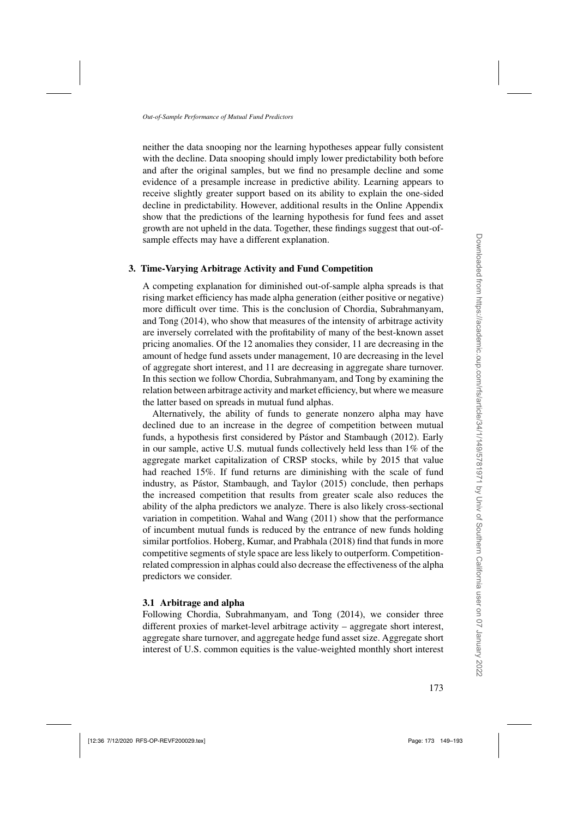neither the data snooping nor the learning hypotheses appear fully consistent with the decline. Data snooping should imply lower predictability both before and after the original samples, but we find no presample decline and some evidence of a presample increase in predictive ability. Learning appears to receive slightly greater support based on its ability to explain the one-sided decline in predictability. However, additional results in the Online Appendix show that the predictions of the learning hypothesis for fund fees and asset growth are not upheld in the data. Together, these findings suggest that out-ofsample effects may have a different explanation.

## **3. Time-Varying Arbitrage Activity and Fund Competition**

A competing explanation for diminished out-of-sample alpha spreads is that rising market efficiency has made alpha generation (either positive or negative) more difficult over time. This is the conclusion of Chordia, Subrahmanyam, and Tong [\(2014](#page-42-0)), who show that measures of the intensity of arbitrage activity are inversely correlated with the profitability of many of the best-known asset pricing anomalies. Of the 12 anomalies they consider, 11 are decreasing in the amount of hedge fund assets under management, 10 are decreasing in the level of aggregate short interest, and 11 are decreasing in aggregate share turnover. In this section we follow [Chordia, Subrahmanyam, and Tong](#page-42-0) by examining the relation between arbitrage activity and market efficiency, but where we measure the latter based on spreads in mutual fund alphas.

Alternatively, the ability of funds to generate nonzero alpha may have declined due to an increase in the degree of competition between mutual funds, a hypothesis first considered by [Pástor and Stambaugh](#page-44-0) [\(2012\)](#page-44-0). Early in our sample, active U.S. mutual funds collectively held less than 1% of the aggregate market capitalization of CRSP stocks, while by 2015 that value had reached 15%. If fund returns are diminishing with the scale of fund industry, as [Pástor, Stambaugh, and Taylor](#page-44-0) [\(2015](#page-44-0)) conclude, then perhaps the increased competition that results from greater scale also reduces the ability of the alpha predictors we analyze. There is also likely cross-sectional variation in competition. [Wahal and Wang](#page-44-0) [\(2011](#page-44-0)) show that the performance of incumbent mutual funds is reduced by the entrance of new funds holding similar portfolios. [Hoberg, Kumar, and Prabhala](#page-43-0) [\(2018](#page-43-0)) find that funds in more competitive segments of style space are less likely to outperform. Competitionrelated compression in alphas could also decrease the effectiveness of the alpha predictors we consider.

# **3.1 Arbitrage and alpha**

Following [Chordia, Subrahmanyam, and Tong](#page-42-0) [\(2014](#page-42-0)), we consider three different proxies of market-level arbitrage activity – aggregate short interest, aggregate share turnover, and aggregate hedge fund asset size. Aggregate short interest of U.S. common equities is the value-weighted monthly short interest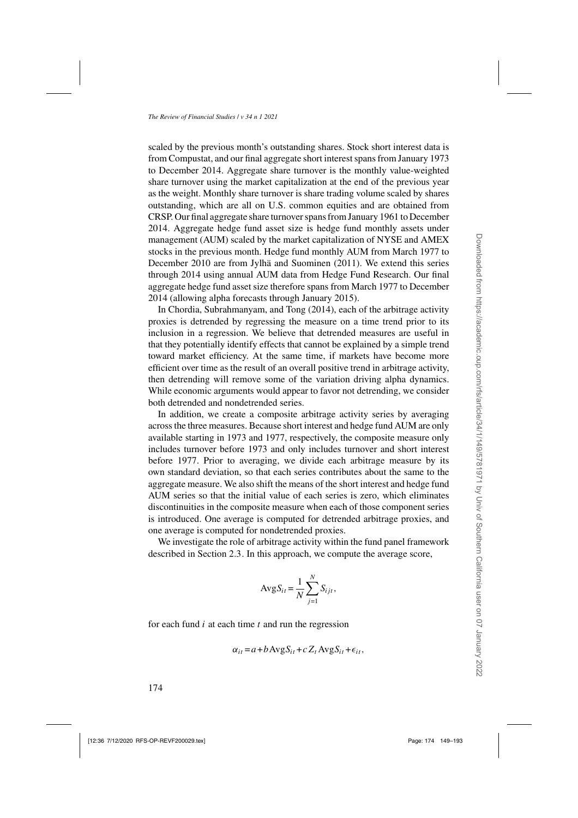scaled by the previous month's outstanding shares. Stock short interest data is from Compustat, and our final aggregate short interest spans from January 1973 to December 2014. Aggregate share turnover is the monthly value-weighted share turnover using the market capitalization at the end of the previous year as the weight. Monthly share turnover is share trading volume scaled by shares outstanding, which are all on U.S. common equities and are obtained from CRSP. Our final aggregate share turnover spans from January 1961 to December 2014. Aggregate hedge fund asset size is hedge fund monthly assets under management (AUM) scaled by the market capitalization of NYSE and AMEX stocks in the previous month. Hedge fund monthly AUM from March 1977 to December 2010 are from [Jylhä and Suominen](#page-43-0) [\(2011\)](#page-43-0). We extend this series through 2014 using annual AUM data from Hedge Fund Research. Our final aggregate hedge fund asset size therefore spans from March 1977 to December 2014 (allowing alpha forecasts through January 2015).

In [Chordia, Subrahmanyam, and Tong](#page-42-0) [\(2014](#page-42-0)), each of the arbitrage activity proxies is detrended by regressing the measure on a time trend prior to its inclusion in a regression. We believe that detrended measures are useful in that they potentially identify effects that cannot be explained by a simple trend toward market efficiency. At the same time, if markets have become more efficient over time as the result of an overall positive trend in arbitrage activity, then detrending will remove some of the variation driving alpha dynamics. While economic arguments would appear to favor not detrending, we consider both detrended and nondetrended series.

In addition, we create a composite arbitrage activity series by averaging across the three measures. Because short interest and hedge fund AUM are only available starting in 1973 and 1977, respectively, the composite measure only includes turnover before 1973 and only includes turnover and short interest before 1977. Prior to averaging, we divide each arbitrage measure by its own standard deviation, so that each series contributes about the same to the aggregate measure. We also shift the means of the short interest and hedge fund AUM series so that the initial value of each series is zero, which eliminates discontinuities in the composite measure when each of those component series is introduced. One average is computed for detrended arbitrage proxies, and one average is computed for nondetrended proxies.

We investigate the role of arbitrage activity within the fund panel framework described in Section [2.3.](#page-19-0) In this approach, we compute the average score,

$$
AvgS_{it} = \frac{1}{N} \sum_{j=1}^{N} S_{ijt},
$$

for each fund  $i$  at each time  $t$  and run the regression

$$
\alpha_{it} = a + b \operatorname{Avg} S_{it} + c Z_t \operatorname{Avg} S_{it} + \epsilon_{it},
$$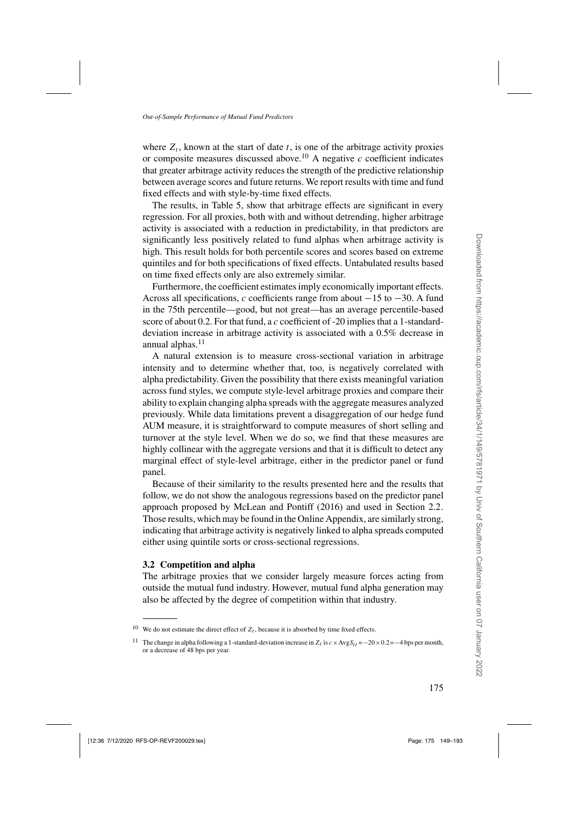where  $Z_t$ , known at the start of date t, is one of the arbitrage activity proxies or composite measures discussed above.<sup>10</sup> A negative  $c$  coefficient indicates that greater arbitrage activity reduces the strength of the predictive relationship between average scores and future returns. We report results with time and fund fixed effects and with style-by-time fixed effects.

The results, in Table [5,](#page-27-0) show that arbitrage effects are significant in every regression. For all proxies, both with and without detrending, higher arbitrage activity is associated with a reduction in predictability, in that predictors are significantly less positively related to fund alphas when arbitrage activity is high. This result holds for both percentile scores and scores based on extreme quintiles and for both specifications of fixed effects. Untabulated results based on time fixed effects only are also extremely similar.

Furthermore, the coefficient estimates imply economically important effects. Across all specifications, c coefficients range from about  $-15$  to  $-30$ . A fund in the 75th percentile—good, but not great—has an average percentile-based score of about 0.2. For that fund, a c coefficient of -20 implies that a 1-standarddeviation increase in arbitrage activity is associated with a 0.5% decrease in annual alphas.<sup>11</sup>

A natural extension is to measure cross-sectional variation in arbitrage intensity and to determine whether that, too, is negatively correlated with alpha predictability. Given the possibility that there exists meaningful variation across fund styles, we compute style-level arbitrage proxies and compare their ability to explain changing alpha spreads with the aggregate measures analyzed previously. While data limitations prevent a disaggregation of our hedge fund AUM measure, it is straightforward to compute measures of short selling and turnover at the style level. When we do so, we find that these measures are highly collinear with the aggregate versions and that it is difficult to detect any marginal effect of style-level arbitrage, either in the predictor panel or fund panel.

Because of their similarity to the results presented here and the results that follow, we do not show the analogous regressions based on the predictor panel approach proposed by [McLean and Pontiff](#page-44-0) [\(2016](#page-44-0)) and used in Section [2.2.](#page-16-0) Those results, which may be found in the Online Appendix, are similarly strong, indicating that arbitrage activity is negatively linked to alpha spreads computed either using quintile sorts or cross-sectional regressions.

## **3.2 Competition and alpha**

The arbitrage proxies that we consider largely measure forces acting from outside the mutual fund industry. However, mutual fund alpha generation may also be affected by the degree of competition within that industry.

<sup>&</sup>lt;sup>10</sup> We do not estimate the direct effect of  $Z_t$ , because it is absorbed by time fixed effects.

<sup>&</sup>lt;sup>11</sup> The change in alpha following a 1-standard-deviation increase in  $Z_t$  is  $c \times \text{Avg}S_{it} = -20 \times 0.2 = -4$  bps per month, or a decrease of 48 bps per year.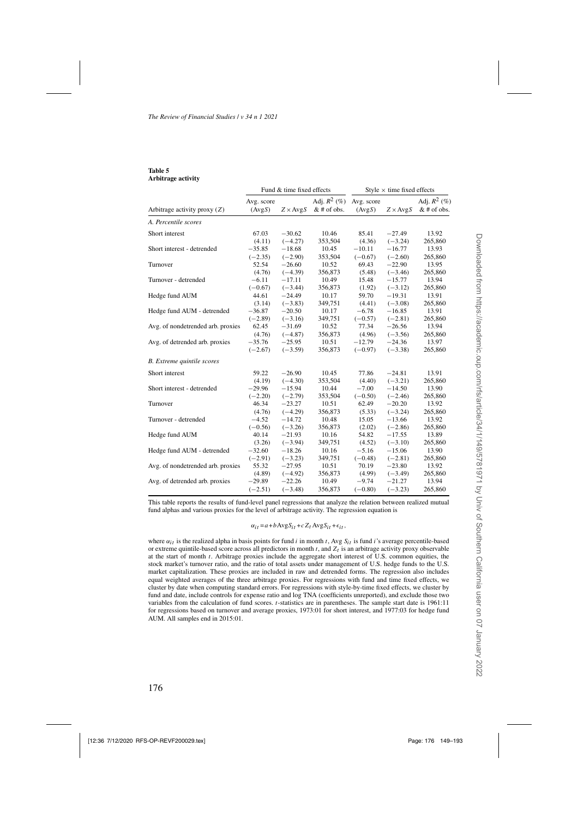#### <span id="page-27-0"></span>**Table 5 Arbitrage activity**

|                                   |                      | Fund & time fixed effects |                                 |                      | Style $\times$ time fixed effects |                                 |
|-----------------------------------|----------------------|---------------------------|---------------------------------|----------------------|-----------------------------------|---------------------------------|
| Arbitrage activity proxy $(Z)$    | Avg. score<br>(AvgS) | $Z \times \text{AvgS}$    | Adj. $R^2$ (%)<br>$&$ # of obs. | Avg. score<br>(AvgS) | $Z \times AvgS$                   | Adj. $R^2$ (%)<br>$&$ # of obs. |
| A. Percentile scores              |                      |                           |                                 |                      |                                   |                                 |
| Short interest                    | 67.03                | $-30.62$                  | 10.46                           | 85.41                | $-27.49$                          | 13.92                           |
|                                   | (4.11)               | $(-4.27)$                 | 353,504                         | (4.36)               | $(-3.24)$                         | 265,860                         |
| Short interest - detrended        | $-35.85$             | $-18.68$                  | 10.45                           | $-10.11$             | $-16.77$                          | 13.93                           |
|                                   | $(-2.35)$            | $(-2.90)$                 | 353,504                         | $(-0.67)$            | $(-2.60)$                         | 265,860                         |
| Turnover                          | 52.54                | $-26.60$                  | 10.52                           | 69.43                | $-22.90$                          | 13.95                           |
|                                   | (4.76)               | $(-4.39)$                 | 356,873                         | (5.48)               | $(-3.46)$                         | 265,860                         |
| Turnover - detrended              | $-6.11$              | $-17.11$                  | 10.49                           | 15.48                | $-15.77$                          | 13.94                           |
|                                   | $(-0.67)$            | $(-3.44)$                 | 356,873                         | (1.92)               | $(-3.12)$                         | 265,860                         |
| Hedge fund AUM                    | 44.61                | $-24.49$                  | 10.17                           | 59.70                | $-19.31$                          | 13.91                           |
|                                   | (3.14)               | $(-3.83)$                 | 349,751                         | (4.41)               | $(-3.08)$                         | 265,860                         |
| Hedge fund AUM - detrended        | $-36.87$             | $-20.50$                  | 10.17                           | $-6.78$              | $-16.85$                          | 13.91                           |
|                                   | $(-2.89)$            | $(-3.16)$                 | 349,751                         | $(-0.57)$            | $(-2.81)$                         | 265,860                         |
| Avg. of nondetrended arb. proxies | 62.45                | $-31.69$                  | 10.52                           | 77.34                | $-26.56$                          | 13.94                           |
|                                   | (4.76)               | $(-4.87)$                 | 356,873                         | (4.96)               | $(-3.56)$                         | 265,860                         |
| Avg. of detrended arb. proxies    | $-35.76$             | $-25.95$                  | 10.51                           | $-12.79$             | $-24.36$                          | 13.97                           |
|                                   | $(-2.67)$            | $(-3.59)$                 | 356,873                         | $(-0.97)$            | $(-3.38)$                         | 265,860                         |
| <b>B.</b> Extreme quintile scores |                      |                           |                                 |                      |                                   |                                 |
| Short interest                    | 59.22                | $-26.90$                  | 10.45                           | 77.86                | $-24.81$                          | 13.91                           |
|                                   | (4.19)               | $(-4.30)$                 | 353,504                         | (4.40)               | $(-3.21)$                         | 265,860                         |
| Short interest - detrended        | $-29.96$             | $-15.94$                  | 10.44                           | $-7.00$              | $-14.50$                          | 13.90                           |
|                                   | $(-2.20)$            | $(-2.79)$                 | 353,504                         | $(-0.50)$            | $(-2.46)$                         | 265,860                         |
| Turnover                          | 46.34                | $-23.27$                  | 10.51                           | 62.49                | $-20.20$                          | 13.92                           |
|                                   | (4.76)               | $(-4.29)$                 | 356,873                         | (5.33)               | $(-3.24)$                         | 265,860                         |
| Turnover - detrended              | $-4.52$              | $-14.72$                  | 10.48                           | 15.05                | $-13.66$                          | 13.92                           |
|                                   | $(-0.56)$            | $(-3.26)$                 | 356,873                         | (2.02)               | $(-2.86)$                         | 265,860                         |
| Hedge fund AUM                    | 40.14                | $-21.93$                  | 10.16                           | 54.82                | $-17.55$                          | 13.89                           |
|                                   | (3.26)               | $(-3.94)$                 | 349,751                         | (4.52)               | $(-3.10)$                         | 265,860                         |
| Hedge fund AUM - detrended        | $-32.60$             | $-18.26$                  | 10.16                           | $-5.16$              | $-15.06$                          | 13.90                           |
|                                   | $(-2.91)$            | $(-3.23)$                 | 349,751                         | $(-0.48)$            | $(-2.81)$                         | 265,860                         |
| Avg. of nondetrended arb. proxies | 55.32                | $-27.95$                  | 10.51                           | 70.19                | $-23.80$                          | 13.92                           |
|                                   | (4.89)               | $(-4.92)$                 | 356,873                         | (4.99)               | $(-3.49)$                         | 265,860                         |
| Avg. of detrended arb. proxies    | $-29.89$             | $-22.26$                  | 10.49                           | $-9.74$              | $-21.27$                          | 13.94                           |
|                                   | $(-2.51)$            | $(-3.48)$                 | 356,873                         | $(-0.80)$            | $(-3.23)$                         | 265,860                         |

This table reports the results of fund-level panel regressions that analyze the relation between realized mutual fund alphas and various proxies for the level of arbitrage activity. The regression equation is

#### $\alpha_{it} = a + b \text{Avg} S_{it} + c Z_t \text{Avg} S_{it} + \epsilon_{it},$

where  $\alpha_{it}$  is the realized alpha in basis points for fund i in month t, Avg  $S_{it}$  is fund i's average percentile-based or extreme quintile-based score across all predictors in month  $t$ , and  $Z_t$  is an arbitrage activity proxy observable at the start of month t. Arbitrage proxies include the aggregate short interest of U.S. common equities, the stock market's turnover ratio, and the ratio of total assets under management of U.S. hedge funds to the U.S. market capitalization. These proxies are included in raw and detrended forms. The regression also includes equal weighted averages of the three arbitrage proxies. For regressions with fund and time fixed effects, we cluster by date when computing standard errors. For regressions with style-by-time fixed effects, we cluster by fund and date, include controls for expense ratio and log TNA (coefficients unreported), and exclude those two variables from the calculation of fund scores. *t*-statistics are in parentheses. The sample start date is 1961:11 for regressions based on turnover and average proxies, 1973:01 for short interest, and 1977:03 for hedge fund AUM. All samples end in 2015:01.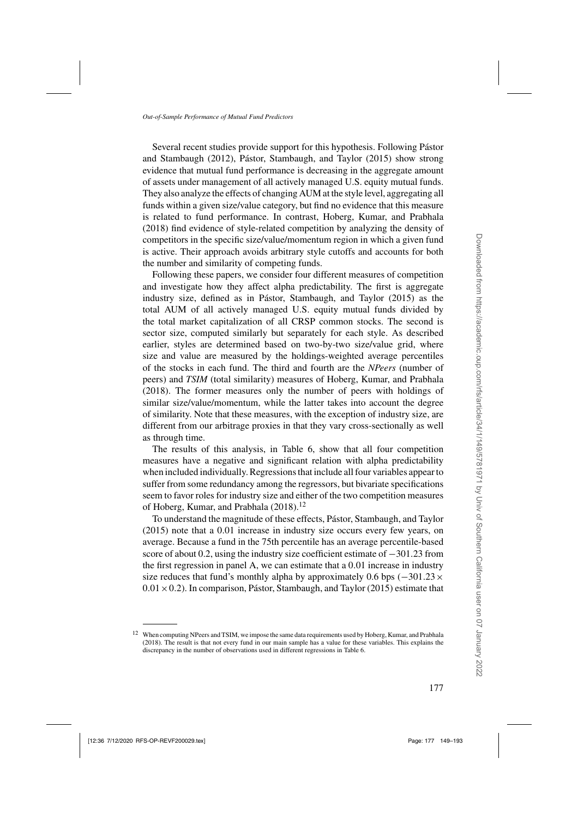Several rece[nt](#page-44-0) [studies](#page-44-0) [provide](#page-44-0) [support](#page-44-0) [for](#page-44-0) [this](#page-44-0) [hypothesis.](#page-44-0) [Following](#page-44-0) Pástor and Stambaugh [\(2012\)](#page-44-0), [Pástor, Stambaugh, and Taylor](#page-44-0) [\(2015\)](#page-44-0) show strong evidence that mutual fund performance is decreasing in the aggregate amount of assets under management of all actively managed U.S. equity mutual funds. They also analyze the effects of changing AUM at the style level, aggregating all funds within a given size/value category, but find no evidence that this measure is related to fund performance. In contrast, [Hoberg, Kumar, and Prabhala](#page-43-0) [\(2018\)](#page-43-0) find evidence of style-related competition by analyzing the density of competitors in the specific size/value/momentum region in which a given fund is active. Their approach avoids arbitrary style cutoffs and accounts for both the number and similarity of competing funds.

Following these papers, we consider four different measures of competition and investigate how they affect alpha predictability. The first is aggregate industry size, defined as in [Pástor, Stambaugh, and Taylor](#page-44-0) [\(2015](#page-44-0)) as the total AUM of all actively managed U.S. equity mutual funds divided by the total market capitalization of all CRSP common stocks. The second is sector size, computed similarly but separately for each style. As described earlier, styles are determined based on two-by-two size/value grid, where size and value are measured by the holdings-weighted average percentiles of the stocks in each fund. The third and fourth are the *NPeers* (number of peers) and *TSIM* (total similarity) measures of [Hoberg, Kumar, and Prabhala](#page-43-0) [\(2018\)](#page-43-0). The former measures only the number of peers with holdings of similar size/value/momentum, while the latter takes into account the degree of similarity. Note that these measures, with the exception of industry size, are different from our arbitrage proxies in that they vary cross-sectionally as well as through time.

The results of this analysis, in Table [6,](#page-29-0) show that all four competition measures have a negative and significant relation with alpha predictability when included individually. Regressions that include all four variables appear to suffer from some redundancy among the regressors, but bivariate specifications seem to favor roles for industry size and either of the two competition measures of [Hoberg, Kumar, and Prabhala](#page-43-0) [\(2018\)](#page-43-0).<sup>12</sup>

To understand the magnitude of these effects, [Pástor, Stambaugh, and Taylor](#page-44-0) [\(2015\)](#page-44-0) note that a 0.01 increase in industry size occurs every few years, on average. Because a fund in the 75th percentile has an average percentile-based score of about 0.2, using the industry size coefficient estimate of −301.23 from the first regression in panel A, we can estimate that a 0.01 increase in industry size reduces that fund's monthly alpha by approximately 0.6 bps  $(-301.23 \times$  $0.01 \times 0.2$ ). In comparison, [Pástor, Stambaugh, and Taylor](#page-44-0) [\(2015](#page-44-0)) estimate that

<sup>&</sup>lt;sup>12</sup> When computing NPeers and TSIM, we impose the same data requirements used b[y Hoberg, Kumar, and Prabhala](#page-43-0) [\(2018\)](#page-43-0). The result is that not every fund in our main sample has a value for these variables. This explains the discrepancy in the number of observations used in different regressions in Table [6.](#page-29-0)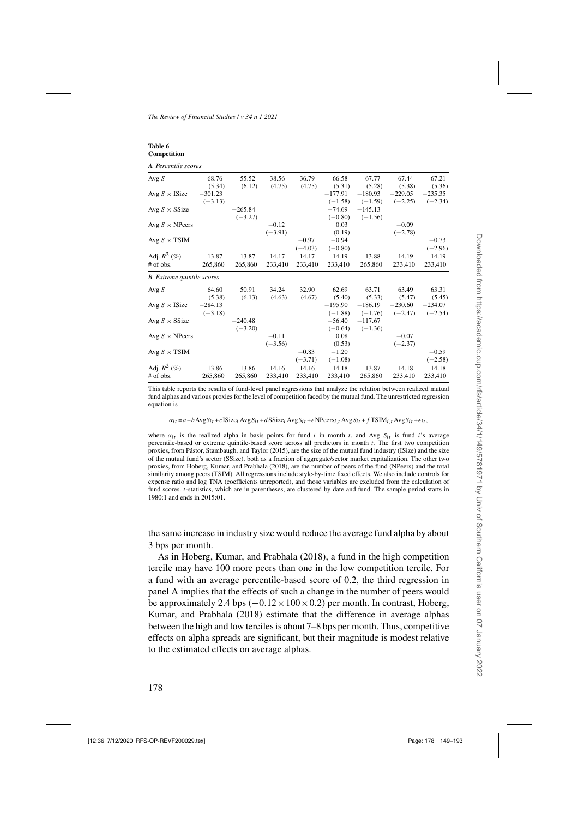<span id="page-29-0"></span>

| Table 6     |
|-------------|
| Competition |

*A. Percentile scores*

| Avg $S$                      | 68.76     | 55.52     | 38.56     | 36.79     | 66.58     | 67.77     | 67.44     | 67.21     |
|------------------------------|-----------|-----------|-----------|-----------|-----------|-----------|-----------|-----------|
|                              | (5.34)    | (6.12)    | (4.75)    | (4.75)    | (5.31)    | (5.28)    | (5.38)    | (5.36)    |
| Avg $S \times$ ISize         | $-301.23$ |           |           |           | $-177.91$ | $-180.93$ | $-229.05$ | $-235.35$ |
|                              | $(-3.13)$ |           |           |           | $(-1.58)$ | $(-1.59)$ | $(-2.25)$ | $(-2.34)$ |
| Avg $S \times$ SSize         |           | $-265.84$ |           |           | $-74.69$  | $-145.13$ |           |           |
|                              |           | $(-3.27)$ |           |           | $(-0.80)$ | $(-1.56)$ |           |           |
| Avg $S \times \text{NPeers}$ |           |           | $-0.12$   |           | 0.03      |           | $-0.09$   |           |
|                              |           |           | $(-3.91)$ |           | (0.19)    |           | $(-2.78)$ |           |
| Avg $S \times TSM$           |           |           |           | $-0.97$   | $-0.94$   |           |           | $-0.73$   |
|                              |           |           |           | $(-4.03)$ | $(-0.80)$ |           |           | $(-2.96)$ |
| Adj. $R^2$ (%)               | 13.87     | 13.87     | 14.17     | 14.17     | 14.19     | 13.88     | 14.19     | 14.19     |
| # of obs.                    | 265,860   | 265,860   | 233,410   | 233,410   | 233,410   | 265,860   | 233,410   | 233,410   |
| B. Extreme quintile scores   |           |           |           |           |           |           |           |           |
| Avg S                        | 64.60     | 50.91     | 34.24     | 32.90     | 62.69     | 63.71     | 63.49     | 63.31     |
|                              | (5.38)    | (6.13)    | (4.63)    | (4.67)    | (5.40)    | (5.33)    | (5.47)    | (5.45)    |
| Avg $S \times$ ISize         | $-284.13$ |           |           |           | $-195.90$ | $-186.19$ | $-230.60$ | $-234.07$ |
|                              | $(-3.18)$ |           |           |           | $(-1.88)$ | $(-1.76)$ | $(-2.47)$ | $(-2.54)$ |
| Avg $S \times$ SSize         |           | $-240.48$ |           |           | $-56.40$  | $-117.67$ |           |           |
|                              |           | $(-3.20)$ |           |           | $(-0.64)$ | $(-1.36)$ |           |           |
| Avg $S \times \text{NPeers}$ |           |           | $-0.11$   |           | 0.08      |           | $-0.07$   |           |
|                              |           |           | $(-3.56)$ |           | (0.53)    |           | $(-2.37)$ |           |
| Avg $S \times TSM$           |           |           |           | $-0.83$   | $-1.20$   |           |           | $-0.59$   |
|                              |           |           |           | $(-3.71)$ | $(-1.08)$ |           |           | $(-2.58)$ |
| Adj. $R^2$ (%)               | 13.86     | 13.86     | 14.16     | 14.16     | 14.18     | 13.87     | 14.18     | 14.18     |
| # of obs.                    | 265,860   | 265,860   | 233,410   | 233,410   | 233,410   | 265,860   | 233,410   | 233,410   |
|                              |           |           |           |           |           |           |           |           |

This table reports the results of fund-level panel regressions that analyze the relation between realized mutual fund alphas and various proxies for the level of competition faced by the mutual fund. The unrestricted regression equation is

 $\alpha_{it} = a + b \text{Avg}S_{it} + c \text{ISize}_{t} \text{Avg}S_{it} + d \text{SSize}_{t} \text{Avg}S_{it} + e \text{NPeers}_{i,t} \text{Avg}S_{it} + f \text{TSIM}_{i,t} \text{Avg}S_{it} + \epsilon_{it},$ 

where  $\alpha_{it}$  is the realized alpha in basis points for fund i in month t, and Avg  $S_{it}$  is fund i's average percentile-based or extreme quintile-based score across all predictors in month t. The first two competition proxies, from [Pástor, Stambaugh, and Taylor](#page-44-0) [\(2015\)](#page-44-0), are the size of the mutual fund industry (ISize) and the size of the mutual fund's sector (SSize), both as a fraction of aggregate/sector market capitalization. The other two proxies, from [Hoberg, Kumar, and Prabhala](#page-43-0) [\(2018\)](#page-43-0), are the number of peers of the fund (NPeers) and the total similarity among peers (TSIM). All regressions include style-by-time fixed effects. We also include controls for expense ratio and log TNA (coefficients unreported), and those variables are excluded from the calculation of fund scores. *t*-statistics, which are in parentheses, are clustered by date and fund. The sample period starts in 1980:1 and ends in 2015:01.

the same increase in industry size would reduce the average fund alpha by about 3 bps per month.

As in [Hoberg, Kumar, and Prabhala](#page-43-0) [\(2018\)](#page-43-0), a fund in the high competition tercile may have 100 more peers than one in the low competition tercile. For a fund with an average percentile-based score of 0.2, the third regression in panel A implies that the effects of such a change in the number of peers would be approximately 2.4 bps  $(-0.12 \times 100 \times 0.2)$  per month. In contrast, Hoberg, Kumar, and Prabhala [\(2018\)](#page-43-0) estimate that the difference in average alphas between the high and low terciles is about 7–8 bps per month. Thus, competitive effects on alpha spreads are significant, but their magnitude is modest relative to the estimated effects on average alphas.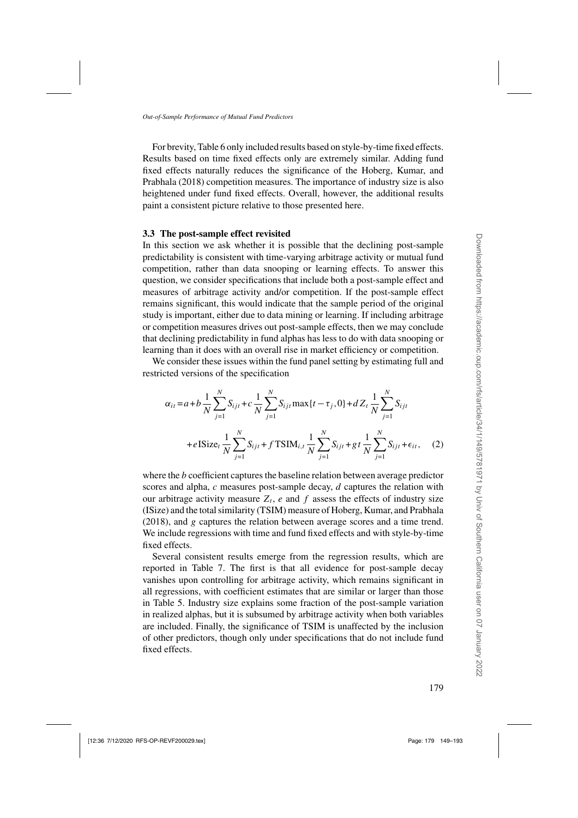For brevity, Table [6](#page-29-0) only included results based on style-by-time fixed effects. Results based on time fixed effects only are extremely similar. Adding fund fixed ef[fects](#page-43-0) [naturally](#page-43-0) [reduces](#page-43-0) [the](#page-43-0) [significance](#page-43-0) [of](#page-43-0) [the](#page-43-0) Hoberg, Kumar, and Prabhala [\(2018\)](#page-43-0) competition measures. The importance of industry size is also heightened under fund fixed effects. Overall, however, the additional results paint a consistent picture relative to those presented here.

#### **3.3 The post-sample effect revisited**

In this section we ask whether it is possible that the declining post-sample predictability is consistent with time-varying arbitrage activity or mutual fund competition, rather than data snooping or learning effects. To answer this question, we consider specifications that include both a post-sample effect and measures of arbitrage activity and/or competition. If the post-sample effect remains significant, this would indicate that the sample period of the original study is important, either due to data mining or learning. If including arbitrage or competition measures drives out post-sample effects, then we may conclude that declining predictability in fund alphas has less to do with data snooping or learning than it does with an overall rise in market efficiency or competition.

We consider these issues within the fund panel setting by estimating full and restricted versions of the specification

$$
\alpha_{it} = a + b \frac{1}{N} \sum_{j=1}^{N} S_{ijt} + c \frac{1}{N} \sum_{j=1}^{N} S_{ijt} \max\{t - \tau_j, 0\} + d Z_t \frac{1}{N} \sum_{j=1}^{N} S_{ijt}
$$
  
+eISize<sub>t</sub>  $\frac{1}{N} \sum_{j=1}^{N} S_{ijt} + f \text{TSIM}_{i,t} \frac{1}{N} \sum_{j=1}^{N} S_{ijt} + gt \frac{1}{N} \sum_{j=1}^{N} S_{ijt} + \epsilon_{it},$  (2)

where the *b* coefficient captures the baseline relation between average predictor scores and alpha,  $c$  measures post-sample decay,  $d$  captures the relation with our arbitrage activity measure  $Z_t$ , e and f assess the effects of industry size (ISize) and the total similarity (TSIM) measure of [Hoberg, Kumar, and Prabhala](#page-43-0) [\(2018\)](#page-43-0), and g captures the relation between average scores and a time trend. We include regressions with time and fund fixed effects and with style-by-time fixed effects.

Several consistent results emerge from the regression results, which are reported in Table [7.](#page-31-0) The first is that all evidence for post-sample decay vanishes upon controlling for arbitrage activity, which remains significant in all regressions, with coefficient estimates that are similar or larger than those in Table [5.](#page-27-0) Industry size explains some fraction of the post-sample variation in realized alphas, but it is subsumed by arbitrage activity when both variables are included. Finally, the significance of TSIM is unaffected by the inclusion of other predictors, though only under specifications that do not include fund fixed effects.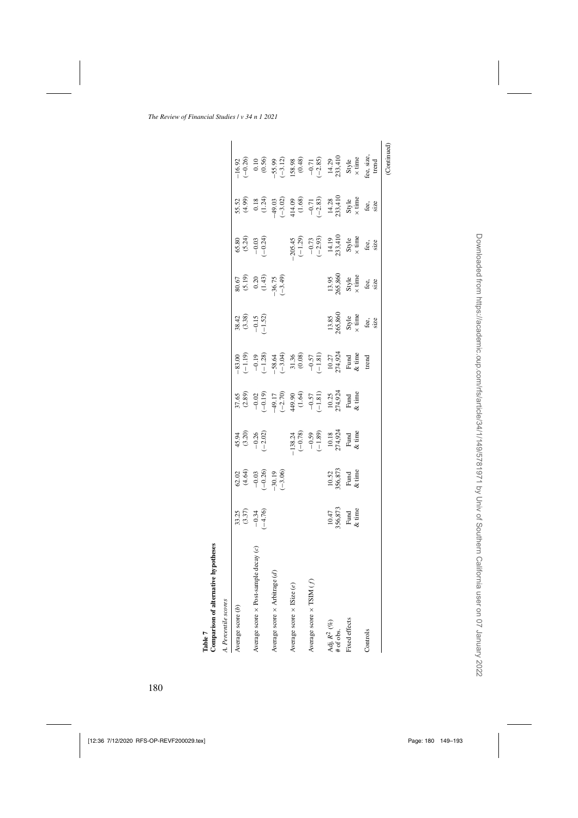<span id="page-31-0"></span>

| Percentile scores                                      |                                     |                                                                |                                                                                 |                                                                                                                                                                                                                                                                                                       |                                                                                                                                                                   |                                                                                                                      |                                                                |                                                                                                       |                                                                                                                                                                                                 |                                                                                                                                                                                                                                                                            |
|--------------------------------------------------------|-------------------------------------|----------------------------------------------------------------|---------------------------------------------------------------------------------|-------------------------------------------------------------------------------------------------------------------------------------------------------------------------------------------------------------------------------------------------------------------------------------------------------|-------------------------------------------------------------------------------------------------------------------------------------------------------------------|----------------------------------------------------------------------------------------------------------------------|----------------------------------------------------------------|-------------------------------------------------------------------------------------------------------|-------------------------------------------------------------------------------------------------------------------------------------------------------------------------------------------------|----------------------------------------------------------------------------------------------------------------------------------------------------------------------------------------------------------------------------------------------------------------------------|
| Average score (b)                                      |                                     |                                                                |                                                                                 |                                                                                                                                                                                                                                                                                                       | $-83.00$<br>$-1.19$                                                                                                                                               |                                                                                                                      |                                                                |                                                                                                       |                                                                                                                                                                                                 |                                                                                                                                                                                                                                                                            |
| decay(c)<br>Average score × Post-sample                | $33.25\n(3.37)\n-0.34\n+1.76$       | $62.02$<br>$64.64$<br>$-1.02$<br>$-1.02$<br>$-1.06$<br>$-1.06$ | $45.94$<br>$(3.20)$<br>$-0.26$<br>$(-2.02)$                                     |                                                                                                                                                                                                                                                                                                       |                                                                                                                                                                   | $38.42$<br>$(3.38)$<br>$(3.52)$<br>$(1.52)$                                                                          | 80.67<br>$(5.19)$<br>$0.20$<br>$(1.43)$<br>$-36.75$<br>$-3.49$ | 65.34<br>6.24<br>6.24<br>9.24                                                                         |                                                                                                                                                                                                 |                                                                                                                                                                                                                                                                            |
| €<br>Average score $\times$ Arbitrage ( $\overline{a}$ |                                     |                                                                |                                                                                 |                                                                                                                                                                                                                                                                                                       |                                                                                                                                                                   |                                                                                                                      |                                                                |                                                                                                       |                                                                                                                                                                                                 |                                                                                                                                                                                                                                                                            |
| Average score $\times$ ISize (e)                       |                                     |                                                                |                                                                                 |                                                                                                                                                                                                                                                                                                       |                                                                                                                                                                   |                                                                                                                      |                                                                |                                                                                                       |                                                                                                                                                                                                 |                                                                                                                                                                                                                                                                            |
| Average score $\times$ TSIM $(f)$                      |                                     |                                                                |                                                                                 |                                                                                                                                                                                                                                                                                                       |                                                                                                                                                                   |                                                                                                                      |                                                                |                                                                                                       |                                                                                                                                                                                                 |                                                                                                                                                                                                                                                                            |
| Adj. $R^2$ (%)<br># of obs.                            |                                     |                                                                | -138.24<br>$(-0.78)$<br>$-0.59$<br>$(-1.89)$<br>10.18<br>Fund<br>Fund<br>& time | 57.65<br>$(3.89)$<br>$(-1.9)$<br>$(-1.9)$<br>$(-1.9)$<br>$(-1.9)$<br>$(-1.9)$<br>$(-1.9)$<br>$(-1.9)$<br>$(-1.9)$<br>$(-1.9)$<br>$(-1.9)$<br>$(-1.9)$<br>$(-1.9)$<br>$(-1.9)$<br>$(-1.9)$<br>$(-1.9)$<br>$(-1.9)$<br>$(-1.9)$<br>$(-1.9)$<br>$(-1.9)$<br>$(-1.9)$<br>$(-1.9)$<br>$(-1.9)$<br>$(-1.9)$ | $-0.19$<br>$-1.28$<br>$-3.36$<br>$-3.36$<br>$-3.13$<br>$-1.81$<br>$-1.81$<br>$-1.81$<br>$-1.81$<br>$-1.27$<br>$-1.27$<br>$-1.27$<br>$-1.27$<br>$-1.27$<br>$-1.27$ |                                                                                                                      |                                                                | 205.45<br>$(-1.29)$<br>$(-0.73)$<br>$(-2.93)$<br>$14.19$<br>$5xy$<br>$x \text{ time}$<br>fee,<br>fee, | $5.52\n0.18\n0.19\n0.30\n0.49\n0.50\n0.50\n0.60\n0.71\n0.80\n0.71\n0.80\n0.81\n0.82\n0.83\n0.84\n0.85\n0.86\n0.89\n0.80\n0.81\n0.82\n0.83\n0.84\n0.85\n0.86\n0.89\n0.80\n0.80\n0.81\n0.82\n0.8$ | $-16.92$<br>$-0.26$<br>$-0.59$<br>$-55.99$<br>$-55.98$<br>$-12.83$<br>$-12.85$<br>$-12.85$<br>$-12.85$<br>$-12.85$<br>$-12.85$<br>$-12.85$<br>$-12.85$<br>$-12.85$<br>$-12.85$<br>$-12.85$<br>$-12.85$<br>$-12.85$<br>$-12.85$<br>$-12.85$<br>$-12.85$<br>$-12.85$<br>$-1$ |
| Fixed effects                                          | $10.47$<br>56,873<br>Fund<br>& time | $\frac{10.52}{56,873}$<br>Fund<br>& time                       |                                                                                 |                                                                                                                                                                                                                                                                                                       |                                                                                                                                                                   | $\begin{array}{l} 13.85 \\ 0.5,866 \\ \text{Style} \\ \times \text{ time} \\ \text{fee}, \\ \text{size} \end{array}$ | 13.95<br>865,860<br>8 syle<br>$\times$ time<br>fee,            |                                                                                                       |                                                                                                                                                                                                 |                                                                                                                                                                                                                                                                            |
| Controls                                               |                                     |                                                                |                                                                                 |                                                                                                                                                                                                                                                                                                       |                                                                                                                                                                   |                                                                                                                      |                                                                |                                                                                                       |                                                                                                                                                                                                 |                                                                                                                                                                                                                                                                            |
|                                                        |                                     |                                                                |                                                                                 |                                                                                                                                                                                                                                                                                                       |                                                                                                                                                                   |                                                                                                                      |                                                                |                                                                                                       |                                                                                                                                                                                                 | (Continued)                                                                                                                                                                                                                                                                |

Table 7<br>Comparison of alternative hypotheses **Comparison of alternative hypotheses**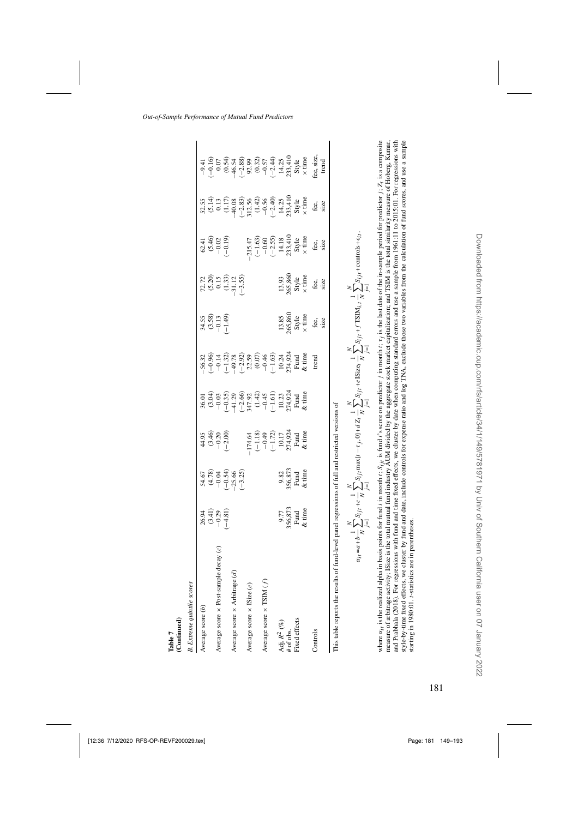| <b>B.</b> Extreme quintile scores<br>Continued) |                                                                    |                                                                                        |                                                                                                |                                                                                                                                                                                                                                                         |                                                                                                                                                                                                                                                                                                                                                                               |                                             |                                                                                                                      |                                                                                                                    |                                                                                                                                                                                                                                                                                                    |  |
|-------------------------------------------------|--------------------------------------------------------------------|----------------------------------------------------------------------------------------|------------------------------------------------------------------------------------------------|---------------------------------------------------------------------------------------------------------------------------------------------------------------------------------------------------------------------------------------------------------|-------------------------------------------------------------------------------------------------------------------------------------------------------------------------------------------------------------------------------------------------------------------------------------------------------------------------------------------------------------------------------|---------------------------------------------|----------------------------------------------------------------------------------------------------------------------|--------------------------------------------------------------------------------------------------------------------|----------------------------------------------------------------------------------------------------------------------------------------------------------------------------------------------------------------------------------------------------------------------------------------------------|--|
|                                                 |                                                                    |                                                                                        |                                                                                                |                                                                                                                                                                                                                                                         |                                                                                                                                                                                                                                                                                                                                                                               |                                             |                                                                                                                      |                                                                                                                    |                                                                                                                                                                                                                                                                                                    |  |
| Average score (b)                               |                                                                    |                                                                                        |                                                                                                |                                                                                                                                                                                                                                                         |                                                                                                                                                                                                                                                                                                                                                                               |                                             |                                                                                                                      |                                                                                                                    |                                                                                                                                                                                                                                                                                                    |  |
|                                                 |                                                                    |                                                                                        |                                                                                                |                                                                                                                                                                                                                                                         |                                                                                                                                                                                                                                                                                                                                                                               |                                             |                                                                                                                      |                                                                                                                    |                                                                                                                                                                                                                                                                                                    |  |
| Average score $\times$ Post-sample decay (c)    |                                                                    |                                                                                        |                                                                                                |                                                                                                                                                                                                                                                         |                                                                                                                                                                                                                                                                                                                                                                               |                                             |                                                                                                                      |                                                                                                                    |                                                                                                                                                                                                                                                                                                    |  |
|                                                 | $26.94$<br>$(3.41)$<br>$-0.29$<br>$-4.81$                          | $57.8$<br>$37.8$<br>$57.8$<br>$57.8$<br>$57.8$<br>$57.8$<br>$57.8$<br>$57.8$<br>$57.8$ | $44.95$<br>$(3.46)$<br>$(3.20)$<br>$(1.00)$                                                    |                                                                                                                                                                                                                                                         |                                                                                                                                                                                                                                                                                                                                                                               | $34.58$<br>$3.69$<br>$-1.49$                | $\begin{array}{c} 72.72 \\ (5.20) \\ 0.15 \\ (1.33) \\ (1.33) \\ -31.12 \\ \end{array}$                              | $62.41$<br>$(5.46)$<br>$-0.19$<br>$-0.19$                                                                          |                                                                                                                                                                                                                                                                                                    |  |
| Average score $\times$ Arbitrage (d)            |                                                                    |                                                                                        |                                                                                                |                                                                                                                                                                                                                                                         |                                                                                                                                                                                                                                                                                                                                                                               |                                             |                                                                                                                      |                                                                                                                    |                                                                                                                                                                                                                                                                                                    |  |
|                                                 |                                                                    |                                                                                        |                                                                                                |                                                                                                                                                                                                                                                         |                                                                                                                                                                                                                                                                                                                                                                               |                                             |                                                                                                                      |                                                                                                                    |                                                                                                                                                                                                                                                                                                    |  |
| Average score $\times$ ISize (e)                |                                                                    |                                                                                        |                                                                                                |                                                                                                                                                                                                                                                         |                                                                                                                                                                                                                                                                                                                                                                               |                                             |                                                                                                                      |                                                                                                                    |                                                                                                                                                                                                                                                                                                    |  |
|                                                 |                                                                    |                                                                                        |                                                                                                |                                                                                                                                                                                                                                                         |                                                                                                                                                                                                                                                                                                                                                                               |                                             |                                                                                                                      |                                                                                                                    |                                                                                                                                                                                                                                                                                                    |  |
| Average score $\times$ TSIM $(f)$               |                                                                    |                                                                                        |                                                                                                |                                                                                                                                                                                                                                                         |                                                                                                                                                                                                                                                                                                                                                                               |                                             |                                                                                                                      |                                                                                                                    |                                                                                                                                                                                                                                                                                                    |  |
|                                                 |                                                                    |                                                                                        | -174.64<br>$(-1.18)$<br>$(-0.49)$<br>$(-1.72)$<br>$10.17$<br>$10.17$<br>Fund<br>Fund<br>& time | $36.01$<br>$(3.04)$<br>$(3.03)$<br>$(3.05)$<br>$(3.03)$<br>$(3.03)$<br>$(3.03)$<br>$(4.01)$<br>$(5.01)$<br>$(1.01)$<br>$(1.01)$<br>$(1.01)$<br>$(1.01)$<br>$(1.01)$<br>$(1.01)$<br>$(1.01)$<br>$(1.01)$<br>$(1.01)$<br>$(1.01)$<br>$(1.01)$<br>$(1.01)$ |                                                                                                                                                                                                                                                                                                                                                                               |                                             |                                                                                                                      |                                                                                                                    |                                                                                                                                                                                                                                                                                                    |  |
| Adj. $R^2~(\%)$                                 |                                                                    |                                                                                        |                                                                                                |                                                                                                                                                                                                                                                         |                                                                                                                                                                                                                                                                                                                                                                               |                                             |                                                                                                                      |                                                                                                                    |                                                                                                                                                                                                                                                                                                    |  |
| # of obs.                                       |                                                                    |                                                                                        |                                                                                                |                                                                                                                                                                                                                                                         |                                                                                                                                                                                                                                                                                                                                                                               |                                             |                                                                                                                      |                                                                                                                    |                                                                                                                                                                                                                                                                                                    |  |
| Fixed effects                                   | 9.77<br>56,873<br>Fund<br>& time                                   | 9.82<br>56,873<br>Fund<br>& time                                                       |                                                                                                |                                                                                                                                                                                                                                                         |                                                                                                                                                                                                                                                                                                                                                                               |                                             |                                                                                                                      |                                                                                                                    |                                                                                                                                                                                                                                                                                                    |  |
|                                                 |                                                                    |                                                                                        |                                                                                                |                                                                                                                                                                                                                                                         | $3.8$ $\overline{6}$ $\overline{3}$ $\overline{4}$ $\overline{2}$ $\overline{3}$ $\overline{2}$ $\overline{3}$ $\overline{2}$ $\overline{3}$ $\overline{2}$ $\overline{3}$ $\overline{2}$ $\overline{3}$ $\overline{2}$ $\overline{3}$ $\overline{3}$ $\overline{3}$ $\overline{3}$ $\overline{3}$ $\overline{3}$ $\overline{3}$ $\overline{3}$ $\overline{3}$ $\overline{3}$ |                                             |                                                                                                                      |                                                                                                                    |                                                                                                                                                                                                                                                                                                    |  |
| Controls                                        |                                                                    |                                                                                        |                                                                                                |                                                                                                                                                                                                                                                         |                                                                                                                                                                                                                                                                                                                                                                               | $13.85\n055,860\nSkyle\n\times time\nfree,$ | $\begin{array}{l} 13.93 \\ 265,860 \\ \text{Style} \\ \times \text{ time} \\ \text{fee}, \\ \text{size} \end{array}$ | -215.47<br>$(-1.63)$<br>$-0.60$<br>$(-2.55)$<br>$14.18$<br>$233,410$<br>$\times$ time<br>$\times$<br>fine<br>fiee, | $S^{1,1}_{1,1,1}$<br>$S^{1,1}_{1,1,1}$<br>$S^{1,1}_{1,1,1}$<br>$S^{1,1}_{1,1,1}$<br>$S^{1,1}_{1,1,1}$<br>$S^{1,1}_{1,1,1}$<br>$S^{1,1}_{1,1,1}$<br>$S^{1,1}_{1,1,1}$<br>$S^{1,1}_{1,1,1}$<br>$S^{1,1}_{1,1,1}$<br>$S^{1,1}_{1,1,1}$<br>$S^{1,1}_{1,1,1}$<br>$S^{1,1}_{1,1,1}$<br>$S^{1,1}_{1,1,1}$ |  |
|                                                 |                                                                    |                                                                                        |                                                                                                |                                                                                                                                                                                                                                                         |                                                                                                                                                                                                                                                                                                                                                                               |                                             |                                                                                                                      |                                                                                                                    |                                                                                                                                                                                                                                                                                                    |  |
| his table reports the results                   | of fund-level panel regressions of full and restricted versions of |                                                                                        |                                                                                                |                                                                                                                                                                                                                                                         |                                                                                                                                                                                                                                                                                                                                                                               |                                             |                                                                                                                      |                                                                                                                    |                                                                                                                                                                                                                                                                                                    |  |
|                                                 |                                                                    |                                                                                        |                                                                                                |                                                                                                                                                                                                                                                         |                                                                                                                                                                                                                                                                                                                                                                               |                                             |                                                                                                                      |                                                                                                                    |                                                                                                                                                                                                                                                                                                    |  |

(Continued) Table 7

$$
\alpha_{i1} = a + b \frac{1}{N} \sum_{j=1}^{N} S_{jji} + c \frac{1}{N} \sum_{j=1}^{N} S_{jji} \max\{t - \tau_j, 0\} + dZ_I \sum_{j=1}^{N} S_{jji} + e 1 \text{Size}_t \frac{1}{N} \sum_{j=1}^{N} S_{ijI} + f \text{TSIM}_{i,t} \frac{1}{N} \sum_{j=1}^{N} S_{ijt} + \text{countols} + \epsilon_{li}
$$

where  $\alpha_{fi}$  is the realized alpha in basis points for fund *i* in month  $t$ ,  $S_{ff}$  is fund *i*'s score on predictor *j* in month  $t$ ,  $\tau_f$  is the last date of the in-sample period for predictor  $j$ ,  $Z_t$  is a composit style-by-time fixed effects, we cluster by fund and date, include controls for expense ratio and log TNA, exclude those two variables from the calculation of fund scores, and use a sample measure of arbitrage activity; ISize is the total mutual fund industry AUM divided by the aggregate stock market capitalization; and TSIM is the total similarity measure of Hoberg, Kumar, and Prabhala (2018). For regressions with fund and time fixed effects, we cluster by date when computing standard errors and use a sample from 1961:11 to 2015:01. For regressions with where  $\alpha_{ij}$  is the realized alpha in basis points for fund i in month  $t_i$ ,  $S_{ij}$ , is fund i's score on predictor  $j$  in month  $t_i$ ,  $\tau_j$  is the last date of the in-sample period for predictor  $j$ ;  $Z_t$  is a composite measure of arbitrage activity; ISize is the total mutual fund industry AUM divided by the aggregate stock market ca[p](#page-43-0)italization[;](#page-43-0) and TSIM is the total similarity measure of Hoberg, Kumar, and Prabhala [\(2018](#page-43-0)). For regressions with fund and time fixed effects, we cluster by date when computing standard errors and use a sample from 1961:11 to 2015:01. For regressions with style-by-time fixed effects, we cluster by fund and date, include controls for expense ratio and log TNA, exclude those two variables from the calculation of fund scores, and use a sample starting in 1980:01. t-statistics are in parentheses. starting in 1980:01. t-statistics are in parentheses.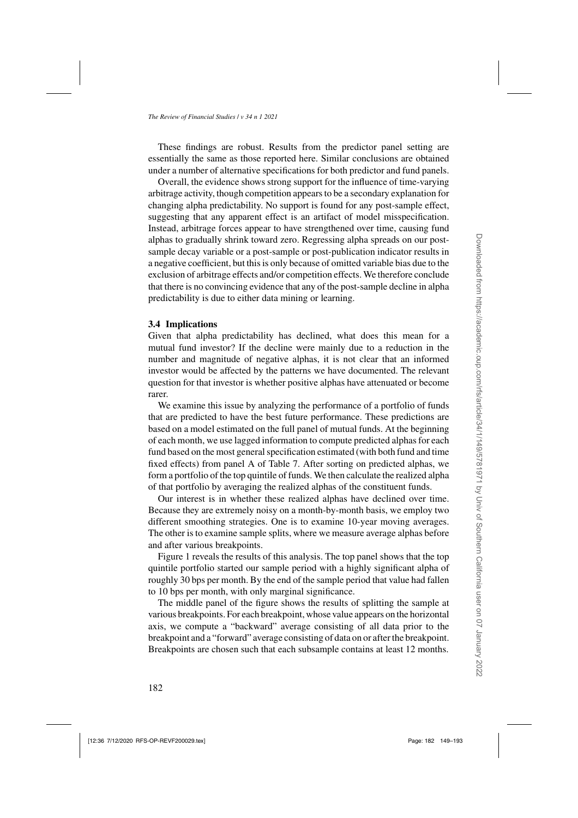These findings are robust. Results from the predictor panel setting are essentially the same as those reported here. Similar conclusions are obtained under a number of alternative specifications for both predictor and fund panels.

Overall, the evidence shows strong support for the influence of time-varying arbitrage activity, though competition appears to be a secondary explanation for changing alpha predictability. No support is found for any post-sample effect, suggesting that any apparent effect is an artifact of model misspecification. Instead, arbitrage forces appear to have strengthened over time, causing fund alphas to gradually shrink toward zero. Regressing alpha spreads on our postsample decay variable or a post-sample or post-publication indicator results in a negative coefficient, but this is only because of omitted variable bias due to the exclusion of arbitrage effects and/or competition effects. We therefore conclude that there is no convincing evidence that any of the post-sample decline in alpha predictability is due to either data mining or learning.

#### **3.4 Implications**

Given that alpha predictability has declined, what does this mean for a mutual fund investor? If the decline were mainly due to a reduction in the number and magnitude of negative alphas, it is not clear that an informed investor would be affected by the patterns we have documented. The relevant question for that investor is whether positive alphas have attenuated or become rarer.

We examine this issue by analyzing the performance of a portfolio of funds that are predicted to have the best future performance. These predictions are based on a model estimated on the full panel of mutual funds. At the beginning of each month, we use lagged information to compute predicted alphas for each fund based on the most general specification estimated (with both fund and time fixed effects) from panel A of Table [7.](#page-31-0) After sorting on predicted alphas, we form a portfolio of the top quintile of funds. We then calculate the realized alpha of that portfolio by averaging the realized alphas of the constituent funds.

Our interest is in whether these realized alphas have declined over time. Because they are extremely noisy on a month-by-month basis, we employ two different smoothing strategies. One is to examine 10-year moving averages. The other is to examine sample splits, where we measure average alphas before and after various breakpoints.

Figure [1](#page-34-0) reveals the results of this analysis. The top panel shows that the top quintile portfolio started our sample period with a highly significant alpha of roughly 30 bps per month. By the end of the sample period that value had fallen to 10 bps per month, with only marginal significance.

The middle panel of the figure shows the results of splitting the sample at various breakpoints. For each breakpoint, whose value appears on the horizontal axis, we compute a "backward" average consisting of all data prior to the breakpoint and a "forward" average consisting of data on or after the breakpoint. Breakpoints are chosen such that each subsample contains at least 12 months.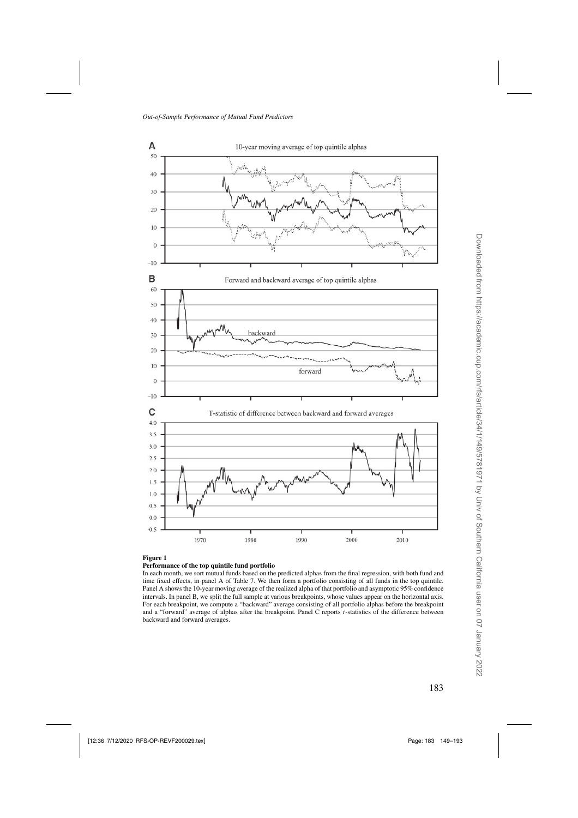<span id="page-34-0"></span>

**Figure 1**

#### **Performance of the top quintile fund portfolio**

In each month, we sort mutual funds based on the predicted alphas from the final regression, with both fund and time fixed effects, in panel A of Table [7.](#page-31-0) We then form a portfolio consisting of all funds in the top quintile. Panel A shows the 10-year moving average of the realized alpha of that portfolio and asymptotic 95% confidence intervals. In panel B, we split the full sample at various breakpoints, whose values appear on the horizontal axis. For each breakpoint, we compute a "backward" average consisting of all portfolio alphas before the breakpoint and a "forward" average of alphas after the breakpoint. Panel C reports t-statistics of the difference between backward and forward averages.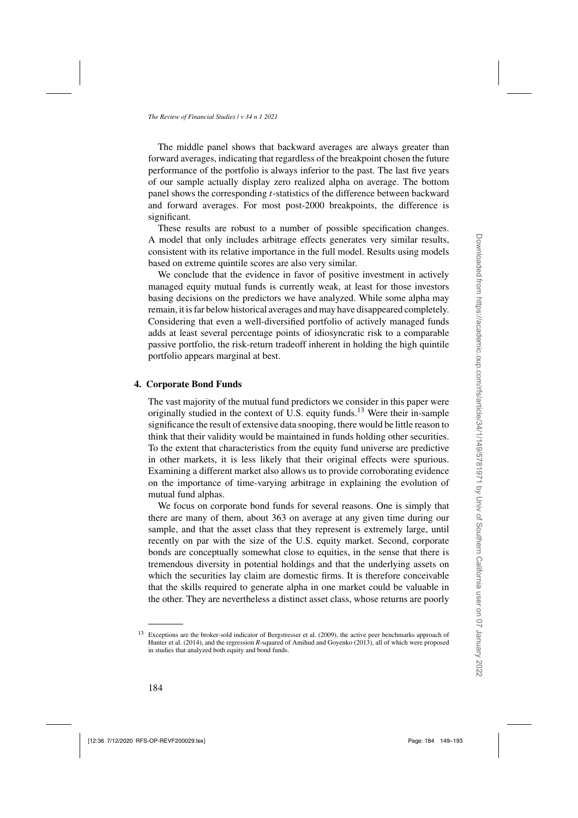The middle panel shows that backward averages are always greater than forward averages, indicating that regardless of the breakpoint chosen the future performance of the portfolio is always inferior to the past. The last five years of our sample actually display zero realized alpha on average. The bottom panel shows the corresponding t-statistics of the difference between backward and forward averages. For most post-2000 breakpoints, the difference is significant.

These results are robust to a number of possible specification changes. A model that only includes arbitrage effects generates very similar results, consistent with its relative importance in the full model. Results using models based on extreme quintile scores are also very similar.

We conclude that the evidence in favor of positive investment in actively managed equity mutual funds is currently weak, at least for those investors basing decisions on the predictors we have analyzed. While some alpha may remain, it is far below historical averages and may have disappeared completely. Considering that even a well-diversified portfolio of actively managed funds adds at least several percentage points of idiosyncratic risk to a comparable passive portfolio, the risk-return tradeoff inherent in holding the high quintile portfolio appears marginal at best.

## **4. Corporate Bond Funds**

The vast majority of the mutual fund predictors we consider in this paper were originally studied in the context of U.S. equity funds.<sup>13</sup> Were their in-sample significance the result of extensive data snooping, there would be little reason to think that their validity would be maintained in funds holding other securities. To the extent that characteristics from the equity fund universe are predictive in other markets, it is less likely that their original effects were spurious. Examining a different market also allows us to provide corroborating evidence on the importance of time-varying arbitrage in explaining the evolution of mutual fund alphas.

We focus on corporate bond funds for several reasons. One is simply that there are many of them, about 363 on average at any given time during our sample, and that the asset class that they represent is extremely large, until recently on par with the size of the U.S. equity market. Second, corporate bonds are conceptually somewhat close to equities, in the sense that there is tremendous diversity in potential holdings and that the underlying assets on which the securities lay claim are domestic firms. It is therefore conceivable that the skills required to generate alpha in one market could be valuable in the other. They are nevertheless a distinct asset class, whose returns are poorly

<sup>13</sup> Exceptions are the broker-sold indicator of [Bergstresser et al.](#page-42-0) [\(2009\)](#page-42-0), the active peer benchmarks approach of [Hunter et al.](#page-43-0) [\(2014](#page-43-0)), and the regression *R*-squared of [Amihud and Goyenko](#page-42-0) [\(2013\)](#page-42-0), all of which were proposed in studies that analyzed both equity and bond funds.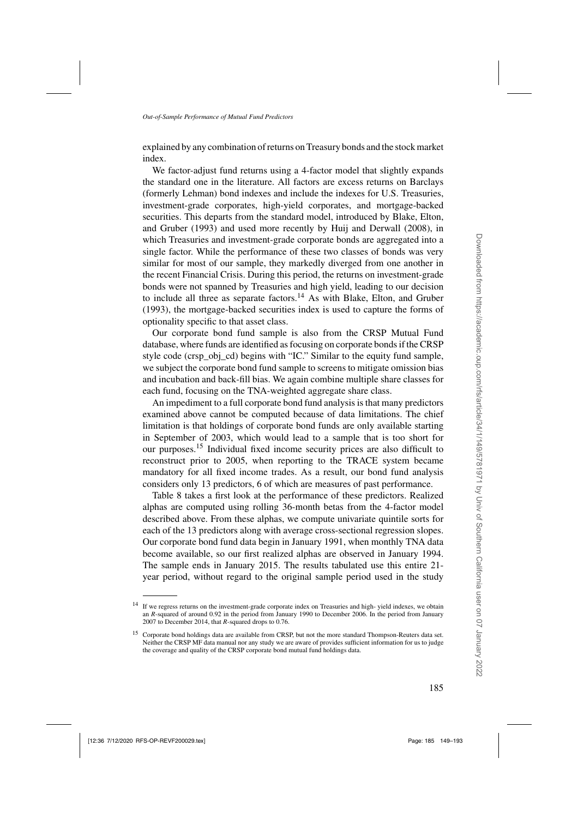explained by any combination of returns on Treasury bonds and the stock market index.

We factor-adjust fund returns using a 4-factor model that slightly expands the standard one in the literature. All factors are excess returns on Barclays (formerly Lehman) bond indexes and include the indexes for U.S. Treasuries, investment-grade corporates, high-yield corporates, and mortgage-backed securities. [This departs from the standard model, introduced by](#page-42-0) Blake, Elton, and Gruber [\(1993\)](#page-42-0) and used more recently by [Huij and Derwall](#page-43-0) [\(2008](#page-43-0)), in which Treasuries and investment-grade corporate bonds are aggregated into a single factor. While the performance of these two classes of bonds was very similar for most of our sample, they markedly diverged from one another in the recent Financial Crisis. During this period, the returns on investment-grade bonds were not spanned by Treasuries and high yield, leading to our decision to include all three as separate factors.<sup>14</sup> As with [Blake, Elton, and Gruber](#page-42-0) [\(1993\)](#page-42-0), the mortgage-backed securities index is used to capture the forms of optionality specific to that asset class.

Our corporate bond fund sample is also from the CRSP Mutual Fund database, where funds are identified as focusing on corporate bonds if the CRSP style code (crsp\_obj\_cd) begins with "IC." Similar to the equity fund sample, we subject the corporate bond fund sample to screens to mitigate omission bias and incubation and back-fill bias. We again combine multiple share classes for each fund, focusing on the TNA-weighted aggregate share class.

An impediment to a full corporate bond fund analysis is that many predictors examined above cannot be computed because of data limitations. The chief limitation is that holdings of corporate bond funds are only available starting in September of 2003, which would lead to a sample that is too short for our purposes.<sup>15</sup> Individual fixed income security prices are also difficult to reconstruct prior to 2005, when reporting to the TRACE system became mandatory for all fixed income trades. As a result, our bond fund analysis considers only 13 predictors, 6 of which are measures of past performance.

Table [8](#page-37-0) takes a first look at the performance of these predictors. Realized alphas are computed using rolling 36-month betas from the 4-factor model described above. From these alphas, we compute univariate quintile sorts for each of the 13 predictors along with average cross-sectional regression slopes. Our corporate bond fund data begin in January 1991, when monthly TNA data become available, so our first realized alphas are observed in January 1994. The sample ends in January 2015. The results tabulated use this entire 21 year period, without regard to the original sample period used in the study

<sup>&</sup>lt;sup>14</sup> If we regress returns on the investment-grade corporate index on Treasuries and high- yield indexes, we obtain an *R*-squared of around 0.92 in the period from January 1990 to December 2006. In the period from January 2007 to December 2014, that *R*-squared drops to 0.76.

<sup>&</sup>lt;sup>15</sup> Corporate bond holdings data are available from CRSP, but not the more standard Thompson-Reuters data set. Neither the CRSP MF data manual nor any study we are aware of provides sufficient information for us to judge the coverage and quality of the CRSP corporate bond mutual fund holdings data.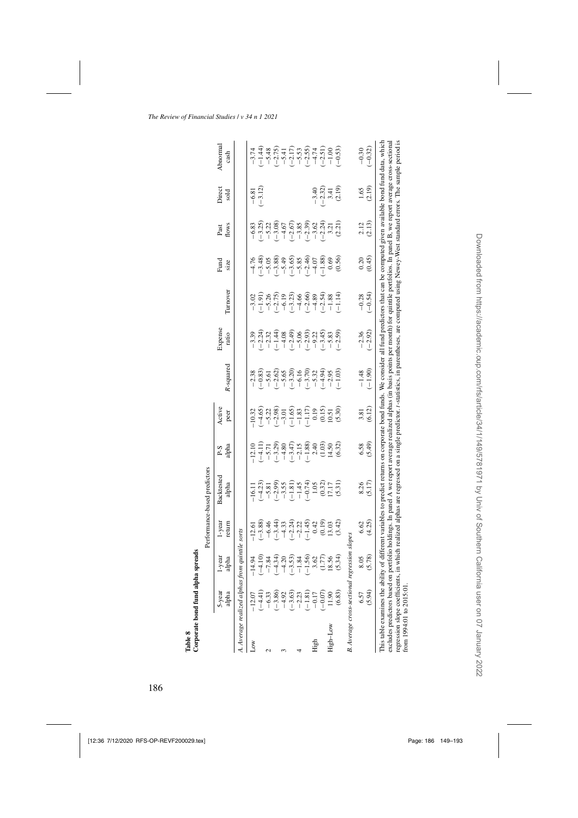<span id="page-37-0"></span>

|                                                                 |                                                                                                                                                                         |                                                                                  |                                                                                                                                                                                                                                                                                                                | Performance-based predictors                                                                                                                                                                                                                                                                                                                                                                                                                                                                               |                                                                                                                                                                                                                                                                                                                                                  |                                                                                                                                                                                                                                                                                                                                                                          |                                                                                                                                                                                                                                                                                                                                                                                                                                           |                      |                                                                                                                                                                                                                                                                                                                                   |                                                                                                                                         |                       |                                                                |                                                                                                                                                                                                                                |
|-----------------------------------------------------------------|-------------------------------------------------------------------------------------------------------------------------------------------------------------------------|----------------------------------------------------------------------------------|----------------------------------------------------------------------------------------------------------------------------------------------------------------------------------------------------------------------------------------------------------------------------------------------------------------|------------------------------------------------------------------------------------------------------------------------------------------------------------------------------------------------------------------------------------------------------------------------------------------------------------------------------------------------------------------------------------------------------------------------------------------------------------------------------------------------------------|--------------------------------------------------------------------------------------------------------------------------------------------------------------------------------------------------------------------------------------------------------------------------------------------------------------------------------------------------|--------------------------------------------------------------------------------------------------------------------------------------------------------------------------------------------------------------------------------------------------------------------------------------------------------------------------------------------------------------------------|-------------------------------------------------------------------------------------------------------------------------------------------------------------------------------------------------------------------------------------------------------------------------------------------------------------------------------------------------------------------------------------------------------------------------------------------|----------------------|-----------------------------------------------------------------------------------------------------------------------------------------------------------------------------------------------------------------------------------------------------------------------------------------------------------------------------------|-----------------------------------------------------------------------------------------------------------------------------------------|-----------------------|----------------------------------------------------------------|--------------------------------------------------------------------------------------------------------------------------------------------------------------------------------------------------------------------------------|
|                                                                 | 5-year<br>alpha                                                                                                                                                         | alpha<br>l-year                                                                  | l-year<br>return                                                                                                                                                                                                                                                                                               | Backtestec<br>alpha                                                                                                                                                                                                                                                                                                                                                                                                                                                                                        | 오<br>이 그<br>리 고                                                                                                                                                                                                                                                                                                                                  | Active<br>peer                                                                                                                                                                                                                                                                                                                                                           | R-squared                                                                                                                                                                                                                                                                                                                                                                                                                                 | Expense<br>ratio     | Turnover                                                                                                                                                                                                                                                                                                                          | Fund<br>size                                                                                                                            | Past<br>flows         | Direct<br>sold                                                 | Abnormal<br>cash                                                                                                                                                                                                               |
|                                                                 | A. Average realized alphas fr                                                                                                                                           | om quintile sorts                                                                |                                                                                                                                                                                                                                                                                                                |                                                                                                                                                                                                                                                                                                                                                                                                                                                                                                            |                                                                                                                                                                                                                                                                                                                                                  |                                                                                                                                                                                                                                                                                                                                                                          |                                                                                                                                                                                                                                                                                                                                                                                                                                           |                      |                                                                                                                                                                                                                                                                                                                                   |                                                                                                                                         |                       |                                                                |                                                                                                                                                                                                                                |
| $_{\text{Low}}$                                                 | $-12.07$                                                                                                                                                                | $-14.94$                                                                         | $-12.61$                                                                                                                                                                                                                                                                                                       |                                                                                                                                                                                                                                                                                                                                                                                                                                                                                                            |                                                                                                                                                                                                                                                                                                                                                  |                                                                                                                                                                                                                                                                                                                                                                          |                                                                                                                                                                                                                                                                                                                                                                                                                                           |                      |                                                                                                                                                                                                                                                                                                                                   |                                                                                                                                         |                       |                                                                |                                                                                                                                                                                                                                |
|                                                                 |                                                                                                                                                                         |                                                                                  |                                                                                                                                                                                                                                                                                                                |                                                                                                                                                                                                                                                                                                                                                                                                                                                                                                            |                                                                                                                                                                                                                                                                                                                                                  |                                                                                                                                                                                                                                                                                                                                                                          |                                                                                                                                                                                                                                                                                                                                                                                                                                           |                      |                                                                                                                                                                                                                                                                                                                                   |                                                                                                                                         |                       | $\frac{-6.81}{-3.12}$                                          |                                                                                                                                                                                                                                |
|                                                                 |                                                                                                                                                                         |                                                                                  |                                                                                                                                                                                                                                                                                                                |                                                                                                                                                                                                                                                                                                                                                                                                                                                                                                            |                                                                                                                                                                                                                                                                                                                                                  |                                                                                                                                                                                                                                                                                                                                                                          |                                                                                                                                                                                                                                                                                                                                                                                                                                           |                      |                                                                                                                                                                                                                                                                                                                                   |                                                                                                                                         |                       |                                                                |                                                                                                                                                                                                                                |
|                                                                 | $\begin{array}{c} (-4.41) \\ -6.33 \\ -6.39 \\ -4.92 \\ -4.30 \\ -4.31 \\ -1.81 \\ -1.71 \\ -1.71 \\ -1.71 \\ -1.71 \\ -1.71 \\ -1.90 \\ -1.90 \\ -1.90 \\ \end{array}$ | $-1, 34$<br>$-7, 34$<br>$-1, 30$<br>$-1, 30$<br>$-1, 34$<br>$-1, 34$<br>$-1, 34$ | $\begin{array}{l} 0.88 \\[-4.0mm] 0.44 \\[-4.0mm] 0.44 \\[-4.0mm] 0.44 \\[-4.0mm] 0.44 \\[-4.0mm] 0.44 \\[-4.0mm] 0.44 \\[-4.0mm] 0.44 \\[-4.0mm] 0.44 \\[-4.0mm] 0.44 \\[-4.0mm] 0.44 \\[-4.0mm] 0.44 \\[-4.0mm] 0.44 \\[-4.0mm] 0.44 \\[-4.0mm] 0.44 \\[-4.0mm] 0.44 \\[-4.0mm] 0.44 \\[-4.0mm] 0.44 \\[-4.$ | $\frac{1}{1}$ (1.3)<br>$\frac{1}{1}$ (1.3)<br>$\frac{1}{2}$ (3.9)<br>$\frac{1}{2}$ (3.9)<br>$\frac{1}{2}$ (3.9)<br>$\frac{1}{2}$ (3.9)<br>$\frac{1}{2}$ (1.5)<br>$\frac{1}{2}$ (1.5)<br>$\frac{1}{2}$ (1.5)<br>$\frac{1}{2}$ (1.5)<br>$\frac{1}{2}$ (1.5)<br>$\frac{1}{2}$ (1.5)<br>$\frac{1}{2}$ (1.5)<br>                                                                                                                                                                                                | $\begin{array}{l} 12.10 \\ -1.11 \\ -1.71 \\ -1.93 \\ -1.11 \\ -1.19 \\ -1.19 \\ -1.19 \\ -1.19 \\ -1.19 \\ -1.19 \\ -1.19 \\ -1.19 \\ -1.19 \\ -1.19 \\ -1.19 \\ -1.19 \\ -1.19 \\ -1.19 \\ -1.19 \\ -1.19 \\ -1.19 \\ -1.19 \\ -1.19 \\ -1.19 \\ -1.19 \\ -1.19 \\ -1.19 \\ -1.19 \\ -1.19 \\ -1.19 \\ -1.19 \\ -1.19 \\ -1.19 \\ -1.19 \\ -1$ | $\frac{22}{1}$<br>$\frac{23}{1}$<br>$\frac{23}{1}$<br>$\frac{23}{1}$<br>$\frac{23}{1}$<br>$\frac{13}{1}$<br>$\frac{23}{1}$<br>$\frac{15}{1}$<br>$\frac{23}{1}$<br>$\frac{23}{1}$<br>$\frac{23}{1}$<br>$\frac{23}{1}$<br>$\frac{23}{1}$<br>$\frac{23}{1}$<br>$\frac{23}{1}$<br>$\frac{23}{1}$<br>$\frac{23}{1}$<br>$\frac{23}{1}$<br>$\frac{23}{1}$<br>$\frac{23}{1}$<br> | $\begin{array}{l} 28 \\ 10 \\ 1 \end{array} \begin{array}{l} 29 \\ 10 \\ 10 \\ 1 \end{array} \begin{array}{l} 29 \\ 20 \\ 10 \\ 1 \end{array} \begin{array}{l} 29 \\ 20 \\ 10 \\ 1 \end{array} \begin{array}{l} 29 \\ 20 \\ 10 \\ 1 \end{array} \begin{array}{l} 29 \\ 20 \\ 10 \\ 1 \end{array} \begin{array}{l} 29 \\ 20 \\ 1 \end{array} \begin{array}{l} 29 \\ 20 \\ 1 \end{array} \begin{array}{l} 29 \\ 20 \\ 1 \end{array} \begin$ |                      | $\begin{array}{l} 23.67 \\ -11.78 \\ -11.79 \\ -11.79 \\ -11.79 \\ -11.79 \\ -11.79 \\ -11.79 \\ -11.79 \\ -11.79 \\ -11.79 \\ -11.79 \\ -11.79 \\ -11.79 \\ -11.79 \\ -11.79 \\ -11.79 \\ -11.79 \\ -11.79 \\ -11.79 \\ -11.79 \\ -11.79 \\ -11.79 \\ -11.79 \\ -11.79 \\ -11.79 \\ -11.79 \\ -11.79 \\ -11.79 \\ -11.79 \\ -11$ | $7.7$<br>$-1.7$<br>$-1.7$<br>$-1.7$<br>$-1.7$<br>$-1.7$<br>$-1.7$<br>$-1.7$<br>$-1.7$<br>$-1.7$<br>$-1.7$<br>$-1.7$<br>$-1.7$<br>$-1.7$ |                       |                                                                | $7.74$ $7.74$ $7.75$ $7.75$ $7.75$ $7.75$ $7.75$ $7.75$ $7.75$ $7.75$ $7.75$ $7.75$ $7.75$ $7.75$ $7.75$ $7.75$ $7.75$ $7.75$ $7.75$ $7.75$ $7.75$ $7.75$ $7.75$ $7.75$ $7.75$ $7.75$ $7.75$ $7.75$ $7.75$ $7.75$ $7.75$ $7.7$ |
|                                                                 |                                                                                                                                                                         |                                                                                  |                                                                                                                                                                                                                                                                                                                |                                                                                                                                                                                                                                                                                                                                                                                                                                                                                                            |                                                                                                                                                                                                                                                                                                                                                  |                                                                                                                                                                                                                                                                                                                                                                          |                                                                                                                                                                                                                                                                                                                                                                                                                                           |                      |                                                                                                                                                                                                                                                                                                                                   |                                                                                                                                         |                       |                                                                |                                                                                                                                                                                                                                |
|                                                                 |                                                                                                                                                                         |                                                                                  |                                                                                                                                                                                                                                                                                                                |                                                                                                                                                                                                                                                                                                                                                                                                                                                                                                            |                                                                                                                                                                                                                                                                                                                                                  |                                                                                                                                                                                                                                                                                                                                                                          |                                                                                                                                                                                                                                                                                                                                                                                                                                           |                      |                                                                                                                                                                                                                                                                                                                                   |                                                                                                                                         |                       |                                                                |                                                                                                                                                                                                                                |
|                                                                 |                                                                                                                                                                         |                                                                                  |                                                                                                                                                                                                                                                                                                                |                                                                                                                                                                                                                                                                                                                                                                                                                                                                                                            |                                                                                                                                                                                                                                                                                                                                                  |                                                                                                                                                                                                                                                                                                                                                                          |                                                                                                                                                                                                                                                                                                                                                                                                                                           |                      |                                                                                                                                                                                                                                                                                                                                   |                                                                                                                                         |                       |                                                                |                                                                                                                                                                                                                                |
|                                                                 |                                                                                                                                                                         |                                                                                  |                                                                                                                                                                                                                                                                                                                |                                                                                                                                                                                                                                                                                                                                                                                                                                                                                                            |                                                                                                                                                                                                                                                                                                                                                  |                                                                                                                                                                                                                                                                                                                                                                          |                                                                                                                                                                                                                                                                                                                                                                                                                                           |                      |                                                                                                                                                                                                                                                                                                                                   |                                                                                                                                         |                       |                                                                |                                                                                                                                                                                                                                |
| High                                                            |                                                                                                                                                                         |                                                                                  |                                                                                                                                                                                                                                                                                                                |                                                                                                                                                                                                                                                                                                                                                                                                                                                                                                            |                                                                                                                                                                                                                                                                                                                                                  |                                                                                                                                                                                                                                                                                                                                                                          |                                                                                                                                                                                                                                                                                                                                                                                                                                           |                      |                                                                                                                                                                                                                                                                                                                                   |                                                                                                                                         |                       |                                                                |                                                                                                                                                                                                                                |
|                                                                 |                                                                                                                                                                         | $\frac{1.56}{3.62}$<br>$\frac{1.77}{18.56}$                                      |                                                                                                                                                                                                                                                                                                                |                                                                                                                                                                                                                                                                                                                                                                                                                                                                                                            |                                                                                                                                                                                                                                                                                                                                                  |                                                                                                                                                                                                                                                                                                                                                                          |                                                                                                                                                                                                                                                                                                                                                                                                                                           |                      |                                                                                                                                                                                                                                                                                                                                   |                                                                                                                                         |                       | $-3.22$<br>$-2.32$<br>$-3.41$<br>$-3.41$<br>$-3.41$<br>$-3.41$ |                                                                                                                                                                                                                                |
| High-Low                                                        |                                                                                                                                                                         |                                                                                  |                                                                                                                                                                                                                                                                                                                |                                                                                                                                                                                                                                                                                                                                                                                                                                                                                                            |                                                                                                                                                                                                                                                                                                                                                  |                                                                                                                                                                                                                                                                                                                                                                          |                                                                                                                                                                                                                                                                                                                                                                                                                                           |                      |                                                                                                                                                                                                                                                                                                                                   |                                                                                                                                         |                       |                                                                |                                                                                                                                                                                                                                |
|                                                                 | (6.83)                                                                                                                                                                  | (5.34)                                                                           |                                                                                                                                                                                                                                                                                                                |                                                                                                                                                                                                                                                                                                                                                                                                                                                                                                            |                                                                                                                                                                                                                                                                                                                                                  |                                                                                                                                                                                                                                                                                                                                                                          |                                                                                                                                                                                                                                                                                                                                                                                                                                           |                      |                                                                                                                                                                                                                                                                                                                                   | (0.56)                                                                                                                                  | (2.21)                |                                                                |                                                                                                                                                                                                                                |
| B. Average cross-sectional re,                                  |                                                                                                                                                                         | ression slopes                                                                   |                                                                                                                                                                                                                                                                                                                |                                                                                                                                                                                                                                                                                                                                                                                                                                                                                                            |                                                                                                                                                                                                                                                                                                                                                  |                                                                                                                                                                                                                                                                                                                                                                          |                                                                                                                                                                                                                                                                                                                                                                                                                                           |                      |                                                                                                                                                                                                                                                                                                                                   |                                                                                                                                         |                       |                                                                |                                                                                                                                                                                                                                |
|                                                                 | 6.57                                                                                                                                                                    | 8.05                                                                             | 6.62                                                                                                                                                                                                                                                                                                           |                                                                                                                                                                                                                                                                                                                                                                                                                                                                                                            |                                                                                                                                                                                                                                                                                                                                                  | 3.81                                                                                                                                                                                                                                                                                                                                                                     |                                                                                                                                                                                                                                                                                                                                                                                                                                           |                      |                                                                                                                                                                                                                                                                                                                                   | 0.20                                                                                                                                    |                       | 1.65                                                           | $-0.30$                                                                                                                                                                                                                        |
|                                                                 | (5.94)                                                                                                                                                                  | (5.78)                                                                           | (4.25)                                                                                                                                                                                                                                                                                                         | 8.26<br>(5.17)                                                                                                                                                                                                                                                                                                                                                                                                                                                                                             | $6.58$<br>$(5.49)$                                                                                                                                                                                                                                                                                                                               | (6.12)                                                                                                                                                                                                                                                                                                                                                                   | $-1.48$<br>$(-1.90)$                                                                                                                                                                                                                                                                                                                                                                                                                      | $-2.36$<br>$(-2.92)$ | $-0.28$<br>$-0.54$ )                                                                                                                                                                                                                                                                                                              | (0.45)                                                                                                                                  | $\frac{2.12}{(2.13)}$ | (2.19)                                                         | $-0.32$                                                                                                                                                                                                                        |
| regression slope coefficients,<br>This table examines the abili | excludes predictors based on                                                                                                                                            |                                                                                  |                                                                                                                                                                                                                                                                                                                | in which realized alphas are regressed on a single predictor. t-statistics, in parentheses, are computed using Newey-West standard errors. The sample period is<br>ty of different variables to predict returns on corporate bond funds. We consider all fund predictors that can be computed given available bond fund data, which<br>portfolio holdings. In panel A we report average realized alphas (in basis points per month) for quintile portfolios. In panel B, we report average cross-sectional |                                                                                                                                                                                                                                                                                                                                                  |                                                                                                                                                                                                                                                                                                                                                                          |                                                                                                                                                                                                                                                                                                                                                                                                                                           |                      |                                                                                                                                                                                                                                                                                                                                   |                                                                                                                                         |                       |                                                                |                                                                                                                                                                                                                                |

from 1994:01 to 2015:01. from 1994:01 to 2015:01.

Downloaded from https://academic.oup.com/rfs/article/34/1/149/5781971 by Univ of Southern California user on 07 January 2022 Downloaded from https://academic.oup.com/rfs/article/34/1/149/5781971 by Univ of Southern California user on 07 January 2022

Table 8<br>Corporate bond fund alpha spreads **Corporate bond fund alpha spreads**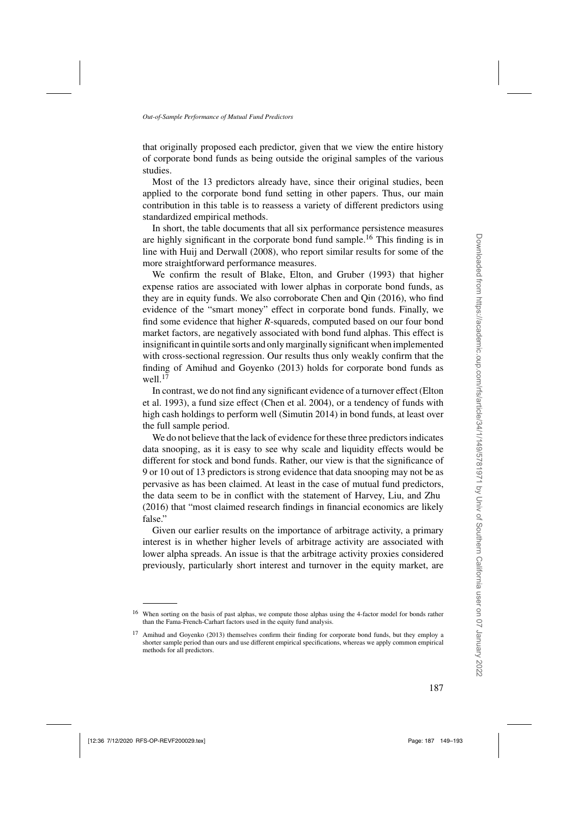that originally proposed each predictor, given that we view the entire history of corporate bond funds as being outside the original samples of the various studies.

Most of the 13 predictors already have, since their original studies, been applied to the corporate bond fund setting in other papers. Thus, our main contribution in this table is to reassess a variety of different predictors using standardized empirical methods.

In short, the table documents that all six performance persistence measures are highly significant in the corporate bond fund sample.<sup>16</sup> This finding is in line with [Huij and Derwall](#page-43-0) [\(2008\)](#page-43-0), who report similar results for some of the more straightforward performance measures.

We confirm the result of [Blake, Elton, and Gruber](#page-42-0) [\(1993\)](#page-42-0) that higher expense ratios are associated with lower alphas in corporate bond funds, as they are in equity funds. We also corroborate [Chen and Qin](#page-42-0) [\(2016](#page-42-0)), who find evidence of the "smart money" effect in corporate bond funds. Finally, we find some evidence that higher *R*-squareds, computed based on our four bond market factors, are negatively associated with bond fund alphas. This effect is insignificant in quintile sorts and only marginally significant when implemented with cross-sectional regression. Our results thus only weakly confirm that the finding of [Amihud and Goyenko](#page-42-0) [\(2013\)](#page-42-0) holds for corporate bond funds as well $11$ <sup>17</sup>

In [contrast,](#page-43-0) [we](#page-43-0) [do](#page-43-0) [not](#page-43-0) [find](#page-43-0) [any](#page-43-0) [significant](#page-43-0) [evidence](#page-43-0) [of](#page-43-0) [a](#page-43-0) [turnover](#page-43-0) [effect](#page-43-0) [\(](#page-43-0)Elton et al. [1993\)](#page-43-0), a fund size effect [\(Chen et al. 2004\)](#page-42-0), or a tendency of funds with high cash holdings to perform well [\(Simutin 2014](#page-44-0)) in bond funds, at least over the full sample period.

We do not believe that the lack of evidence for these three predictors indicates data snooping, as it is easy to see why scale and liquidity effects would be different for stock and bond funds. Rather, our view is that the significance of 9 or 10 out of 13 predictors is strong evidence that data snooping may not be as pervasive as has been claimed. At least in the case of mutual fund predictors, the data seem to be in conflict with the statement of [Harvey, Liu, and Zhu](#page-43-0) [\(2016\)](#page-43-0) that "most claimed research findings in financial economics are likely false."

Given our earlier results on the importance of arbitrage activity, a primary interest is in whether higher levels of arbitrage activity are associated with lower alpha spreads. An issue is that the arbitrage activity proxies considered previously, particularly short interest and turnover in the equity market, are

When sorting on the basis of past alphas, we compute those alphas using the 4-factor model for bonds rather than the Fama-French-Carhart factors used in the equity fund analysis.

<sup>&</sup>lt;sup>17</sup> [Amihud and Goyenko](#page-42-0) [\(2013\)](#page-42-0) themselves confirm their finding for corporate bond funds, but they employ a shorter sample period than ours and use different empirical specifications, whereas we apply common empirical methods for all predictors.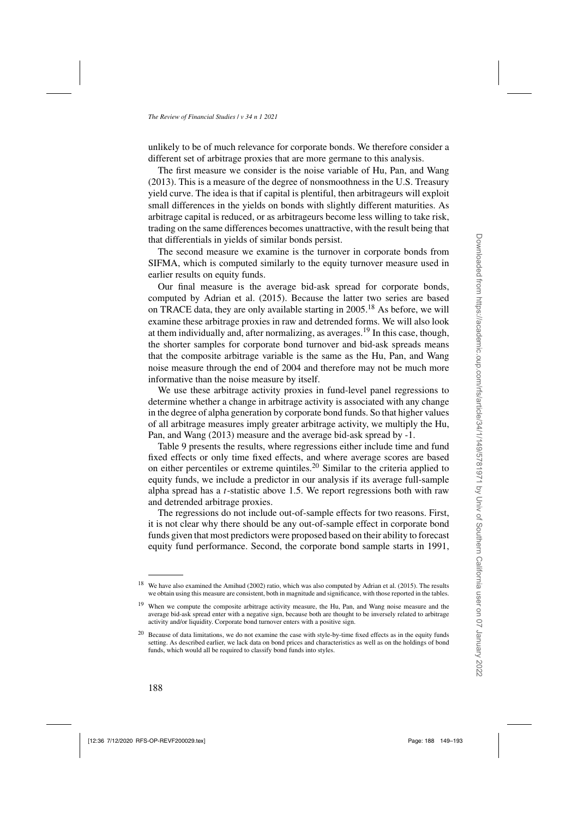unlikely to be of much relevance for corporate bonds. We therefore consider a different set of arbitrage proxies that are more germane to this analysis.

The first measure we consider is the noise variable of [Hu, Pan, and Wang](#page-43-0) [\(2013\)](#page-43-0). This is a measure of the degree of nonsmoothness in the U.S. Treasury yield curve. The idea is that if capital is plentiful, then arbitrageurs will exploit small differences in the yields on bonds with slightly different maturities. As arbitrage capital is reduced, or as arbitrageurs become less willing to take risk, trading on the same differences becomes unattractive, with the result being that that differentials in yields of similar bonds persist.

The second measure we examine is the turnover in corporate bonds from SIFMA, which is computed similarly to the equity turnover measure used in earlier results on equity funds.

Our final measure is the average bid-ask spread for corporate bonds, computed by [Adrian et al.](#page-42-0) [\(2015\)](#page-42-0). Because the latter two series are based on TRACE data, they are only available starting in 2005.<sup>18</sup> As before, we will examine these arbitrage proxies in raw and detrended forms. We will also look at them individually and, after normalizing, as averages.<sup>19</sup> In this case, though, the shorter samples for corporate bond turnover and bid-ask spreads means that the composite arbitrage variable is the same as the [Hu, Pan, and Wang](#page-43-0) noise measure through the end of 2004 and therefore may not be much more informative than the noise measure by itself.

We use these arbitrage activity proxies in fund-level panel regressions to determine whether a change in arbitrage activity is associated with any change in the degree of alpha generation by corporate bond funds. So that higher values of all arbitrage [measures](#page-43-0) [imply](#page-43-0) [greater](#page-43-0) [arbitrage](#page-43-0) [activity,](#page-43-0) [we](#page-43-0) [multiply](#page-43-0) [the](#page-43-0) Hu, Pan, and Wang [\(2013\)](#page-43-0) measure and the average bid-ask spread by -1.

Table [9](#page-40-0) presents the results, where regressions either include time and fund fixed effects or only time fixed effects, and where average scores are based on either percentiles or extreme quintiles.<sup>20</sup> Similar to the criteria applied to equity funds, we include a predictor in our analysis if its average full-sample alpha spread has a t-statistic above 1.5. We report regressions both with raw and detrended arbitrage proxies.

The regressions do not include out-of-sample effects for two reasons. First, it is not clear why there should be any out-of-sample effect in corporate bond funds given that most predictors were proposed based on their ability to forecast equity fund performance. Second, the corporate bond sample starts in 1991,

<sup>18</sup> We have also examined the [Amihud](#page-42-0) [\(2002\)](#page-42-0) ratio, which was also computed by [Adrian et al.](#page-42-0) [\(2015\)](#page-42-0). The results we obtain using this measure are consistent, both in magnitude and significance, with those reported in the tables.

<sup>&</sup>lt;sup>19</sup> When we compute the composite arbitrage activity measure, the [Hu, Pan, and Wang](#page-43-0) noise measure and the average bid-ask spread enter with a negative sign, because both are thought to be inversely related to arbitrage activity and/or liquidity. Corporate bond turnover enters with a positive sign.

<sup>&</sup>lt;sup>20</sup> Because of data limitations, we do not examine the case with style-by-time fixed effects as in the equity funds setting. As described earlier, we lack data on bond prices and characteristics as well as on the holdings of bond funds, which would all be required to classify bond funds into styles.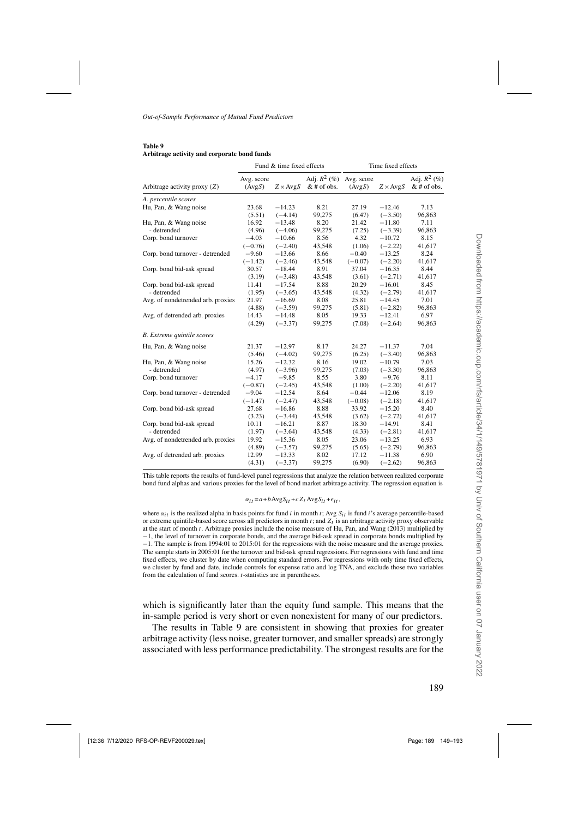#### <span id="page-40-0"></span>**Table 9 Arbitrage activity and corporate bond funds**

|                                   | Fund & time fixed effects |                 |                                 | Time fixed effects   |                 |                                 |
|-----------------------------------|---------------------------|-----------------|---------------------------------|----------------------|-----------------|---------------------------------|
| Arbitrage activity proxy $(Z)$    | Avg. score<br>(AvgS)      | $Z \times AvgS$ | Adj. $R^2$ (%)<br>$&$ # of obs. | Avg. score<br>(AvgS) | $Z \times AvgS$ | Adj. $R^2$ (%)<br>$&$ # of obs. |
| A. percentile scores              |                           |                 |                                 |                      |                 |                                 |
| Hu, Pan, & Wang noise             | 23.68                     | $-14.23$        | 8.21                            | 27.19                | $-12.46$        | 7.13                            |
|                                   | (5.51)                    | $(-4.14)$       | 99,275                          | (6.47)               | $(-3.50)$       | 96,863                          |
| Hu, Pan, & Wang noise             | 16.92                     | $-13.48$        | 8.20                            | 21.42                | $-11.80$        | 7.11                            |
| - detrended                       | (4.96)                    | $(-4.06)$       | 99,275                          | (7.25)               | $(-3.39)$       | 96,863                          |
| Corp. bond turnover               | $-4.03$                   | $-10.66$        | 8.56                            | 4.32                 | $-10.72$        | 8.15                            |
|                                   | $(-0.76)$                 | $(-2.40)$       | 43,548                          | (1.06)               | $(-2.22)$       | 41,617                          |
| Corp. bond turnover - detrended   | $-9.60$                   | $-13.66$        | 8.66                            | $-0.40$              | $-13.25$        | 8.24                            |
|                                   | $(-1.42)$                 | $(-2.46)$       | 43,548                          | $(-0.07)$            | $(-2.20)$       | 41,617                          |
| Corp. bond bid-ask spread         | 30.57                     | $-18.44$        | 8.91                            | 37.04                | $-16.35$        | 8.44                            |
|                                   | (3.19)                    | $(-3.48)$       | 43,548                          | (3.61)               | $(-2.71)$       | 41,617                          |
| Corp. bond bid-ask spread         | 11.41                     | $-17.54$        | 8.88                            | 20.29                | $-16.01$        | 8.45                            |
| - detrended                       | (1.95)                    | $(-3.65)$       | 43,548                          | (4.32)               | $(-2.79)$       | 41,617                          |
| Avg. of nondetrended arb. proxies | 21.97                     | $-16.69$        | 8.08                            | 25.81                | $-14.45$        | 7.01                            |
|                                   | (4.88)                    | $(-3.59)$       | 99,275                          | (5.81)               | $(-2.82)$       | 96,863                          |
| Avg. of detrended arb. proxies    | 14.43                     | $-14.48$        | 8.05                            | 19.33                | $-12.41$        | 6.97                            |
|                                   | (4.29)                    | $(-3.37)$       | 99,275                          | (7.08)               | $(-2.64)$       | 96,863                          |
| <b>B.</b> Extreme quintile scores |                           |                 |                                 |                      |                 |                                 |
| Hu, Pan, & Wang noise             | 21.37                     | $-12.97$        | 8.17                            | 24.27                | $-11.37$        | 7.04                            |
|                                   | (5.46)                    | $(-4.02)$       | 99,275                          | (6.25)               | $(-3.40)$       | 96,863                          |
| Hu, Pan, & Wang noise             | 15.26                     | $-12.32$        | 8.16                            | 19.02                | $-10.79$        | 7.03                            |
| - detrended                       | (4.97)                    | $(-3.96)$       | 99,275                          | (7.03)               | $(-3.30)$       | 96,863                          |
| Corp. bond turnover               | $-4.17$                   | $-9.85$         | 8.55                            | 3.80                 | $-9.76$         | 8.11                            |
|                                   | $(-0.87)$                 | $(-2.45)$       | 43,548                          | (1.00)               | $(-2.20)$       | 41,617                          |
| Corp. bond turnover - detrended   | $-9.04$                   | $-12.54$        | 8.64                            | $-0.44$              | $-12.06$        | 8.19                            |
|                                   | $(-1.47)$                 | $(-2.47)$       | 43,548                          | $(-0.08)$            | $(-2.18)$       | 41,617                          |
| Corp. bond bid-ask spread         | 27.68                     | $-16.86$        | 8.88                            | 33.92                | $-15.20$        | 8.40                            |
|                                   | (3.23)                    | $(-3.44)$       | 43,548                          | (3.62)               | $(-2.72)$       | 41,617                          |
| Corp. bond bid-ask spread         | 10.11                     | $-16.21$        | 8.87                            | 18.30                | $-14.91$        | 8.41                            |
| - detrended                       | (1.97)                    | $(-3.64)$       | 43,548                          | (4.33)               | $(-2.81)$       | 41,617                          |
| Avg. of nondetrended arb. proxies | 19.92                     | $-15.36$        | 8.05                            | 23.06                | $-13.25$        | 6.93                            |
|                                   | (4.89)                    | $(-3.57)$       | 99,275                          | (5.65)               | $(-2.79)$       | 96,863                          |
| Avg. of detrended arb. proxies    | 12.99                     | $-13.33$        | 8.02                            | 17.12                | $-11.38$        | 6.90                            |
|                                   | (4.31)                    | $(-3.37)$       | 99,275                          | (6.90)               | $(-2.62)$       | 96,863                          |

This table reports the results of fund-level panel regressions that analyze the relation between realized corporate bond fund alphas and various proxies for the level of bond market arbitrage activity. The regression equation is

 $\alpha_{it} = a + b \operatorname{Avg} S_{it} + c Z_t \operatorname{Avg} S_{it} + \epsilon_{it},$ 

where  $\alpha_{it}$  is the realized alpha in basis points for fund i in month t; Avg  $S_{it}$  is fund i's average percentile-based or extreme quintile-based score across all predictors in month  $t$ ; and  $Z_t$  is an arbitrage activity proxy observable at the start of month t. Arbitrage proxies include the noise measure of [Hu, Pan, and Wang](#page-43-0) [\(2013\)](#page-43-0) multiplied by −1, the level of turnover in corporate bonds, and the average bid-ask spread in corporate bonds multiplied by −1. The sample is from 1994:01 to 2015:01 for the regressions with the noise measure and the average proxies. The sample starts in 2005:01 for the turnover and bid-ask spread regressions. For regressions with fund and time fixed effects, we cluster by date when computing standard errors. For regressions with only time fixed effects, we cluster by fund and date, include controls for expense ratio and log TNA, and exclude those two variables from the calculation of fund scores. t-statistics are in parentheses.

which is significantly later than the equity fund sample. This means that the in-sample period is very short or even nonexistent for many of our predictors.

The results in Table 9 are consistent in showing that proxies for greater arbitrage activity (less noise, greater turnover, and smaller spreads) are strongly associated with less performance predictability. The strongest results are for the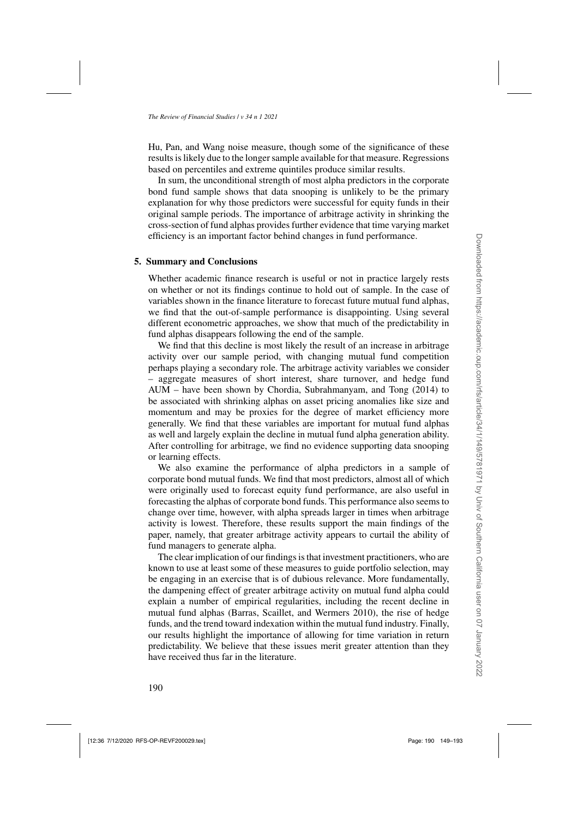[Hu, Pan, and Wang](#page-43-0) noise measure, though some of the significance of these results is likely due to the longer sample available for that measure. Regressions based on percentiles and extreme quintiles produce similar results.

In sum, the unconditional strength of most alpha predictors in the corporate bond fund sample shows that data snooping is unlikely to be the primary explanation for why those predictors were successful for equity funds in their original sample periods. The importance of arbitrage activity in shrinking the cross-section of fund alphas provides further evidence that time varying market efficiency is an important factor behind changes in fund performance.

## **5. Summary and Conclusions**

Whether academic finance research is useful or not in practice largely rests on whether or not its findings continue to hold out of sample. In the case of variables shown in the finance literature to forecast future mutual fund alphas, we find that the out-of-sample performance is disappointing. Using several different econometric approaches, we show that much of the predictability in fund alphas disappears following the end of the sample.

We find that this decline is most likely the result of an increase in arbitrage activity over our sample period, with changing mutual fund competition perhaps playing a secondary role. The arbitrage activity variables we consider – aggregate measures of short interest, share turnover, and hedge fund AUM – have been shown by [Chordia, Subrahmanyam, and Tong](#page-42-0) [\(2014](#page-42-0)) to be associated with shrinking alphas on asset pricing anomalies like size and momentum and may be proxies for the degree of market efficiency more generally. We find that these variables are important for mutual fund alphas as well and largely explain the decline in mutual fund alpha generation ability. After controlling for arbitrage, we find no evidence supporting data snooping or learning effects.

We also examine the performance of alpha predictors in a sample of corporate bond mutual funds. We find that most predictors, almost all of which were originally used to forecast equity fund performance, are also useful in forecasting the alphas of corporate bond funds. This performance also seems to change over time, however, with alpha spreads larger in times when arbitrage activity is lowest. Therefore, these results support the main findings of the paper, namely, that greater arbitrage activity appears to curtail the ability of fund managers to generate alpha.

The clear implication of our findings is that investment practitioners, who are known to use at least some of these measures to guide portfolio selection, may be engaging in an exercise that is of dubious relevance. More fundamentally, the dampening effect of greater arbitrage activity on mutual fund alpha could explain a number of empirical regularities, including the recent decline in mutual fund alphas [\(Barras, Scaillet, and Wermers 2010](#page-42-0)), the rise of hedge funds, and the trend toward indexation within the mutual fund industry. Finally, our results highlight the importance of allowing for time variation in return predictability. We believe that these issues merit greater attention than they have received thus far in the literature.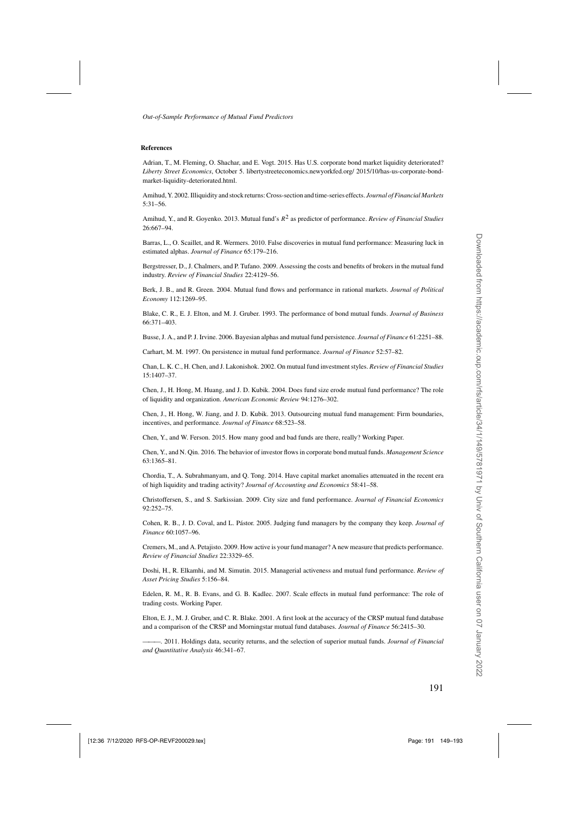#### <span id="page-42-0"></span>**References**

Adrian, T., M. Fleming, O. Shachar, and E. Vogt. 2015. Has U.S. corporate bond market liquidity deteriorated? *Liberty Street Economics*, October 5. libertystreeteconomics.newyorkfed.org/ 2015/10/has-us-corporate-bondmarket-liquidity-deteriorated.html.

Amihud, Y. 2002. Illiquidity and stock returns: Cross-section and time-series effects. *Journal of Financial Markets* 5:31–56.

Amihud, Y., and R. Goyenko. 2013. Mutual fund's R<sup>2</sup> as predictor of performance. *Review of Financial Studies* 26:667–94.

Barras, L., O. Scaillet, and R. Wermers. 2010. False discoveries in mutual fund performance: Measuring luck in estimated alphas. *Journal of Finance* 65:179–216.

Bergstresser, D., J. Chalmers, and P. Tufano. 2009. Assessing the costs and benefits of brokers in the mutual fund industry. *Review of Financial Studies* 22:4129–56.

Berk, J. B., and R. Green. 2004. Mutual fund flows and performance in rational markets. *Journal of Political Economy* 112:1269–95.

Blake, C. R., E. J. Elton, and M. J. Gruber. 1993. The performance of bond mutual funds. *Journal of Business* 66:371–403.

Busse, J. A., and P. J. Irvine. 2006. Bayesian alphas and mutual fund persistence. *Journal of Finance* 61:2251–88.

Carhart, M. M. 1997. On persistence in mutual fund performance. *Journal of Finance* 52:57–82.

Chan, L. K. C., H. Chen, and J. Lakonishok. 2002. On mutual fund investment styles. *Review of Financial Studies* 15:1407–37.

Chen, J., H. Hong, M. Huang, and J. D. Kubik. 2004. Does fund size erode mutual fund performance? The role of liquidity and organization. *American Economic Review* 94:1276–302.

Chen, J., H. Hong, W. Jiang, and J. D. Kubik. 2013. Outsourcing mutual fund management: Firm boundaries, incentives, and performance. *Journal of Finance* 68:523–58.

Chen, Y., and W. Ferson. 2015. How many good and bad funds are there, really? Working Paper.

Chen, Y., and N. Qin. 2016. The behavior of investor flows in corporate bond mutual funds. *Management Science* 63:1365–81.

Chordia, T., A. Subrahmanyam, and Q. Tong. 2014. Have capital market anomalies attenuated in the recent era of high liquidity and trading activity? *Journal of Accounting and Economics* 58:41–58.

Christoffersen, S., and S. Sarkissian. 2009. City size and fund performance. *Journal of Financial Economics* 92:252–75.

Cohen, R. B., J. D. Coval, and L. Pástor. 2005. Judging fund managers by the company they keep. *Journal of Finance* 60:1057–96.

Cremers, M., and A. Petajisto. 2009. How active is your fund manager? A new measure that predicts performance. *Review of Financial Studies* 22:3329–65.

Doshi, H., R. Elkamhi, and M. Simutin. 2015. Managerial activeness and mutual fund performance. *Review of Asset Pricing Studies* 5:156–84.

Edelen, R. M., R. B. Evans, and G. B. Kadlec. 2007. Scale effects in mutual fund performance: The role of trading costs. Working Paper.

Elton, E. J., M. J. Gruber, and C. R. Blake. 2001. A first look at the accuracy of the CRSP mutual fund database and a comparison of the CRSP and Morningstar mutual fund databases. *Journal of Finance* 56:2415–30.

———. 2011. Holdings data, security returns, and the selection of superior mutual funds. *Journal of Financial and Quantitative Analysis* 46:341–67.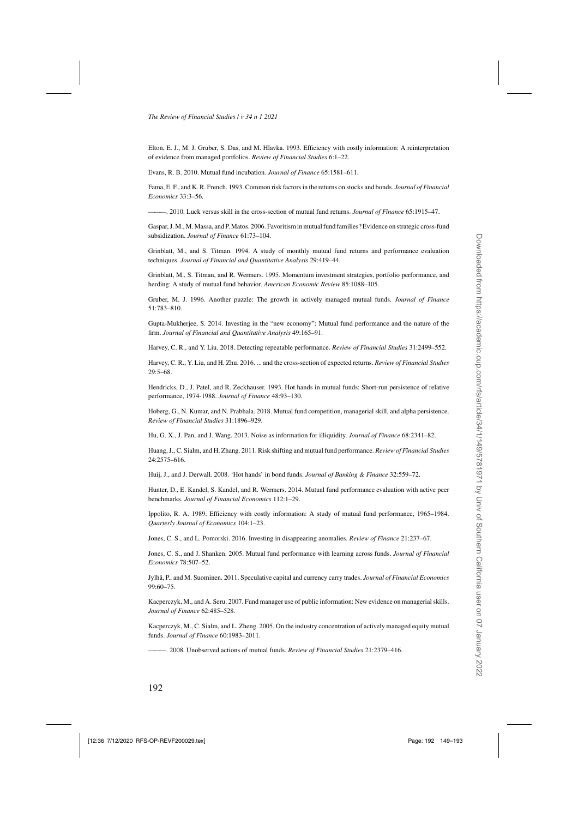<span id="page-43-0"></span>Elton, E. J., M. J. Gruber, S. Das, and M. Hlavka. 1993. Efficiency with costly information: A reinterpretation of evidence from managed portfolios. *Review of Financial Studies* 6:1–22.

Evans, R. B. 2010. Mutual fund incubation. *Journal of Finance* 65:1581–611.

Fama, E. F., and K. R. French. 1993. Common risk factors in the returns on stocks and bonds. *Journal of Financial Economics* 33:3–56.

———. 2010. Luck versus skill in the cross-section of mutual fund returns. *Journal of Finance* 65:1915–47.

Gaspar, J. M., M. Massa, and P. Matos. 2006. Favoritism in mutual fund families? Evidence on strategic cross-fund subsidization. *Journal of Finance* 61:73–104.

Grinblatt, M., and S. Titman. 1994. A study of monthly mutual fund returns and performance evaluation techniques. *Journal of Financial and Quantitative Analysis* 29:419–44.

Grinblatt, M., S. Titman, and R. Wermers. 1995. Momentum investment strategies, portfolio performance, and herding: A study of mutual fund behavior. *American Economic Review* 85:1088–105.

Gruber, M. J. 1996. Another puzzle: The growth in actively managed mutual funds. *Journal of Finance* 51:783–810.

Gupta-Mukherjee, S. 2014. Investing in the "new economy": Mutual fund performance and the nature of the firm. *Journal of Financial and Quantitative Analysis* 49:165–91.

Harvey, C. R., and Y. Liu. 2018. Detecting repeatable performance. *Review of Financial Studies* 31:2499–552.

Harvey, C. R., Y. Liu, and H. Zhu. 2016. ... and the cross-section of expected returns. *Review of Financial Studies* 29:5–68.

Hendricks, D., J. Patel, and R. Zeckhauser. 1993. Hot hands in mutual funds: Short-run persistence of relative performance, 1974-1988. *Journal of Finance* 48:93–130.

Hoberg, G., N. Kumar, and N. Prabhala. 2018. Mutual fund competition, managerial skill, and alpha persistence. *Review of Financial Studies* 31:1896–929.

Hu, G. X., J. Pan, and J. Wang. 2013. Noise as information for illiquidity. *Journal of Finance* 68:2341–82.

Huang, J., C. Sialm, and H. Zhang. 2011. Risk shifting and mutual fund performance. *Review of Financial Studies* 24:2575–616.

Huij, J., and J. Derwall. 2008. 'Hot hands' in bond funds. *Journal of Banking & Finance* 32:559–72.

Hunter, D., E. Kandel, S. Kandel, and R. Wermers. 2014. Mutual fund performance evaluation with active peer benchmarks. *Journal of Financial Economics* 112:1–29.

Ippolito, R. A. 1989. Efficiency with costly information: A study of mutual fund performance, 1965–1984. *Quarterly Journal of Economics* 104:1–23.

Jones, C. S., and L. Pomorski. 2016. Investing in disappearing anomalies. *Review of Finance* 21:237–67.

Jones, C. S., and J. Shanken. 2005. Mutual fund performance with learning across funds. *Journal of Financial Economics* 78:507–52.

Jylhä, P., and M. Suominen. 2011. Speculative capital and currency carry trades. *Journal of Financial Economics* 99:60–75.

Kacperczyk, M., and A. Seru. 2007. Fund manager use of public information: New evidence on managerial skills. *Journal of Finance* 62:485–528.

Kacperczyk, M., C. Sialm, and L. Zheng. 2005. On the industry concentration of actively managed equity mutual funds. *Journal of Finance* 60:1983–2011.

———. 2008. Unobserved actions of mutual funds. *Review of Financial Studies* 21:2379–416.